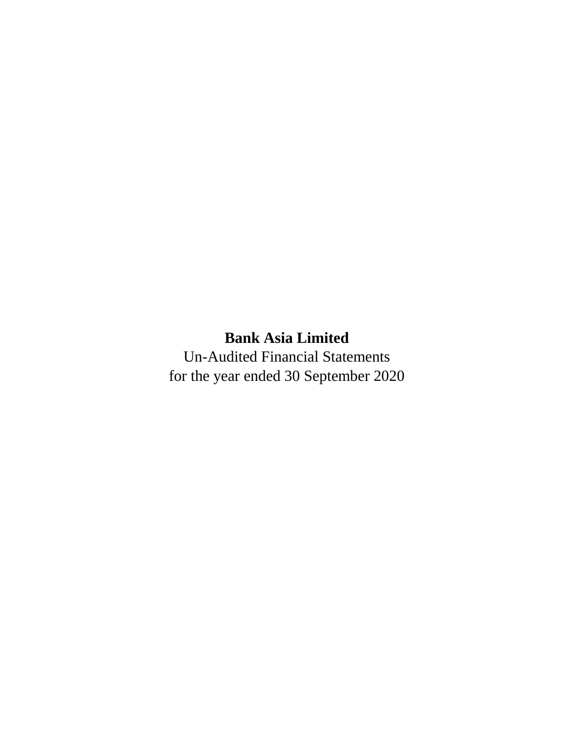# **Bank Asia Limited**

Un-Audited Financial Statements for the year ended 30 September 2020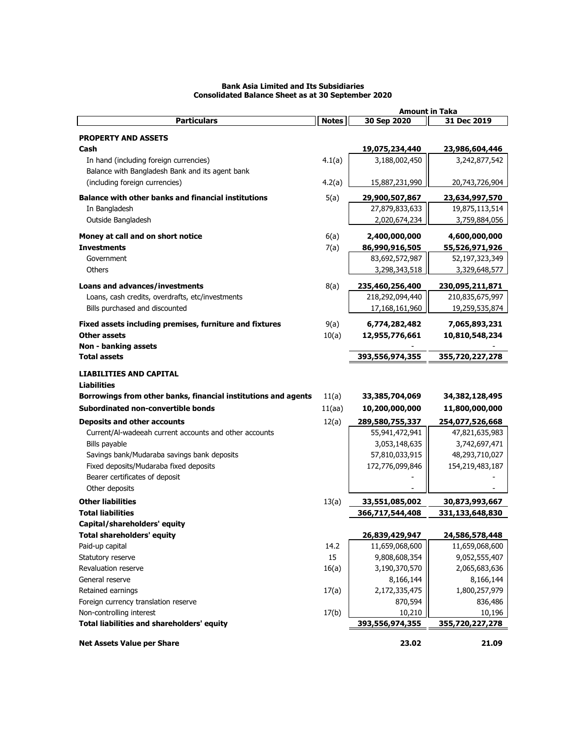|                                                                                           |              | <b>Amount in Taka</b> |                 |
|-------------------------------------------------------------------------------------------|--------------|-----------------------|-----------------|
| <b>Particulars</b>                                                                        | <b>Notes</b> | 30 Sep 2020           | 31 Dec 2019     |
| <b>PROPERTY AND ASSETS</b>                                                                |              |                       |                 |
| Cash                                                                                      |              | 19,075,234,440        | 23,986,604,446  |
|                                                                                           | 4.1(a)       | 3,188,002,450         | 3,242,877,542   |
| In hand (including foreign currencies)<br>Balance with Bangladesh Bank and its agent bank |              |                       |                 |
|                                                                                           |              |                       |                 |
| (including foreign currencies)                                                            | 4.2(a)       | 15,887,231,990        | 20,743,726,904  |
| <b>Balance with other banks and financial institutions</b>                                | 5(a)         | 29,900,507,867        | 23,634,997,570  |
| In Bangladesh                                                                             |              | 27,879,833,633        | 19,875,113,514  |
| Outside Bangladesh                                                                        |              | 2,020,674,234         | 3,759,884,056   |
| Money at call and on short notice                                                         | 6(a)         | 2,400,000,000         | 4,600,000,000   |
| <b>Investments</b>                                                                        | 7(a)         | 86,990,916,505        | 55,526,971,926  |
| Government                                                                                |              | 83,692,572,987        | 52,197,323,349  |
| Others                                                                                    |              | 3,298,343,518         | 3,329,648,577   |
|                                                                                           |              |                       |                 |
| Loans and advances/investments                                                            | 8(a)         | 235,460,256,400       | 230,095,211,871 |
| Loans, cash credits, overdrafts, etc/investments                                          |              | 218,292,094,440       | 210,835,675,997 |
| Bills purchased and discounted                                                            |              | 17,168,161,960        | 19,259,535,874  |
| Fixed assets including premises, furniture and fixtures                                   | 9(a)         | 6,774,282,482         | 7,065,893,231   |
| <b>Other assets</b>                                                                       | 10(a)        | 12,955,776,661        | 10,810,548,234  |
| Non - banking assets                                                                      |              |                       |                 |
| <b>Total assets</b>                                                                       |              | 393,556,974,355       | 355,720,227,278 |
|                                                                                           |              |                       |                 |
| <b>LIABILITIES AND CAPITAL</b>                                                            |              |                       |                 |
| <b>Liabilities</b>                                                                        |              |                       |                 |
| Borrowings from other banks, financial institutions and agents                            | 11(a)        | 33,385,704,069        | 34,382,128,495  |
| Subordinated non-convertible bonds                                                        | 11(aa)       | 10,200,000,000        | 11,800,000,000  |
| <b>Deposits and other accounts</b>                                                        | 12(a)        | 289,580,755,337       | 254,077,526,668 |
| Current/Al-wadeeah current accounts and other accounts                                    |              | 55,941,472,941        | 47,821,635,983  |
| Bills payable                                                                             |              | 3,053,148,635         | 3,742,697,471   |
| Savings bank/Mudaraba savings bank deposits                                               |              | 57,810,033,915        | 48,293,710,027  |
| Fixed deposits/Mudaraba fixed deposits                                                    |              | 172,776,099,846       | 154,219,483,187 |
| Bearer certificates of deposit                                                            |              |                       |                 |
| Other deposits                                                                            |              |                       |                 |
| <b>Other liabilities</b>                                                                  | 13(a)        | 33,551,085,002        | 30,873,993,667  |
| <b>Total liabilities</b>                                                                  |              | 366,717,544,408       | 331,133,648,830 |
| Capital/shareholders' equity                                                              |              |                       |                 |
| <b>Total shareholders' equity</b>                                                         |              | 26,839,429,947        | 24,586,578,448  |
| Paid-up capital                                                                           | 14.2         | 11,659,068,600        | 11,659,068,600  |
| Statutory reserve                                                                         | 15           | 9,808,608,354         | 9,052,555,407   |
| Revaluation reserve                                                                       | 16(a)        | 3,190,370,570         | 2,065,683,636   |
| General reserve                                                                           |              | 8,166,144             | 8,166,144       |
| Retained earnings                                                                         | 17(a)        | 2,172,335,475         | 1,800,257,979   |
| Foreign currency translation reserve                                                      |              | 870,594               | 836,486         |
| Non-controlling interest                                                                  | 17(b)        | 10,210                | 10,196          |
| Total liabilities and shareholders' equity                                                |              | 393,556,974,355       | 355,720,227,278 |
|                                                                                           |              |                       |                 |
| <b>Net Assets Value per Share</b>                                                         |              | 23.02                 | 21.09           |

## **Bank Asia Limited and Its Subsidiaries Consolidated Balance Sheet as at 30 September 2020**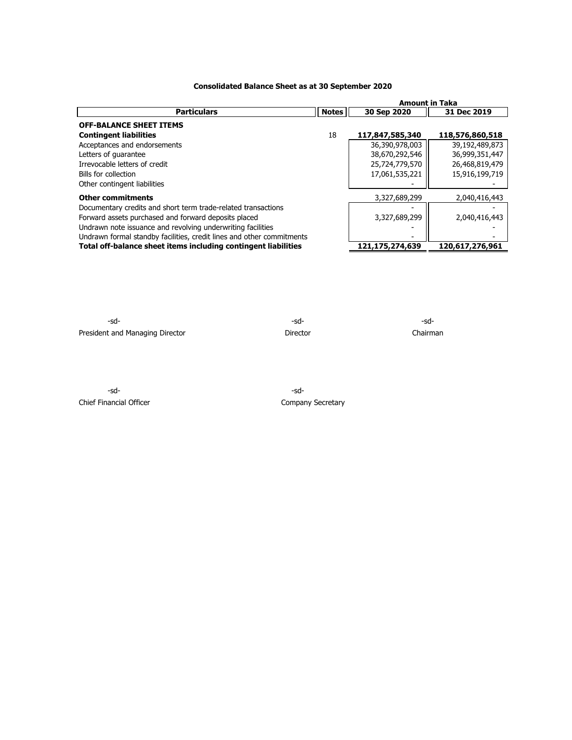## **Consolidated Balance Sheet as at 30 September 2020**

|                                                                       |              | <b>Amount in Taka</b> |                 |  |  |
|-----------------------------------------------------------------------|--------------|-----------------------|-----------------|--|--|
| <b>Particulars</b>                                                    | <b>Notes</b> | 30 Sep 2020           | 31 Dec 2019     |  |  |
| <b>OFF-BALANCE SHEET ITEMS</b>                                        |              |                       |                 |  |  |
| <b>Contingent liabilities</b>                                         | 18           | 117,847,585,340       | 118,576,860,518 |  |  |
| Acceptances and endorsements                                          |              | 36,390,978,003        | 39,192,489,873  |  |  |
| Letters of quarantee                                                  |              | 38,670,292,546        | 36,999,351,447  |  |  |
| Irrevocable letters of credit                                         |              | 25,724,779,570        | 26,468,819,479  |  |  |
| Bills for collection                                                  |              | 17,061,535,221        | 15,916,199,719  |  |  |
| Other contingent liabilities                                          |              |                       |                 |  |  |
| <b>Other commitments</b>                                              |              | 3,327,689,299         | 2,040,416,443   |  |  |
| Documentary credits and short term trade-related transactions         |              |                       |                 |  |  |
| Forward assets purchased and forward deposits placed                  |              | 3,327,689,299         | 2,040,416,443   |  |  |
| Undrawn note issuance and revolving underwriting facilities           |              |                       |                 |  |  |
| Undrawn formal standby facilities, credit lines and other commitments |              |                       |                 |  |  |
| Total off-balance sheet items including contingent liabilities        |              | 121,175,274,639       | 120,617,276,961 |  |  |

 $-sd-$ President and Managing Director **Director** Director **Director** Chairman

-sd- -sd-Chief Financial Officer Company Secretary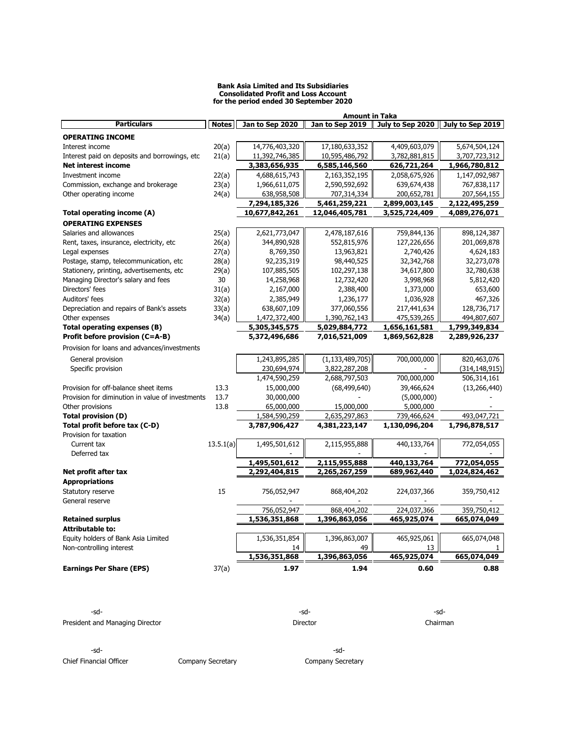#### **Bank Asia Limited and Its Subsidiaries Consolidated Profit and Loss Account for the period ended 30 September 2020**

|                                                  |              |                 | Amount in Taka     |               |                                     |
|--------------------------------------------------|--------------|-----------------|--------------------|---------------|-------------------------------------|
| <b>Particulars</b>                               | <b>Notes</b> | Jan to Sep 2020 | Jan to Sep 2019    |               | July to Sep 2020   July to Sep 2019 |
| <b>OPERATING INCOME</b>                          |              |                 |                    |               |                                     |
| Interest income                                  | 20(a)        | 14,776,403,320  | 17,180,633,352     | 4,409,603,079 | 5,674,504,124                       |
| Interest paid on deposits and borrowings, etc.   | 21(a)        | 11,392,746,385  | 10,595,486,792     | 3,782,881,815 | 3,707,723,312                       |
| Net interest income                              |              | 3,383,656,935   | 6,585,146,560      | 626,721,264   | 1,966,780,812                       |
| Investment income                                | 22(a)        | 4,688,615,743   | 2,163,352,195      | 2,058,675,926 | 1,147,092,987                       |
| Commission, exchange and brokerage               | 23(a)        | 1,966,611,075   | 2,590,592,692      | 639,674,438   | 767,838,117                         |
| Other operating income                           | 24(a)        | 638,958,508     | 707,314,334        | 200,652,781   | 207,564,155                         |
|                                                  |              | 7,294,185,326   | 5,461,259,221      | 2,899,003,145 | 2,122,495,259                       |
| Total operating income (A)                       |              | 10,677,842,261  | 12,046,405,781     | 3,525,724,409 | 4,089,276,071                       |
| <b>OPERATING EXPENSES</b>                        |              |                 |                    |               |                                     |
| Salaries and allowances                          | 25(a)        | 2,621,773,047   | 2,478,187,616      | 759,844,136   | 898,124,387                         |
| Rent, taxes, insurance, electricity, etc.        | 26(a)        | 344,890,928     | 552,815,976        | 127,226,656   | 201,069,878                         |
| Legal expenses                                   | 27(a)        | 8,769,350       | 13,963,821         | 2,740,426     | 4,624,183                           |
| Postage, stamp, telecommunication, etc           | 28(a)        | 92,235,319      | 98,440,525         | 32,342,768    | 32,273,078                          |
| Stationery, printing, advertisements, etc        | 29(a)        | 107,885,505     | 102,297,138        | 34,617,800    | 32,780,638                          |
| Managing Director's salary and fees              | 30           | 14,258,968      | 12,732,420         | 3,998,968     | 5,812,420                           |
| Directors' fees                                  | 31(a)        | 2,167,000       | 2,388,400          | 1,373,000     | 653,600                             |
| Auditors' fees                                   | 32(a)        | 2,385,949       | 1,236,177          | 1,036,928     | 467,326                             |
| Depreciation and repairs of Bank's assets        | 33(a)        | 638,607,109     | 377,060,556        | 217,441,634   | 128,736,717                         |
| Other expenses                                   | 34(a)        | 1,472,372,400   | 1,390,762,143      | 475,539,265   | 494,807,607                         |
| Total operating expenses (B)                     |              | 5,305,345,575   | 5,029,884,772      | 1,656,161,581 | 1,799,349,834                       |
| Profit before provision (C=A-B)                  |              | 5,372,496,686   | 7,016,521,009      | 1,869,562,828 | 2,289,926,237                       |
| Provision for loans and advances/investments     |              |                 |                    |               |                                     |
|                                                  |              |                 |                    |               |                                     |
| General provision                                |              | 1,243,895,285   | (1, 133, 489, 705) | 700,000,000   | 820,463,076                         |
| Specific provision                               |              | 230,694,974     | 3,822,287,208      |               | (314, 148, 915)                     |
|                                                  |              | 1,474,590,259   | 2,688,797,503      | 700,000,000   | 506,314,161                         |
| Provision for off-balance sheet items            | 13.3         | 15,000,000      | (68, 499, 640)     | 39,466,624    | (13, 266, 440)                      |
| Provision for diminution in value of investments | 13.7         | 30,000,000      |                    | (5,000,000)   |                                     |
| Other provisions                                 | 13.8         | 65,000,000      | 15,000,000         | 5,000,000     |                                     |
| <b>Total provision (D)</b>                       |              | 1,584,590,259   | 2,635,297,863      | 739,466,624   | 493,047,721                         |
| Total profit before tax (C-D)                    |              | 3,787,906,427   | 4,381,223,147      | 1,130,096,204 | 1,796,878,517                       |
| Provision for taxation                           |              |                 |                    |               |                                     |
| Current tax                                      | 13.5.1(a)    | 1,495,501,612   | 2,115,955,888      | 440,133,764   | 772,054,055                         |
| Deferred tax                                     |              |                 |                    |               |                                     |
|                                                  |              | 1,495,501,612   | 2,115,955,888      | 440,133,764   | 772,054,055                         |
| Net profit after tax                             |              | 2,292,404,815   | 2,265,267,259      | 689,962,440   | 1,024,824,462                       |
| <b>Appropriations</b>                            |              |                 |                    |               |                                     |
| Statutory reserve                                | 15           | 756,052,947     | 868,404,202        | 224,037,366   | 359,750,412                         |
| General reserve                                  |              |                 |                    |               |                                     |
|                                                  |              | 756,052,947     | 868,404,202        | 224,037,366   | 359,750,412                         |
| <b>Retained surplus</b>                          |              | 1,536,351,868   | 1,396,863,056      | 465,925,074   | 665,074,049                         |
| <b>Attributable to:</b>                          |              |                 |                    |               |                                     |
| Equity holders of Bank Asia Limited              |              | 1,536,351,854   | 1,396,863,007      | 465,925,061   | 665,074,048                         |
| Non-controlling interest                         |              | 14              | 49                 | 13            |                                     |
|                                                  |              | 1,536,351,868   | 1,396,863,056      | 465,925,074   | 665,074,049                         |
| <b>Earnings Per Share (EPS)</b>                  | 37(a)        | 1.97            | 1.94               | 0.60          | 0.88                                |

| -sd-                            | -sd-     | -sd-     |
|---------------------------------|----------|----------|
| President and Managing Director | Director | Chairman |
|                                 |          |          |
|                                 |          |          |

Chief Financial Officer **Company Secretary** Company Secretary Company Secretary

-sd- -sd-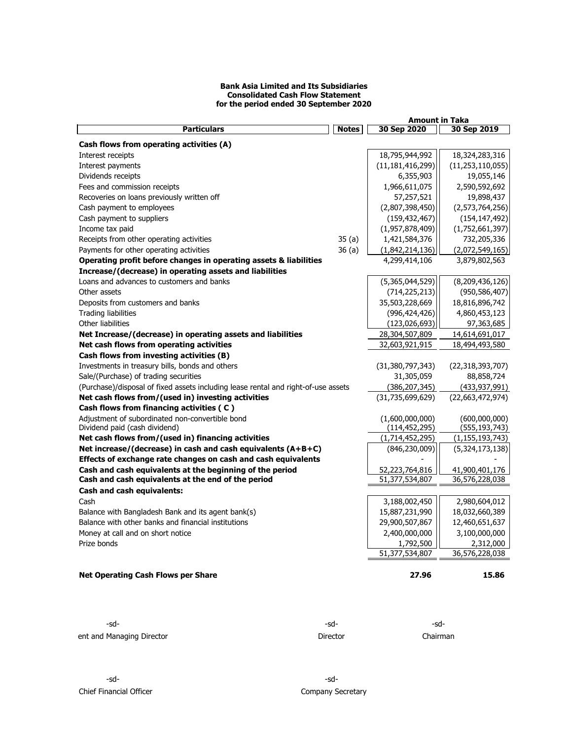#### **Bank Asia Limited and Its Subsidiaries Consolidated Cash Flow Statement for the period ended 30 September 2020**

|                                                                                    |              | <b>Amount in Taka</b>       |                             |  |  |
|------------------------------------------------------------------------------------|--------------|-----------------------------|-----------------------------|--|--|
| <b>Particulars</b>                                                                 | <b>Notes</b> | 30 Sep 2020                 | 30 Sep 2019                 |  |  |
| Cash flows from operating activities (A)                                           |              |                             |                             |  |  |
| Interest receipts                                                                  |              | 18,795,944,992              | 18,324,283,316              |  |  |
| Interest payments                                                                  |              | (11, 181, 416, 299)         | (11, 253, 110, 055)         |  |  |
| Dividends receipts                                                                 |              | 6,355,903                   | 19,055,146                  |  |  |
| Fees and commission receipts                                                       |              | 1,966,611,075               | 2,590,592,692               |  |  |
| Recoveries on loans previously written off                                         |              | 57,257,521                  | 19,898,437                  |  |  |
| Cash payment to employees                                                          |              | (2,807,398,450)             | (2,573,764,256)             |  |  |
| Cash payment to suppliers                                                          |              | (159, 432, 467)             | (154, 147, 492)             |  |  |
| Income tax paid                                                                    |              | (1,957,878,409)             | (1,752,661,397)             |  |  |
| Receipts from other operating activities                                           | 35(a)        | 1,421,584,376               | 732,205,336                 |  |  |
| Payments for other operating activities                                            | 36(a)        | (1,842,214,136)             | (2,072,549,165)             |  |  |
| Operating profit before changes in operating assets & liabilities                  |              | 4,299,414,106               | 3,879,802,563               |  |  |
| Increase/(decrease) in operating assets and liabilities                            |              |                             |                             |  |  |
| Loans and advances to customers and banks                                          |              | (5,365,044,529)             | (8,209,436,126)             |  |  |
| Other assets                                                                       |              | (714, 225, 213)             | (950, 586, 407)             |  |  |
| Deposits from customers and banks                                                  |              | 35,503,228,669              | 18,816,896,742              |  |  |
| <b>Trading liabilities</b>                                                         |              | (996, 424, 426)             | 4,860,453,123               |  |  |
| Other liabilities                                                                  |              | (123, 026, 693)             | 97,363,685                  |  |  |
| Net Increase/(decrease) in operating assets and liabilities                        |              | 28,304,507,809              | 14,614,691,017              |  |  |
| Net cash flows from operating activities                                           |              | 32,603,921,915              | 18,494,493,580              |  |  |
| Cash flows from investing activities (B)                                           |              |                             |                             |  |  |
| Investments in treasury bills, bonds and others                                    |              | (31,380,797,343)            | (22, 318, 393, 707)         |  |  |
| Sale/(Purchase) of trading securities                                              |              | 31,305,059                  | 88,858,724                  |  |  |
| (Purchase)/disposal of fixed assets including lease rental and right-of-use assets |              | (386, 207, 345)             | (433, 937, 991)             |  |  |
| Net cash flows from/(used in) investing activities                                 |              | (31,735,699,629)            | (22,663,472,974)            |  |  |
| Cash flows from financing activities (C)                                           |              |                             |                             |  |  |
| Adjustment of subordinated non-convertible bond                                    |              | (1,600,000,000)             | (600,000,000)               |  |  |
| Dividend paid (cash dividend)                                                      |              | (114, 452, 295)             | (555, 193, 743)             |  |  |
| Net cash flows from/(used in) financing activities                                 |              | (1,714,452,295)             | (1, 155, 193, 743)          |  |  |
| Net increase/(decrease) in cash and cash equivalents $(A+B+C)$                     |              | (846, 230, 009)             | (5,324,173,138)             |  |  |
| Effects of exchange rate changes on cash and cash equivalents                      |              |                             |                             |  |  |
| Cash and cash equivalents at the beginning of the period                           |              | 52,223,764,816              | 41,900,401,176              |  |  |
| Cash and cash equivalents at the end of the period                                 |              | 51,377,534,807              | 36,576,228,038              |  |  |
| Cash and cash equivalents:                                                         |              |                             |                             |  |  |
| Cash                                                                               |              | 3,188,002,450               | 2,980,604,012               |  |  |
| Balance with Bangladesh Bank and its agent bank(s)                                 |              | 15,887,231,990              | 18,032,660,389              |  |  |
| Balance with other banks and financial institutions                                |              | 29,900,507,867              | 12,460,651,637              |  |  |
| Money at call and on short notice                                                  |              | 2,400,000,000               | 3,100,000,000               |  |  |
| Prize bonds                                                                        |              | 1,792,500<br>51,377,534,807 | 2,312,000<br>36,576,228,038 |  |  |
|                                                                                    |              |                             |                             |  |  |
| <b>Net Operating Cash Flows per Share</b>                                          |              | 27.96                       | 15.86                       |  |  |

-sd- -sd- -sdent and Managing Director **President and Managing Director** Director **Director** Chairman

-sd- -sd-Chief Financial Officer Chief Financial Officer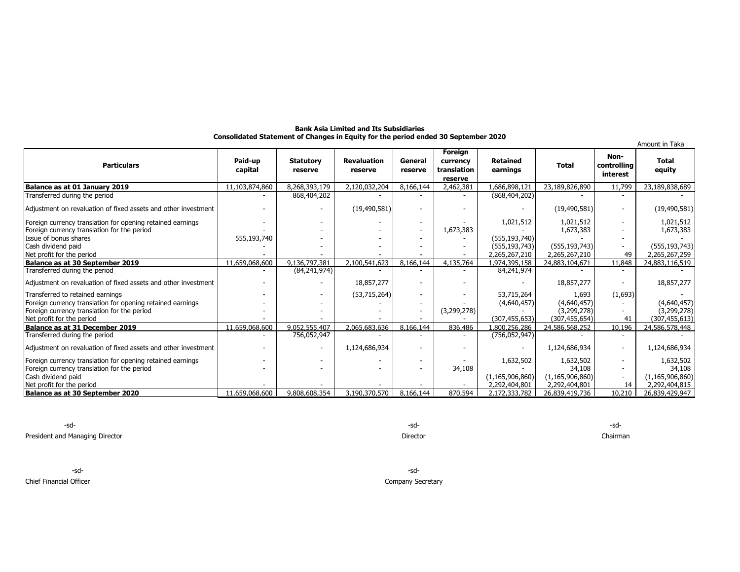| <b>Bank Asia Limited and Its Subsidiaries</b>                                      |  |
|------------------------------------------------------------------------------------|--|
| Consolidated Statement of Changes in Equity for the period ended 30 September 2020 |  |

|                                                                |                    |                             |                               |                          |                                               |                             |                    |                                 | Amount in Taka         |
|----------------------------------------------------------------|--------------------|-----------------------------|-------------------------------|--------------------------|-----------------------------------------------|-----------------------------|--------------------|---------------------------------|------------------------|
| <b>Particulars</b>                                             | Paid-up<br>capital | <b>Statutory</b><br>reserve | <b>Revaluation</b><br>reserve | General<br>reserve       | Foreign<br>currency<br>translation<br>reserve | <b>Retained</b><br>earnings | <b>Total</b>       | Non-<br>controlling<br>interest | <b>Total</b><br>equity |
| Balance as at 01 January 2019                                  | 11,103,874,860     | 8,268,393,179               | 2,120,032,204                 | 8,166,144                | 2,462,381                                     | 1,686,898,121               | 23,189,826,890     | 11,799                          | 23,189,838,689         |
| Transferred during the period                                  |                    | 868,404,202                 |                               |                          |                                               | (868, 404, 202)             |                    |                                 |                        |
| Adjustment on revaluation of fixed assets and other investment |                    |                             | (19, 490, 581)                |                          |                                               |                             | (19, 490, 581)     |                                 | (19, 490, 581)         |
| Foreign currency translation for opening retained earnings     |                    |                             |                               |                          |                                               | 1,021,512                   | 1,021,512          |                                 | 1,021,512              |
| Foreign currency translation for the period                    |                    |                             |                               |                          | 1,673,383                                     |                             | 1,673,383          |                                 | 1,673,383              |
| Issue of bonus shares                                          | 555,193,740        |                             |                               |                          |                                               | (555, 193, 740)             |                    |                                 |                        |
| Cash dividend paid                                             |                    |                             |                               |                          |                                               | (555, 193, 743)             | (555, 193, 743)    |                                 | (555, 193, 743)        |
| Net profit for the period                                      |                    |                             |                               |                          |                                               | 2,265,267,210               | 2,265,267,210      | 49                              | 2,265,267,259          |
| Balance as at 30 September 2019                                | 11,659,068,600     | 9,136,797,381               | 2,100,541,623                 | 8,166,144                | 4,135,764                                     | 1,974,395,158               | 24,883,104,671     | 11,848                          | 24,883,116,519         |
| Transferred during the period                                  |                    | (84, 241, 974)              |                               |                          |                                               | 84,241,974                  |                    |                                 |                        |
| Adjustment on revaluation of fixed assets and other investment |                    |                             | 18,857,277                    |                          |                                               |                             | 18,857,277         |                                 | 18,857,277             |
| Transferred to retained earnings                               |                    |                             | (53, 715, 264)                |                          |                                               | 53,715,264                  | 1,693              | (1,693)                         |                        |
| Foreign currency translation for opening retained earnings     |                    |                             |                               |                          |                                               | (4,640,457)                 | (4,640,457)        |                                 | (4,640,457)            |
| Foreign currency translation for the period                    |                    |                             |                               | $\overline{\phantom{a}}$ | (3,299,278)                                   |                             | (3,299,278)        |                                 | (3,299,278)            |
| Net profit for the period                                      |                    |                             |                               |                          |                                               | (307, 455, 653)             | (307, 455, 654)    | 41                              | (307, 455, 613)        |
| Balance as at 31 December 2019                                 | 11,659,068,600     | 9,052,555,407               | 2,065,683,636                 | 8,166,144                | 836,486                                       | 1,800,256,286               | 24,586,568,252     | 10,196                          | 24,586,578,448         |
| Transferred during the period                                  |                    | 756,052,947                 |                               |                          |                                               | (756, 052, 947)             |                    |                                 |                        |
| Adjustment on revaluation of fixed assets and other investment |                    |                             | 1,124,686,934                 |                          |                                               |                             | 1,124,686,934      | $\overline{\phantom{a}}$        | 1,124,686,934          |
| Foreign currency translation for opening retained earnings     |                    |                             |                               |                          |                                               | 1,632,502                   | 1,632,502          |                                 | 1,632,502              |
| Foreign currency translation for the period                    |                    |                             |                               |                          | 34,108                                        |                             | 34,108             |                                 | 34,108                 |
| Cash dividend paid                                             |                    |                             |                               |                          |                                               | (1, 165, 906, 860)          | (1, 165, 906, 860) |                                 | (1, 165, 906, 860)     |
| Net profit for the period                                      |                    |                             |                               |                          |                                               | 2,292,404,801               | 2,292,404,801      | 14                              | 2,292,404,815          |
| Balance as at 30 September 2020                                | 11.659.068.600     | 9.808.608.354               | 3,190,370,570                 | 8,166,144                | 870,594                                       | 2.172.333.782               | 26.839.419.736     | 10.210                          | 26.839.429.947         |

-sd- -sd- -sd-

President and Managing Director Chairman

-sd- -sd-

Chief Financial Officer Company Secretary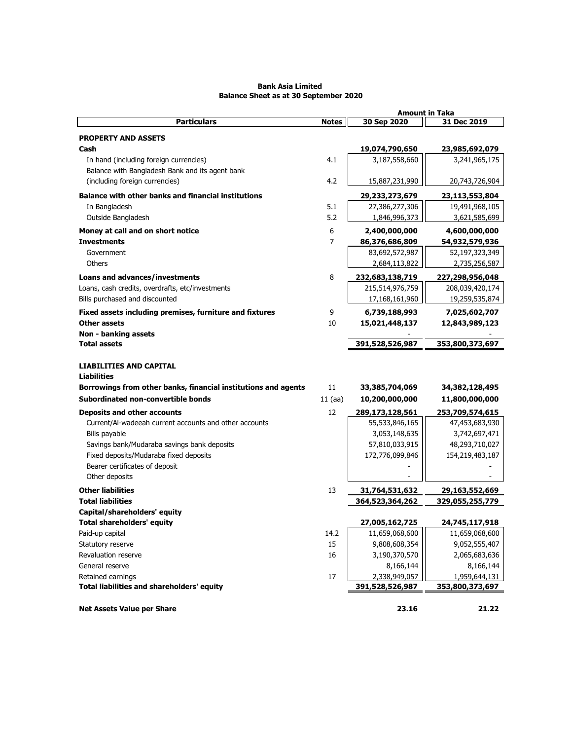|                                                                |                     | <b>Amount in Taka</b>            |                                  |  |  |
|----------------------------------------------------------------|---------------------|----------------------------------|----------------------------------|--|--|
| <b>Particulars</b>                                             | <b>Notes</b>        | 30 Sep 2020                      | 31 Dec 2019                      |  |  |
| <b>PROPERTY AND ASSETS</b>                                     |                     |                                  |                                  |  |  |
| Cash                                                           |                     | 19,074,790,650                   | 23,985,692,079                   |  |  |
| In hand (including foreign currencies)                         | 4.1                 | 3,187,558,660                    | 3,241,965,175                    |  |  |
| Balance with Bangladesh Bank and its agent bank                |                     |                                  |                                  |  |  |
| (including foreign currencies)                                 | 4.2                 | 15,887,231,990                   | 20,743,726,904                   |  |  |
| <b>Balance with other banks and financial institutions</b>     |                     | 29,233,273,679                   |                                  |  |  |
| In Bangladesh                                                  | 5.1                 | 27,386,277,306                   | 23,113,553,804<br>19,491,968,105 |  |  |
| Outside Bangladesh                                             | 5.2                 | 1,846,996,373                    | 3,621,585,699                    |  |  |
|                                                                |                     |                                  |                                  |  |  |
| Money at call and on short notice                              | 6<br>$\overline{7}$ | 2,400,000,000                    | 4,600,000,000                    |  |  |
| <b>Investments</b><br>Government                               |                     | 86,376,686,809<br>83,692,572,987 | 54,932,579,936                   |  |  |
| Others                                                         |                     | 2,684,113,822                    | 52,197,323,349<br>2,735,256,587  |  |  |
|                                                                |                     |                                  |                                  |  |  |
| <b>Loans and advances/investments</b>                          | 8                   | 232,683,138,719                  | 227,298,956,048                  |  |  |
| Loans, cash credits, overdrafts, etc/investments               |                     | 215,514,976,759                  | 208,039,420,174                  |  |  |
| Bills purchased and discounted                                 |                     | 17,168,161,960                   | 19,259,535,874                   |  |  |
| Fixed assets including premises, furniture and fixtures        | 9                   | 6,739,188,993                    | 7,025,602,707                    |  |  |
| Other assets                                                   | 10                  | 15,021,448,137                   | 12,843,989,123                   |  |  |
| Non - banking assets                                           |                     |                                  |                                  |  |  |
| <b>Total assets</b>                                            |                     | 391,528,526,987                  | 353,800,373,697                  |  |  |
|                                                                |                     |                                  |                                  |  |  |
| <b>LIABILITIES AND CAPITAL</b>                                 |                     |                                  |                                  |  |  |
| <b>Liabilities</b>                                             |                     |                                  |                                  |  |  |
| Borrowings from other banks, financial institutions and agents | 11                  | 33,385,704,069                   | 34,382,128,495                   |  |  |
| Subordinated non-convertible bonds                             | $11$ (aa)           | 10,200,000,000                   | 11,800,000,000                   |  |  |
| <b>Deposits and other accounts</b>                             | 12                  | 289,173,128,561                  | 253,709,574,615                  |  |  |
| Current/Al-wadeeah current accounts and other accounts         |                     | 55,533,846,165                   | 47,453,683,930                   |  |  |
| Bills payable                                                  |                     | 3,053,148,635                    | 3,742,697,471                    |  |  |
| Savings bank/Mudaraba savings bank deposits                    |                     | 57,810,033,915                   | 48,293,710,027                   |  |  |
| Fixed deposits/Mudaraba fixed deposits                         |                     | 172,776,099,846                  | 154,219,483,187                  |  |  |
| Bearer certificates of deposit                                 |                     |                                  |                                  |  |  |
| Other deposits                                                 |                     |                                  |                                  |  |  |
| <b>Other liabilities</b>                                       | 13                  | 31,764,531,632                   | 29,163,552,669                   |  |  |
| <b>Total liabilities</b>                                       |                     | 364,523,364,262                  | 329,055,255,779                  |  |  |
| Capital/shareholders' equity                                   |                     |                                  |                                  |  |  |
| <b>Total shareholders' equity</b>                              |                     | 27,005,162,725                   | 24,745,117,918                   |  |  |
| Paid-up capital                                                | 14.2                | 11,659,068,600                   | 11,659,068,600                   |  |  |
| Statutory reserve                                              | 15                  | 9,808,608,354                    | 9,052,555,407                    |  |  |
| Revaluation reserve                                            | 16                  | 3,190,370,570                    | 2,065,683,636                    |  |  |
| General reserve                                                |                     | 8,166,144                        | 8,166,144                        |  |  |
| Retained earnings                                              | 17                  | 2,338,949,057                    | 1,959,644,131                    |  |  |
| Total liabilities and shareholders' equity                     |                     | 391,528,526,987                  | 353,800,373,697                  |  |  |
|                                                                |                     |                                  |                                  |  |  |
| <b>Net Assets Value per Share</b>                              |                     | 23.16                            | 21.22                            |  |  |

## **Bank Asia Limited Balance Sheet as at 30 September 2020**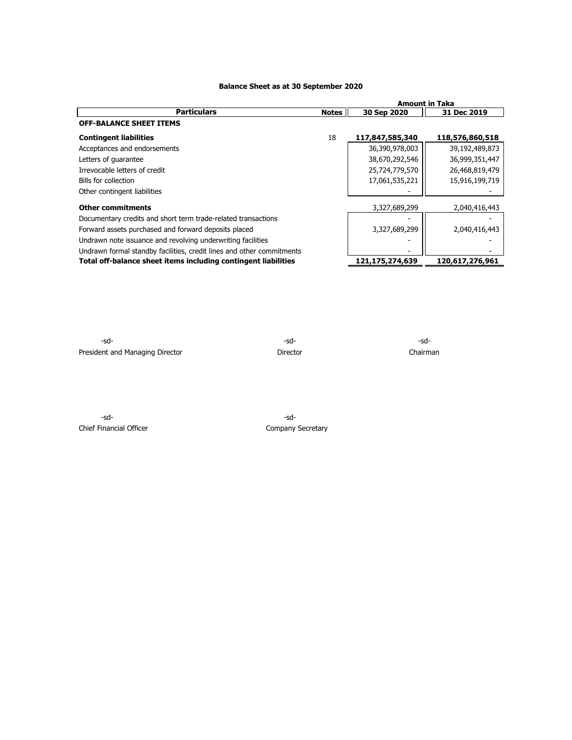#### **Balance Sheet as at 30 September 2020**

|                                                                       |              | <b>Amount in Taka</b> |                 |  |  |
|-----------------------------------------------------------------------|--------------|-----------------------|-----------------|--|--|
| <b>Particulars</b>                                                    | <b>Notes</b> | 30 Sep 2020           | 31 Dec 2019     |  |  |
| <b>OFF-BALANCE SHEET ITEMS</b>                                        |              |                       |                 |  |  |
| <b>Contingent liabilities</b>                                         | 18           | 117,847,585,340       | 118,576,860,518 |  |  |
| Acceptances and endorsements                                          |              | 36,390,978,003        | 39,192,489,873  |  |  |
| Letters of quarantee                                                  |              | 38,670,292,546        | 36,999,351,447  |  |  |
| Irrevocable letters of credit                                         |              | 25,724,779,570        | 26,468,819,479  |  |  |
| Bills for collection                                                  |              | 17,061,535,221        | 15,916,199,719  |  |  |
| Other contingent liabilities                                          |              |                       |                 |  |  |
| <b>Other commitments</b>                                              |              | 3,327,689,299         | 2,040,416,443   |  |  |
| Documentary credits and short term trade-related transactions         |              |                       |                 |  |  |
| Forward assets purchased and forward deposits placed                  |              | 3,327,689,299         | 2,040,416,443   |  |  |
| Undrawn note issuance and revolving underwriting facilities           |              |                       |                 |  |  |
| Undrawn formal standby facilities, credit lines and other commitments |              |                       |                 |  |  |
| Total off-balance sheet items including contingent liabilities        |              | 121,175,274,639       | 120,617,276,961 |  |  |

-sd- -sd- -sd-President and Managing Director **Director** Director **Director** Chairman

-sd- -sd-Chief Financial Officer Chief Financial Officer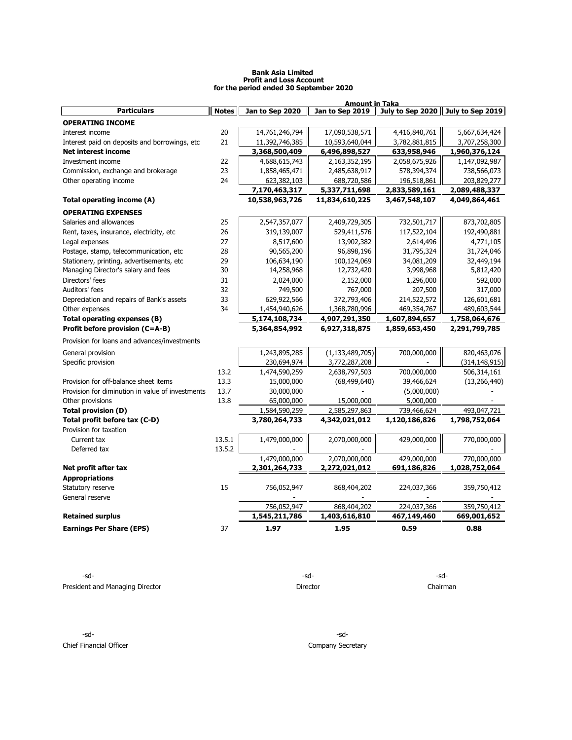#### **Bank Asia Limited Profit and Loss Account for the period ended 30 September 2020**

|                                                  |              |                 | <b>Amount in Taka</b> |               |                                   |
|--------------------------------------------------|--------------|-----------------|-----------------------|---------------|-----------------------------------|
| <b>Particulars</b>                               | <b>Notes</b> | Jan to Sep 2020 | Jan to Sep 2019       |               | July to Sep 2020 July to Sep 2019 |
| <b>OPERATING INCOME</b>                          |              |                 |                       |               |                                   |
| Interest income                                  | 20           | 14,761,246,794  | 17,090,538,571        | 4,416,840,761 | 5,667,634,424                     |
| Interest paid on deposits and borrowings, etc.   | 21           | 11,392,746,385  | 10,593,640,044        | 3,782,881,815 | 3,707,258,300                     |
| <b>Net interest income</b>                       |              | 3,368,500,409   | 6,496,898,527         | 633,958,946   | 1,960,376,124                     |
| Investment income                                | 22           | 4,688,615,743   | 2,163,352,195         | 2,058,675,926 | 1,147,092,987                     |
| Commission, exchange and brokerage               | 23           | 1,858,465,471   | 2,485,638,917         | 578,394,374   | 738,566,073                       |
| Other operating income                           | 24           | 623,382,103     | 688,720,586           | 196,518,861   | 203,829,277                       |
|                                                  |              | 7,170,463,317   | 5,337,711,698         | 2,833,589,161 | 2,089,488,337                     |
| Total operating income (A)                       |              | 10,538,963,726  | 11,834,610,225        | 3,467,548,107 | 4,049,864,461                     |
| <b>OPERATING EXPENSES</b>                        |              |                 |                       |               |                                   |
| Salaries and allowances                          | 25           | 2,547,357,077   | 2,409,729,305         | 732,501,717   | 873,702,805                       |
| Rent, taxes, insurance, electricity, etc         | 26           | 319,139,007     | 529,411,576           | 117,522,104   | 192,490,881                       |
| Legal expenses                                   | 27           | 8,517,600       | 13,902,382            | 2,614,496     | 4,771,105                         |
| Postage, stamp, telecommunication, etc           | 28           | 90,565,200      | 96,898,196            | 31,795,324    | 31,724,046                        |
| Stationery, printing, advertisements, etc        | 29           | 106,634,190     | 100,124,069           | 34,081,209    | 32,449,194                        |
| Managing Director's salary and fees              | 30           | 14,258,968      | 12,732,420            | 3,998,968     | 5,812,420                         |
| Directors' fees                                  | 31           | 2,024,000       | 2,152,000             | 1,296,000     | 592,000                           |
| Auditors' fees                                   | 32           | 749,500         | 767,000               | 207,500       | 317,000                           |
| Depreciation and repairs of Bank's assets        | 33           | 629,922,566     | 372,793,406           | 214,522,572   | 126,601,681                       |
| Other expenses                                   | 34           | 1,454,940,626   | 1,368,780,996         | 469,354,767   | 489,603,544                       |
| Total operating expenses (B)                     |              | 5,174,108,734   | 4,907,291,350         | 1,607,894,657 | 1,758,064,676                     |
| Profit before provision (C=A-B)                  |              | 5,364,854,992   | 6,927,318,875         | 1,859,653,450 | 2,291,799,785                     |
| Provision for loans and advances/investments     |              |                 |                       |               |                                   |
| General provision                                |              | 1,243,895,285   | (1, 133, 489, 705)    | 700,000,000   | 820,463,076                       |
| Specific provision                               |              | 230,694,974     | 3,772,287,208         |               | (314, 148, 915)                   |
|                                                  | 13.2         | 1,474,590,259   | 2,638,797,503         | 700,000,000   | 506,314,161                       |
| Provision for off-balance sheet items            | 13.3         | 15,000,000      | (68, 499, 640)        | 39,466,624    | (13, 266, 440)                    |
| Provision for diminution in value of investments | 13.7         | 30,000,000      |                       | (5,000,000)   |                                   |
| Other provisions                                 | 13.8         | 65,000,000      | 15,000,000            | 5,000,000     |                                   |
| <b>Total provision (D)</b>                       |              | 1,584,590,259   | 2,585,297,863         | 739,466,624   | 493,047,721                       |
| Total profit before tax (C-D)                    |              | 3,780,264,733   | 4,342,021,012         | 1,120,186,826 | 1,798,752,064                     |
| Provision for taxation                           |              |                 |                       |               |                                   |
| Current tax                                      | 13.5.1       | 1,479,000,000   | 2,070,000,000         | 429,000,000   | 770,000,000                       |
| Deferred tax                                     | 13.5.2       |                 |                       |               |                                   |
|                                                  |              | 1,479,000,000   | 2,070,000,000         | 429,000,000   | 770,000,000                       |
| Net profit after tax                             |              | 2,301,264,733   | 2,272,021,012         | 691,186,826   | 1,028,752,064                     |
| <b>Appropriations</b>                            |              |                 |                       |               |                                   |
| Statutory reserve                                | 15           | 756,052,947     | 868,404,202           | 224,037,366   | 359,750,412                       |
| General reserve                                  |              |                 |                       |               |                                   |
|                                                  |              | 756,052,947     | 868,404,202           | 224,037,366   | 359,750,412                       |
| <b>Retained surplus</b>                          |              | 1,545,211,786   | 1,403,616,810         | 467,149,460   | 669,001,652                       |
| <b>Earnings Per Share (EPS)</b>                  | 37           | 1.97            | 1.95                  | 0.59          | 0.88                              |
|                                                  |              |                 |                       |               |                                   |

-sd- -sd- -sd-President and Managing Director **Chairman** Director Director Director Chairman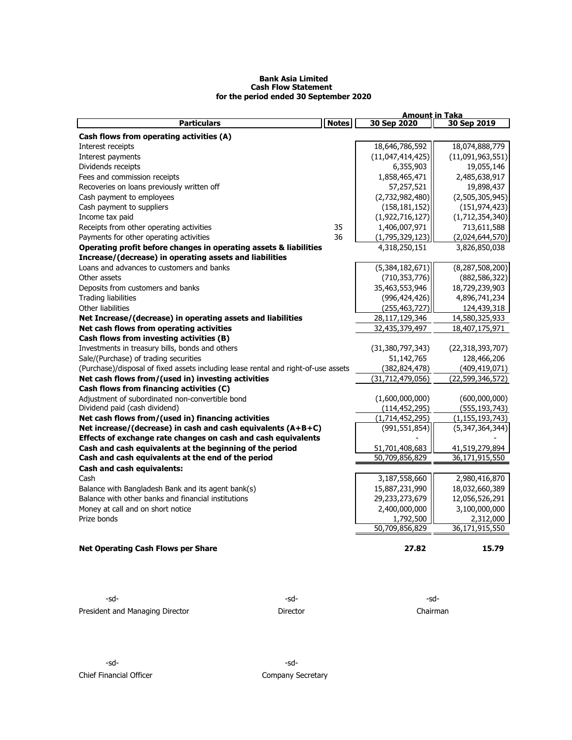#### **Bank Asia Limited Cash Flow Statement for the period ended 30 September 2020**

|                                                                                    |              | <b>Amount in Taka</b> |                     |
|------------------------------------------------------------------------------------|--------------|-----------------------|---------------------|
| <b>Particulars</b>                                                                 | <b>Notes</b> | 30 Sep 2020           | 30 Sep 2019         |
| Cash flows from operating activities (A)                                           |              |                       |                     |
| Interest receipts                                                                  |              | 18,646,786,592        | 18,074,888,779      |
| Interest payments                                                                  |              | (11,047,414,425)      | (11,091,963,551)    |
| Dividends receipts                                                                 |              | 6,355,903             | 19,055,146          |
| Fees and commission receipts                                                       |              | 1,858,465,471         | 2,485,638,917       |
| Recoveries on loans previously written off                                         |              | 57,257,521            | 19,898,437          |
| Cash payment to employees                                                          |              | (2,732,982,480)       | (2,505,305,945)     |
| Cash payment to suppliers                                                          |              | (158, 181, 152)       | (151, 974, 423)     |
| Income tax paid                                                                    |              | (1,922,716,127)       | (1,712,354,340)     |
| Receipts from other operating activities                                           | 35           | 1,406,007,971         | 713,611,588         |
| Payments for other operating activities                                            | 36           | (1,795,329,123)       | (2,024,644,570)     |
| Operating profit before changes in operating assets & liabilities                  |              | 4,318,250,151         | 3,826,850,038       |
| Increase/(decrease) in operating assets and liabilities                            |              |                       |                     |
| Loans and advances to customers and banks                                          |              | (5,384,182,671)       | (8, 287, 508, 200)  |
| Other assets                                                                       |              | (710, 353, 776)       | (882, 586, 322)     |
| Deposits from customers and banks                                                  |              | 35,463,553,946        | 18,729,239,903      |
| <b>Trading liabilities</b>                                                         |              | (996, 424, 426)       | 4,896,741,234       |
| Other liabilities                                                                  |              | (255, 463, 727)       | 124,439,318         |
| Net Increase/(decrease) in operating assets and liabilities                        |              | 28,117,129,346        | 14,580,325,933      |
| Net cash flows from operating activities                                           |              | 32,435,379,497        | 18,407,175,971      |
| Cash flows from investing activities (B)                                           |              |                       |                     |
| Investments in treasury bills, bonds and others                                    |              | (31, 380, 797, 343)   | (22, 318, 393, 707) |
| Sale/(Purchase) of trading securities                                              |              | 51,142,765            | 128,466,206         |
| (Purchase)/disposal of fixed assets including lease rental and right-of-use assets |              | (382, 824, 478)       | (409, 419, 071)     |
| Net cash flows from/(used in) investing activities                                 |              | (31, 712, 479, 056)   | (22, 599, 346, 572) |
| Cash flows from financing activities (C)                                           |              |                       |                     |
| Adjustment of subordinated non-convertible bond                                    |              | (1,600,000,000)       | (600,000,000)       |
| Dividend paid (cash dividend)                                                      |              | (114, 452, 295)       | (555, 193, 743)     |
| Net cash flows from/(used in) financing activities                                 |              | (1,714,452,295)       | (1, 155, 193, 743)  |
| Net increase/(decrease) in cash and cash equivalents $(A+B+C)$                     |              | (991, 551, 854)       | (5,347,364,344)     |
| Effects of exchange rate changes on cash and cash equivalents                      |              |                       |                     |
| Cash and cash equivalents at the beginning of the period                           |              | 51,701,408,683        | 41,519,279,894      |
| Cash and cash equivalents at the end of the period                                 |              | 50,709,856,829        | 36,171,915,550      |
| Cash and cash equivalents:                                                         |              |                       |                     |
| Cash                                                                               |              | 3,187,558,660         | 2,980,416,870       |
| Balance with Bangladesh Bank and its agent bank(s)                                 |              | 15,887,231,990        | 18,032,660,389      |
| Balance with other banks and financial institutions                                |              | 29,233,273,679        | 12,056,526,291      |
| Money at call and on short notice                                                  |              | 2,400,000,000         | 3,100,000,000       |
| Prize bonds                                                                        |              | 1,792,500             | 2,312,000           |
|                                                                                    |              | 50,709,856,829        | 36,171,915,550      |
|                                                                                    |              |                       |                     |
| <b>Net Operating Cash Flows per Share</b>                                          |              | 27.82                 | 15.79               |

 $-sd-$ President and Managing Director **Director** Director **Director** Chairman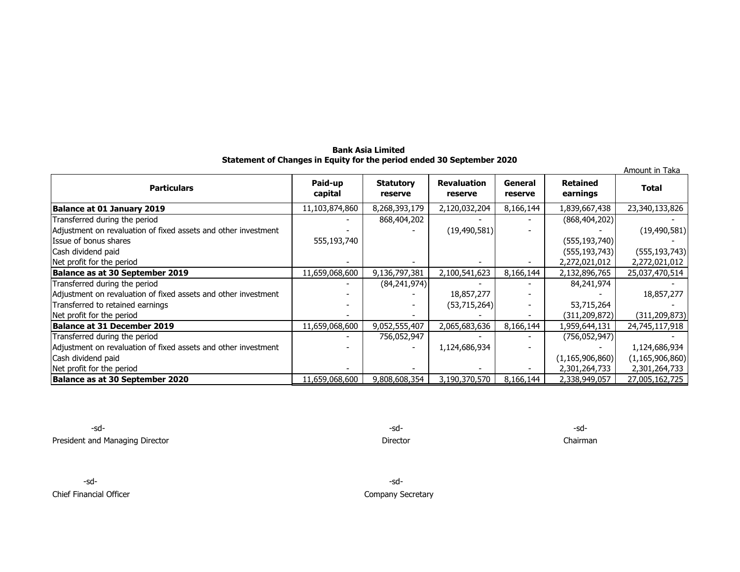## **Bank Asia Limited Statement of Changes in Equity for the period ended 30 September 2020**

| Amount in Taka                                                 |                    |                             |                               |                    |                             |                    |  |  |  |
|----------------------------------------------------------------|--------------------|-----------------------------|-------------------------------|--------------------|-----------------------------|--------------------|--|--|--|
| <b>Particulars</b>                                             | Paid-up<br>capital | <b>Statutory</b><br>reserve | <b>Revaluation</b><br>reserve | General<br>reserve | <b>Retained</b><br>earnings | <b>Total</b>       |  |  |  |
| Balance at 01 January 2019                                     | 11,103,874,860     | 8,268,393,179               | 2,120,032,204                 | 8,166,144          | 1,839,667,438               | 23,340,133,826     |  |  |  |
| Transferred during the period                                  |                    | 868,404,202                 |                               |                    | (868, 404, 202)             |                    |  |  |  |
| Adjustment on revaluation of fixed assets and other investment |                    |                             | (19, 490, 581)                |                    |                             | (19, 490, 581)     |  |  |  |
| Issue of bonus shares                                          | 555,193,740        |                             |                               |                    | (555, 193, 740)             |                    |  |  |  |
| Cash dividend paid                                             |                    |                             |                               |                    | (555, 193, 743)             | (555, 193, 743)    |  |  |  |
| Net profit for the period                                      |                    |                             |                               |                    | 2,272,021,012               | 2,272,021,012      |  |  |  |
| Balance as at 30 September 2019                                | 11,659,068,600     | 9,136,797,381               | 2,100,541,623                 | 8,166,144          | 2,132,896,765               | 25,037,470,514     |  |  |  |
| Transferred during the period                                  |                    | (84,241,974)                |                               |                    | 84,241,974                  |                    |  |  |  |
| Adjustment on revaluation of fixed assets and other investment |                    |                             | 18,857,277                    |                    |                             | 18,857,277         |  |  |  |
| Transferred to retained earnings                               |                    |                             | (53,715,264)                  |                    | 53,715,264                  |                    |  |  |  |
| Net profit for the period                                      |                    |                             |                               |                    | (311, 209, 872)             | (311, 209, 873)    |  |  |  |
| Balance at 31 December 2019                                    | 11,659,068,600     | 9,052,555,407               | 2,065,683,636                 | 8,166,144          | 1,959,644,131               | 24,745,117,918     |  |  |  |
| Transferred during the period                                  |                    | 756,052,947                 |                               |                    | (756, 052, 947)             |                    |  |  |  |
| Adjustment on revaluation of fixed assets and other investment |                    |                             | 1,124,686,934                 |                    |                             | 1,124,686,934      |  |  |  |
| Cash dividend paid                                             |                    |                             |                               |                    | (1, 165, 906, 860)          | (1, 165, 906, 860) |  |  |  |
| Net profit for the period                                      |                    |                             |                               |                    | 2,301,264,733               | 2,301,264,733      |  |  |  |
| Balance as at 30 September 2020                                | 11,659,068,600     | 9,808,608,354               | 3,190,370,570                 | 8,166,144          | 2,338,949,057               | 27,005,162,725     |  |  |  |

-sd- -sd- -sd-President and Managing Director **Chairman** 

-sd- -sd-

Chief Financial Officer Chief Financial Officer Company Secretary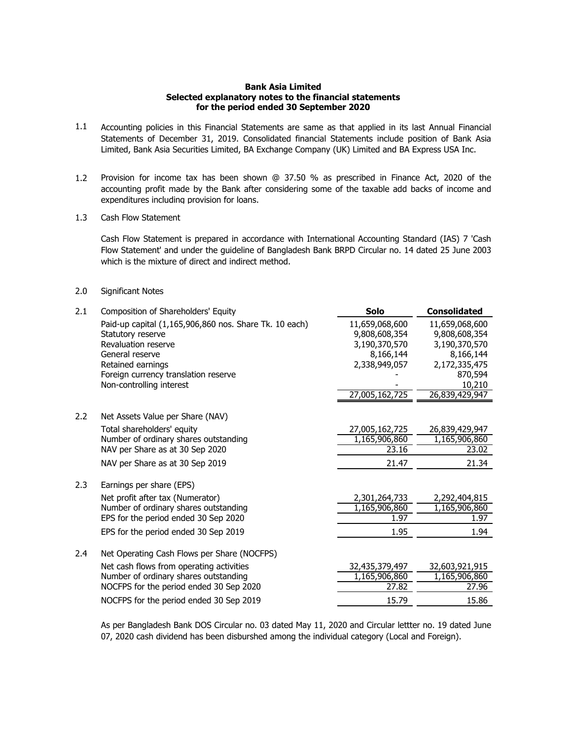## **Bank Asia Limited Selected explanatory notes to the financial statements for the period ended 30 September 2020**

- 1.1 Accounting policies in this Financial Statements are same as that applied in its last Annual Financial Statements of December 31, 2019. Consolidated financial Statements include position of Bank Asia Limited, Bank Asia Securities Limited, BA Exchange Company (UK) Limited and BA Express USA Inc.
- 1.2 Provision for income tax has been shown @ 37.50 % as prescribed in Finance Act, 2020 of the accounting profit made by the Bank after considering some of the taxable add backs of income and expenditures including provision for loans.
- 1.3 Cash Flow Statement

Cash Flow Statement is prepared in accordance with International Accounting Standard (IAS) 7 'Cash Flow Statement' and under the guideline of Bangladesh Bank BRPD Circular no. 14 dated 25 June 2003 which is the mixture of direct and indirect method.

#### 2.0 Significant Notes

| 2.1 | Composition of Shareholders' Equity                    | <b>Solo</b>    | <b>Consolidated</b>      |
|-----|--------------------------------------------------------|----------------|--------------------------|
|     | Paid-up capital (1,165,906,860 nos. Share Tk. 10 each) | 11,659,068,600 | 11,659,068,600           |
|     | Statutory reserve                                      | 9,808,608,354  | 9,808,608,354            |
|     | Revaluation reserve                                    | 3,190,370,570  | 3,190,370,570            |
|     | General reserve                                        | 8,166,144      | 8,166,144                |
|     | Retained earnings                                      | 2,338,949,057  | 2,172,335,475            |
|     | Foreign currency translation reserve                   |                | 870,594                  |
|     | Non-controlling interest                               | 27,005,162,725 | 10,210<br>26,839,429,947 |
|     |                                                        |                |                          |
| 2.2 | Net Assets Value per Share (NAV)                       |                |                          |
|     | Total shareholders' equity                             | 27,005,162,725 | 26,839,429,947           |
|     | Number of ordinary shares outstanding                  | 1,165,906,860  | 1,165,906,860            |
|     | NAV per Share as at 30 Sep 2020                        | 23.16          | 23.02                    |
|     | NAV per Share as at 30 Sep 2019                        | 21.47          | 21.34                    |
| 2.3 | Earnings per share (EPS)                               |                |                          |
|     | Net profit after tax (Numerator)                       | 2,301,264,733  | 2,292,404,815            |
|     | Number of ordinary shares outstanding                  | 1,165,906,860  | 1,165,906,860            |
|     | EPS for the period ended 30 Sep 2020                   | 1.97           | 1.97                     |
|     | EPS for the period ended 30 Sep 2019                   | 1.95           | 1.94                     |
| 2.4 | Net Operating Cash Flows per Share (NOCFPS)            |                |                          |
|     | Net cash flows from operating activities               | 32,435,379,497 | 32,603,921,915           |
|     | Number of ordinary shares outstanding                  | 1,165,906,860  | 1,165,906,860            |
|     | NOCFPS for the period ended 30 Sep 2020                | 27.82          | 27.96                    |
|     | NOCFPS for the period ended 30 Sep 2019                | 15.79          | 15.86                    |
|     |                                                        |                |                          |

As per Bangladesh Bank DOS Circular no. 03 dated May 11, 2020 and Circular lettter no. 19 dated June 07, 2020 cash dividend has been disburshed among the individual category (Local and Foreign).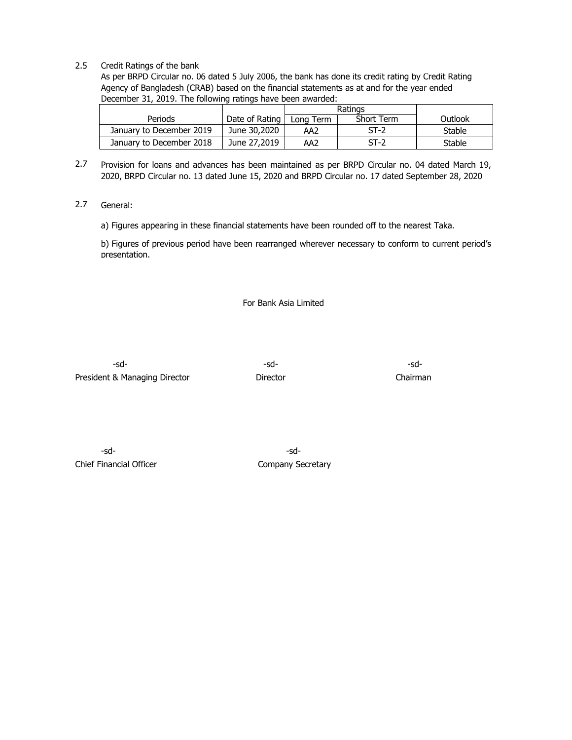# 2.5 Credit Ratings of the bank

As per BRPD Circular no. 06 dated 5 July 2006, the bank has done its credit rating by Credit Rating Agency of Bangladesh (CRAB) based on the financial statements as at and for the year ended December 31, 2019. The following ratings have been awarded:

|                          |                | Ratings   |            |         |
|--------------------------|----------------|-----------|------------|---------|
| <b>Periods</b>           | Date of Rating | Long Term | Short Term | Outlook |
| January to December 2019 | June 30,2020   | AA2       | $ST-2$     | Stable  |
| January to December 2018 | June 27,2019   | AA2       | $ST-2$     | Stable  |

- 2.7 Provision for loans and advances has been maintained as per BRPD Circular no. 04 dated March 19, 2020, BRPD Circular no. 13 dated June 15, 2020 and BRPD Circular no. 17 dated September 28, 2020
- 2.7 General:

a) Figures appearing in these financial statements have been rounded off to the nearest Taka.

b) Figures of previous period have been rearranged wherever necessary to conform to current period's presentation.

For Bank Asia Limited

-sd- -sd- -sd-President & Managing Director **Director** Director **Director** Chairman

-sd- -sd-Chief Financial Officer Chief Financial Officer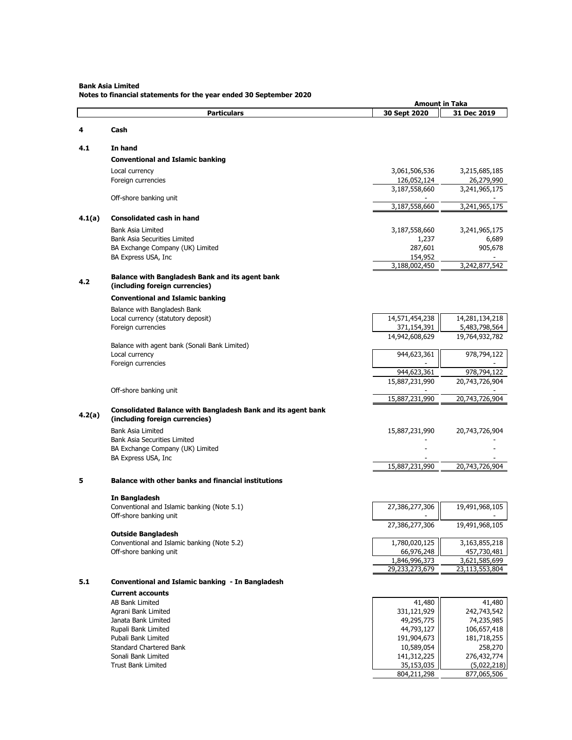#### **Bank Asia Limited**

**Notes to financial statements for the year ended 30 September 2020**

| 31 Dec 2019<br><b>Particulars</b><br>30 Sept 2020<br>Cash<br>4<br>4.1<br>In hand<br><b>Conventional and Islamic banking</b><br>Local currency<br>3,061,506,536<br>Foreign currencies<br>126,052,124<br>3,187,558,660<br>3,241,965,175<br>Off-shore banking unit<br>3,187,558,660<br>4.1(a)<br><b>Consolidated cash in hand</b><br><b>Bank Asia Limited</b><br>3,187,558,660<br>3,241,965,175<br><b>Bank Asia Securities Limited</b><br>1,237<br>287,601<br>BA Exchange Company (UK) Limited<br>BA Express USA, Inc<br>154,952<br>3,188,002,450<br>3,242,877,542<br><b>Balance with Bangladesh Bank and its agent bank</b><br>4.2<br>(including foreign currencies)<br><b>Conventional and Islamic banking</b><br>Balance with Bangladesh Bank<br>14,281,134,218<br>Local currency (statutory deposit)<br>14,571,454,238<br>Foreign currencies<br>371,154,391<br>5,483,798,564<br>14,942,608,629<br>19,764,932,782<br>Balance with agent bank (Sonali Bank Limited)<br>Local currency<br>944,623,361<br>Foreign currencies<br>944,623,361<br>15,887,231,990<br>20,743,726,904<br>Off-shore banking unit<br>15,887,231,990<br>20,743,726,904<br>Consolidated Balance with Bangladesh Bank and its agent bank<br>4.2(a)<br>(including foreign currencies)<br>Bank Asia Limited<br>15,887,231,990<br>20,743,726,904<br>Bank Asia Securities Limited<br>BA Exchange Company (UK) Limited<br>BA Express USA, Inc<br>15,887,231,990<br>20,743,726,904<br><b>Balance with other banks and financial institutions</b><br>5<br>In Bangladesh<br>Conventional and Islamic banking (Note 5.1)<br>27,386,277,306<br>19,491,968,105<br>Off-shore banking unit<br>27,386,277,306<br><b>Outside Bangladesh</b><br>Conventional and Islamic banking (Note 5.2)<br>1,780,020,125<br>3,163,855,218<br>66,976,248<br>457,730,481<br>Off-shore banking unit<br>1,846,996,373<br>3,621,585,699<br>29,233,273,679<br>23,113,553,804<br>5.1<br>Conventional and Islamic banking - In Bangladesh<br><b>Current accounts</b><br>41,480<br>41,480<br><b>AB Bank Limited</b><br>Agrani Bank Limited<br>331,121,929<br>49,295,775<br>Janata Bank Limited<br>44,793,127<br>Rupali Bank Limited |  | <b>Amount in Taka</b> |                                                      |
|------------------------------------------------------------------------------------------------------------------------------------------------------------------------------------------------------------------------------------------------------------------------------------------------------------------------------------------------------------------------------------------------------------------------------------------------------------------------------------------------------------------------------------------------------------------------------------------------------------------------------------------------------------------------------------------------------------------------------------------------------------------------------------------------------------------------------------------------------------------------------------------------------------------------------------------------------------------------------------------------------------------------------------------------------------------------------------------------------------------------------------------------------------------------------------------------------------------------------------------------------------------------------------------------------------------------------------------------------------------------------------------------------------------------------------------------------------------------------------------------------------------------------------------------------------------------------------------------------------------------------------------------------------------------------------------------------------------------------------------------------------------------------------------------------------------------------------------------------------------------------------------------------------------------------------------------------------------------------------------------------------------------------------------------------------------------------------------------------------------------------------------------------------------|--|-----------------------|------------------------------------------------------|
|                                                                                                                                                                                                                                                                                                                                                                                                                                                                                                                                                                                                                                                                                                                                                                                                                                                                                                                                                                                                                                                                                                                                                                                                                                                                                                                                                                                                                                                                                                                                                                                                                                                                                                                                                                                                                                                                                                                                                                                                                                                                                                                                                                  |  |                       |                                                      |
|                                                                                                                                                                                                                                                                                                                                                                                                                                                                                                                                                                                                                                                                                                                                                                                                                                                                                                                                                                                                                                                                                                                                                                                                                                                                                                                                                                                                                                                                                                                                                                                                                                                                                                                                                                                                                                                                                                                                                                                                                                                                                                                                                                  |  |                       |                                                      |
|                                                                                                                                                                                                                                                                                                                                                                                                                                                                                                                                                                                                                                                                                                                                                                                                                                                                                                                                                                                                                                                                                                                                                                                                                                                                                                                                                                                                                                                                                                                                                                                                                                                                                                                                                                                                                                                                                                                                                                                                                                                                                                                                                                  |  |                       |                                                      |
|                                                                                                                                                                                                                                                                                                                                                                                                                                                                                                                                                                                                                                                                                                                                                                                                                                                                                                                                                                                                                                                                                                                                                                                                                                                                                                                                                                                                                                                                                                                                                                                                                                                                                                                                                                                                                                                                                                                                                                                                                                                                                                                                                                  |  |                       |                                                      |
|                                                                                                                                                                                                                                                                                                                                                                                                                                                                                                                                                                                                                                                                                                                                                                                                                                                                                                                                                                                                                                                                                                                                                                                                                                                                                                                                                                                                                                                                                                                                                                                                                                                                                                                                                                                                                                                                                                                                                                                                                                                                                                                                                                  |  |                       |                                                      |
|                                                                                                                                                                                                                                                                                                                                                                                                                                                                                                                                                                                                                                                                                                                                                                                                                                                                                                                                                                                                                                                                                                                                                                                                                                                                                                                                                                                                                                                                                                                                                                                                                                                                                                                                                                                                                                                                                                                                                                                                                                                                                                                                                                  |  |                       | 3,215,685,185                                        |
|                                                                                                                                                                                                                                                                                                                                                                                                                                                                                                                                                                                                                                                                                                                                                                                                                                                                                                                                                                                                                                                                                                                                                                                                                                                                                                                                                                                                                                                                                                                                                                                                                                                                                                                                                                                                                                                                                                                                                                                                                                                                                                                                                                  |  |                       | 26,279,990                                           |
|                                                                                                                                                                                                                                                                                                                                                                                                                                                                                                                                                                                                                                                                                                                                                                                                                                                                                                                                                                                                                                                                                                                                                                                                                                                                                                                                                                                                                                                                                                                                                                                                                                                                                                                                                                                                                                                                                                                                                                                                                                                                                                                                                                  |  |                       |                                                      |
|                                                                                                                                                                                                                                                                                                                                                                                                                                                                                                                                                                                                                                                                                                                                                                                                                                                                                                                                                                                                                                                                                                                                                                                                                                                                                                                                                                                                                                                                                                                                                                                                                                                                                                                                                                                                                                                                                                                                                                                                                                                                                                                                                                  |  |                       | 3,241,965,175                                        |
|                                                                                                                                                                                                                                                                                                                                                                                                                                                                                                                                                                                                                                                                                                                                                                                                                                                                                                                                                                                                                                                                                                                                                                                                                                                                                                                                                                                                                                                                                                                                                                                                                                                                                                                                                                                                                                                                                                                                                                                                                                                                                                                                                                  |  |                       |                                                      |
|                                                                                                                                                                                                                                                                                                                                                                                                                                                                                                                                                                                                                                                                                                                                                                                                                                                                                                                                                                                                                                                                                                                                                                                                                                                                                                                                                                                                                                                                                                                                                                                                                                                                                                                                                                                                                                                                                                                                                                                                                                                                                                                                                                  |  |                       |                                                      |
|                                                                                                                                                                                                                                                                                                                                                                                                                                                                                                                                                                                                                                                                                                                                                                                                                                                                                                                                                                                                                                                                                                                                                                                                                                                                                                                                                                                                                                                                                                                                                                                                                                                                                                                                                                                                                                                                                                                                                                                                                                                                                                                                                                  |  |                       | 6,689                                                |
|                                                                                                                                                                                                                                                                                                                                                                                                                                                                                                                                                                                                                                                                                                                                                                                                                                                                                                                                                                                                                                                                                                                                                                                                                                                                                                                                                                                                                                                                                                                                                                                                                                                                                                                                                                                                                                                                                                                                                                                                                                                                                                                                                                  |  |                       | 905,678                                              |
|                                                                                                                                                                                                                                                                                                                                                                                                                                                                                                                                                                                                                                                                                                                                                                                                                                                                                                                                                                                                                                                                                                                                                                                                                                                                                                                                                                                                                                                                                                                                                                                                                                                                                                                                                                                                                                                                                                                                                                                                                                                                                                                                                                  |  |                       |                                                      |
|                                                                                                                                                                                                                                                                                                                                                                                                                                                                                                                                                                                                                                                                                                                                                                                                                                                                                                                                                                                                                                                                                                                                                                                                                                                                                                                                                                                                                                                                                                                                                                                                                                                                                                                                                                                                                                                                                                                                                                                                                                                                                                                                                                  |  |                       |                                                      |
|                                                                                                                                                                                                                                                                                                                                                                                                                                                                                                                                                                                                                                                                                                                                                                                                                                                                                                                                                                                                                                                                                                                                                                                                                                                                                                                                                                                                                                                                                                                                                                                                                                                                                                                                                                                                                                                                                                                                                                                                                                                                                                                                                                  |  |                       |                                                      |
|                                                                                                                                                                                                                                                                                                                                                                                                                                                                                                                                                                                                                                                                                                                                                                                                                                                                                                                                                                                                                                                                                                                                                                                                                                                                                                                                                                                                                                                                                                                                                                                                                                                                                                                                                                                                                                                                                                                                                                                                                                                                                                                                                                  |  |                       |                                                      |
|                                                                                                                                                                                                                                                                                                                                                                                                                                                                                                                                                                                                                                                                                                                                                                                                                                                                                                                                                                                                                                                                                                                                                                                                                                                                                                                                                                                                                                                                                                                                                                                                                                                                                                                                                                                                                                                                                                                                                                                                                                                                                                                                                                  |  |                       |                                                      |
|                                                                                                                                                                                                                                                                                                                                                                                                                                                                                                                                                                                                                                                                                                                                                                                                                                                                                                                                                                                                                                                                                                                                                                                                                                                                                                                                                                                                                                                                                                                                                                                                                                                                                                                                                                                                                                                                                                                                                                                                                                                                                                                                                                  |  |                       |                                                      |
|                                                                                                                                                                                                                                                                                                                                                                                                                                                                                                                                                                                                                                                                                                                                                                                                                                                                                                                                                                                                                                                                                                                                                                                                                                                                                                                                                                                                                                                                                                                                                                                                                                                                                                                                                                                                                                                                                                                                                                                                                                                                                                                                                                  |  |                       |                                                      |
|                                                                                                                                                                                                                                                                                                                                                                                                                                                                                                                                                                                                                                                                                                                                                                                                                                                                                                                                                                                                                                                                                                                                                                                                                                                                                                                                                                                                                                                                                                                                                                                                                                                                                                                                                                                                                                                                                                                                                                                                                                                                                                                                                                  |  |                       |                                                      |
|                                                                                                                                                                                                                                                                                                                                                                                                                                                                                                                                                                                                                                                                                                                                                                                                                                                                                                                                                                                                                                                                                                                                                                                                                                                                                                                                                                                                                                                                                                                                                                                                                                                                                                                                                                                                                                                                                                                                                                                                                                                                                                                                                                  |  |                       |                                                      |
|                                                                                                                                                                                                                                                                                                                                                                                                                                                                                                                                                                                                                                                                                                                                                                                                                                                                                                                                                                                                                                                                                                                                                                                                                                                                                                                                                                                                                                                                                                                                                                                                                                                                                                                                                                                                                                                                                                                                                                                                                                                                                                                                                                  |  |                       | 978,794,122                                          |
|                                                                                                                                                                                                                                                                                                                                                                                                                                                                                                                                                                                                                                                                                                                                                                                                                                                                                                                                                                                                                                                                                                                                                                                                                                                                                                                                                                                                                                                                                                                                                                                                                                                                                                                                                                                                                                                                                                                                                                                                                                                                                                                                                                  |  |                       |                                                      |
|                                                                                                                                                                                                                                                                                                                                                                                                                                                                                                                                                                                                                                                                                                                                                                                                                                                                                                                                                                                                                                                                                                                                                                                                                                                                                                                                                                                                                                                                                                                                                                                                                                                                                                                                                                                                                                                                                                                                                                                                                                                                                                                                                                  |  |                       | 978,794,122                                          |
|                                                                                                                                                                                                                                                                                                                                                                                                                                                                                                                                                                                                                                                                                                                                                                                                                                                                                                                                                                                                                                                                                                                                                                                                                                                                                                                                                                                                                                                                                                                                                                                                                                                                                                                                                                                                                                                                                                                                                                                                                                                                                                                                                                  |  |                       |                                                      |
|                                                                                                                                                                                                                                                                                                                                                                                                                                                                                                                                                                                                                                                                                                                                                                                                                                                                                                                                                                                                                                                                                                                                                                                                                                                                                                                                                                                                                                                                                                                                                                                                                                                                                                                                                                                                                                                                                                                                                                                                                                                                                                                                                                  |  |                       |                                                      |
|                                                                                                                                                                                                                                                                                                                                                                                                                                                                                                                                                                                                                                                                                                                                                                                                                                                                                                                                                                                                                                                                                                                                                                                                                                                                                                                                                                                                                                                                                                                                                                                                                                                                                                                                                                                                                                                                                                                                                                                                                                                                                                                                                                  |  |                       |                                                      |
|                                                                                                                                                                                                                                                                                                                                                                                                                                                                                                                                                                                                                                                                                                                                                                                                                                                                                                                                                                                                                                                                                                                                                                                                                                                                                                                                                                                                                                                                                                                                                                                                                                                                                                                                                                                                                                                                                                                                                                                                                                                                                                                                                                  |  |                       |                                                      |
|                                                                                                                                                                                                                                                                                                                                                                                                                                                                                                                                                                                                                                                                                                                                                                                                                                                                                                                                                                                                                                                                                                                                                                                                                                                                                                                                                                                                                                                                                                                                                                                                                                                                                                                                                                                                                                                                                                                                                                                                                                                                                                                                                                  |  |                       |                                                      |
|                                                                                                                                                                                                                                                                                                                                                                                                                                                                                                                                                                                                                                                                                                                                                                                                                                                                                                                                                                                                                                                                                                                                                                                                                                                                                                                                                                                                                                                                                                                                                                                                                                                                                                                                                                                                                                                                                                                                                                                                                                                                                                                                                                  |  |                       |                                                      |
|                                                                                                                                                                                                                                                                                                                                                                                                                                                                                                                                                                                                                                                                                                                                                                                                                                                                                                                                                                                                                                                                                                                                                                                                                                                                                                                                                                                                                                                                                                                                                                                                                                                                                                                                                                                                                                                                                                                                                                                                                                                                                                                                                                  |  |                       |                                                      |
|                                                                                                                                                                                                                                                                                                                                                                                                                                                                                                                                                                                                                                                                                                                                                                                                                                                                                                                                                                                                                                                                                                                                                                                                                                                                                                                                                                                                                                                                                                                                                                                                                                                                                                                                                                                                                                                                                                                                                                                                                                                                                                                                                                  |  |                       |                                                      |
|                                                                                                                                                                                                                                                                                                                                                                                                                                                                                                                                                                                                                                                                                                                                                                                                                                                                                                                                                                                                                                                                                                                                                                                                                                                                                                                                                                                                                                                                                                                                                                                                                                                                                                                                                                                                                                                                                                                                                                                                                                                                                                                                                                  |  |                       |                                                      |
|                                                                                                                                                                                                                                                                                                                                                                                                                                                                                                                                                                                                                                                                                                                                                                                                                                                                                                                                                                                                                                                                                                                                                                                                                                                                                                                                                                                                                                                                                                                                                                                                                                                                                                                                                                                                                                                                                                                                                                                                                                                                                                                                                                  |  |                       |                                                      |
|                                                                                                                                                                                                                                                                                                                                                                                                                                                                                                                                                                                                                                                                                                                                                                                                                                                                                                                                                                                                                                                                                                                                                                                                                                                                                                                                                                                                                                                                                                                                                                                                                                                                                                                                                                                                                                                                                                                                                                                                                                                                                                                                                                  |  |                       |                                                      |
|                                                                                                                                                                                                                                                                                                                                                                                                                                                                                                                                                                                                                                                                                                                                                                                                                                                                                                                                                                                                                                                                                                                                                                                                                                                                                                                                                                                                                                                                                                                                                                                                                                                                                                                                                                                                                                                                                                                                                                                                                                                                                                                                                                  |  |                       |                                                      |
|                                                                                                                                                                                                                                                                                                                                                                                                                                                                                                                                                                                                                                                                                                                                                                                                                                                                                                                                                                                                                                                                                                                                                                                                                                                                                                                                                                                                                                                                                                                                                                                                                                                                                                                                                                                                                                                                                                                                                                                                                                                                                                                                                                  |  |                       |                                                      |
|                                                                                                                                                                                                                                                                                                                                                                                                                                                                                                                                                                                                                                                                                                                                                                                                                                                                                                                                                                                                                                                                                                                                                                                                                                                                                                                                                                                                                                                                                                                                                                                                                                                                                                                                                                                                                                                                                                                                                                                                                                                                                                                                                                  |  |                       | 19,491,968,105                                       |
|                                                                                                                                                                                                                                                                                                                                                                                                                                                                                                                                                                                                                                                                                                                                                                                                                                                                                                                                                                                                                                                                                                                                                                                                                                                                                                                                                                                                                                                                                                                                                                                                                                                                                                                                                                                                                                                                                                                                                                                                                                                                                                                                                                  |  |                       |                                                      |
|                                                                                                                                                                                                                                                                                                                                                                                                                                                                                                                                                                                                                                                                                                                                                                                                                                                                                                                                                                                                                                                                                                                                                                                                                                                                                                                                                                                                                                                                                                                                                                                                                                                                                                                                                                                                                                                                                                                                                                                                                                                                                                                                                                  |  |                       |                                                      |
|                                                                                                                                                                                                                                                                                                                                                                                                                                                                                                                                                                                                                                                                                                                                                                                                                                                                                                                                                                                                                                                                                                                                                                                                                                                                                                                                                                                                                                                                                                                                                                                                                                                                                                                                                                                                                                                                                                                                                                                                                                                                                                                                                                  |  |                       |                                                      |
|                                                                                                                                                                                                                                                                                                                                                                                                                                                                                                                                                                                                                                                                                                                                                                                                                                                                                                                                                                                                                                                                                                                                                                                                                                                                                                                                                                                                                                                                                                                                                                                                                                                                                                                                                                                                                                                                                                                                                                                                                                                                                                                                                                  |  |                       |                                                      |
|                                                                                                                                                                                                                                                                                                                                                                                                                                                                                                                                                                                                                                                                                                                                                                                                                                                                                                                                                                                                                                                                                                                                                                                                                                                                                                                                                                                                                                                                                                                                                                                                                                                                                                                                                                                                                                                                                                                                                                                                                                                                                                                                                                  |  |                       |                                                      |
|                                                                                                                                                                                                                                                                                                                                                                                                                                                                                                                                                                                                                                                                                                                                                                                                                                                                                                                                                                                                                                                                                                                                                                                                                                                                                                                                                                                                                                                                                                                                                                                                                                                                                                                                                                                                                                                                                                                                                                                                                                                                                                                                                                  |  |                       |                                                      |
|                                                                                                                                                                                                                                                                                                                                                                                                                                                                                                                                                                                                                                                                                                                                                                                                                                                                                                                                                                                                                                                                                                                                                                                                                                                                                                                                                                                                                                                                                                                                                                                                                                                                                                                                                                                                                                                                                                                                                                                                                                                                                                                                                                  |  |                       |                                                      |
|                                                                                                                                                                                                                                                                                                                                                                                                                                                                                                                                                                                                                                                                                                                                                                                                                                                                                                                                                                                                                                                                                                                                                                                                                                                                                                                                                                                                                                                                                                                                                                                                                                                                                                                                                                                                                                                                                                                                                                                                                                                                                                                                                                  |  |                       | 242,743,542                                          |
|                                                                                                                                                                                                                                                                                                                                                                                                                                                                                                                                                                                                                                                                                                                                                                                                                                                                                                                                                                                                                                                                                                                                                                                                                                                                                                                                                                                                                                                                                                                                                                                                                                                                                                                                                                                                                                                                                                                                                                                                                                                                                                                                                                  |  |                       | 74,235,985                                           |
|                                                                                                                                                                                                                                                                                                                                                                                                                                                                                                                                                                                                                                                                                                                                                                                                                                                                                                                                                                                                                                                                                                                                                                                                                                                                                                                                                                                                                                                                                                                                                                                                                                                                                                                                                                                                                                                                                                                                                                                                                                                                                                                                                                  |  |                       | 106,657,418                                          |
| Pubali Bank Limited                                                                                                                                                                                                                                                                                                                                                                                                                                                                                                                                                                                                                                                                                                                                                                                                                                                                                                                                                                                                                                                                                                                                                                                                                                                                                                                                                                                                                                                                                                                                                                                                                                                                                                                                                                                                                                                                                                                                                                                                                                                                                                                                              |  |                       |                                                      |
|                                                                                                                                                                                                                                                                                                                                                                                                                                                                                                                                                                                                                                                                                                                                                                                                                                                                                                                                                                                                                                                                                                                                                                                                                                                                                                                                                                                                                                                                                                                                                                                                                                                                                                                                                                                                                                                                                                                                                                                                                                                                                                                                                                  |  |                       |                                                      |
|                                                                                                                                                                                                                                                                                                                                                                                                                                                                                                                                                                                                                                                                                                                                                                                                                                                                                                                                                                                                                                                                                                                                                                                                                                                                                                                                                                                                                                                                                                                                                                                                                                                                                                                                                                                                                                                                                                                                                                                                                                                                                                                                                                  |  |                       |                                                      |
| 804,211,298                                                                                                                                                                                                                                                                                                                                                                                                                                                                                                                                                                                                                                                                                                                                                                                                                                                                                                                                                                                                                                                                                                                                                                                                                                                                                                                                                                                                                                                                                                                                                                                                                                                                                                                                                                                                                                                                                                                                                                                                                                                                                                                                                      |  |                       |                                                      |
| 191,904,673<br><b>Standard Chartered Bank</b><br>10,589,054<br>Sonali Bank Limited<br>141,312,225<br>Trust Bank Limited<br>35,153,035                                                                                                                                                                                                                                                                                                                                                                                                                                                                                                                                                                                                                                                                                                                                                                                                                                                                                                                                                                                                                                                                                                                                                                                                                                                                                                                                                                                                                                                                                                                                                                                                                                                                                                                                                                                                                                                                                                                                                                                                                            |  |                       | 181,718,255<br>258,270<br>276,432,774<br>(5,022,218) |
|                                                                                                                                                                                                                                                                                                                                                                                                                                                                                                                                                                                                                                                                                                                                                                                                                                                                                                                                                                                                                                                                                                                                                                                                                                                                                                                                                                                                                                                                                                                                                                                                                                                                                                                                                                                                                                                                                                                                                                                                                                                                                                                                                                  |  |                       | 877,065,506                                          |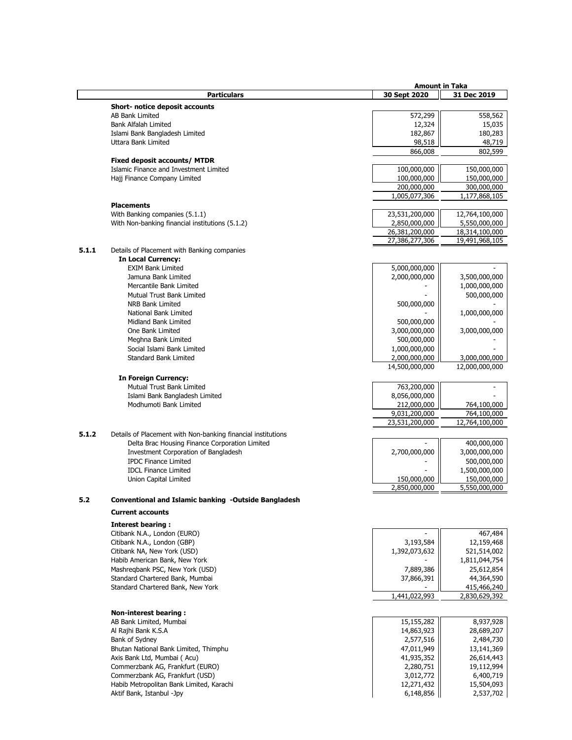|       |                                                              | <b>Amount in Taka</b> |                |
|-------|--------------------------------------------------------------|-----------------------|----------------|
|       | <b>Particulars</b>                                           | 30 Sept 2020          | 31 Dec 2019    |
|       | <b>Short- notice deposit accounts</b>                        |                       |                |
|       |                                                              |                       |                |
|       | <b>AB Bank Limited</b>                                       | 572,299               | 558,562        |
|       | Bank Alfalah Limited                                         | 12,324                | 15,035         |
|       | Islami Bank Bangladesh Limited                               | 182,867               | 180,283        |
|       | <b>Uttara Bank Limited</b>                                   | 98,518                | 48,719         |
|       |                                                              | 866,008               | 802,599        |
|       | Fixed deposit accounts/ MTDR                                 |                       |                |
|       | Islamic Finance and Investment Limited                       | 100,000,000           | 150,000,000    |
|       | Hajj Finance Company Limited                                 | 100,000,000           | 150,000,000    |
|       |                                                              | 200,000,000           | 300,000,000    |
|       |                                                              | 1,005,077,306         | 1,177,868,105  |
|       | <b>Placements</b>                                            |                       |                |
|       | With Banking companies (5.1.1)                               | 23,531,200,000        | 12,764,100,000 |
|       | With Non-banking financial institutions (5.1.2)              | 2,850,000,000         | 5,550,000,000  |
|       |                                                              | 26,381,200,000        | 18,314,100,000 |
|       |                                                              | 27,386,277,306        | 19,491,968,105 |
| 5.1.1 |                                                              |                       |                |
|       | Details of Placement with Banking companies                  |                       |                |
|       | <b>In Local Currency:</b>                                    |                       |                |
|       | <b>EXIM Bank Limited</b>                                     | 5,000,000,000         |                |
|       | Jamuna Bank Limited                                          | 2,000,000,000         | 3,500,000,000  |
|       | Mercantile Bank Limited                                      |                       | 1,000,000,000  |
|       | Mutual Trust Bank Limited                                    |                       | 500,000,000    |
|       | <b>NRB Bank Limited</b>                                      | 500,000,000           |                |
|       | National Bank Limited                                        |                       | 1,000,000,000  |
|       | Midland Bank Limited                                         | 500,000,000           |                |
|       | One Bank Limited                                             | 3,000,000,000         | 3,000,000,000  |
|       | Meghna Bank Limited                                          | 500,000,000           |                |
|       | Social Islami Bank Limited                                   | 1,000,000,000         |                |
|       | <b>Standard Bank Limited</b>                                 | 2,000,000,000         | 3,000,000,000  |
|       |                                                              | 14,500,000,000        | 12,000,000,000 |
|       |                                                              |                       |                |
|       | <b>In Foreign Currency:</b>                                  |                       |                |
|       | Mutual Trust Bank Limited                                    | 763,200,000           |                |
|       | Islami Bank Bangladesh Limited                               | 8,056,000,000         |                |
|       | Modhumoti Bank Limited                                       | 212,000,000           | 764,100,000    |
|       |                                                              | 9,031,200,000         | 764,100,000    |
|       |                                                              | 23,531,200,000        | 12,764,100,000 |
| 5.1.2 | Details of Placement with Non-banking financial institutions |                       |                |
|       | Delta Brac Housing Finance Corporation Limited               |                       | 400,000,000    |
|       | Investment Corporation of Bangladesh                         |                       |                |
|       |                                                              | 2,700,000,000         | 3,000,000,000  |
|       | <b>IPDC Finance Limited</b>                                  |                       | 500,000,000    |
|       | <b>IDCL Finance Limited</b>                                  |                       | 1,500,000,000  |
|       | Union Capital Limited                                        | 150,000,000           | 150,000,000    |
|       |                                                              | 2,850,000,000         | 5,550,000,000  |
| 5.2   | Conventional and Islamic banking -Outside Bangladesh         |                       |                |
|       |                                                              |                       |                |
|       | <b>Current accounts</b>                                      |                       |                |
|       | <b>Interest bearing:</b>                                     |                       |                |
|       | Citibank N.A., London (EURO)                                 |                       | 467,484        |
|       | Citibank N.A., London (GBP)                                  | 3,193,584             | 12,159,468     |
|       | Citibank NA, New York (USD)                                  | 1,392,073,632         | 521,514,002    |
|       | Habib American Bank, New York                                |                       | 1,811,044,754  |
|       | Mashregbank PSC, New York (USD)                              | 7,889,386             | 25,612,854     |
|       | Standard Chartered Bank, Mumbai                              | 37,866,391            | 44,364,590     |
|       | Standard Chartered Bank, New York                            |                       | 415,466,240    |
|       |                                                              | 1,441,022,993         | 2,830,629,392  |
|       |                                                              |                       |                |
|       | <b>Non-interest bearing:</b>                                 |                       |                |
|       |                                                              |                       | 8,937,928      |
|       | AB Bank Limited, Mumbai                                      | 15,155,282            |                |
|       | Al Rajhi Bank K.S.A                                          | 14,863,923            | 28,689,207     |
|       | Bank of Sydney                                               | 2,577,516             | 2,484,730      |
|       | Bhutan National Bank Limited, Thimphu                        | 47,011,949            | 13,141,369     |
|       | Axis Bank Ltd, Mumbai ( Acu)                                 | 41,935,352            | 26,614,443     |
|       | Commerzbank AG, Frankfurt (EURO)                             | 2,280,751             | 19,112,994     |
|       | Commerzbank AG, Frankfurt (USD)                              | 3,012,772             | 6,400,719      |
|       | Habib Metropolitan Bank Limited, Karachi                     | 12,271,432            | 15,504,093     |
|       | Aktif Bank, Istanbul -Jpy                                    | 6,148,856             | 2,537,702      |
|       |                                                              |                       |                |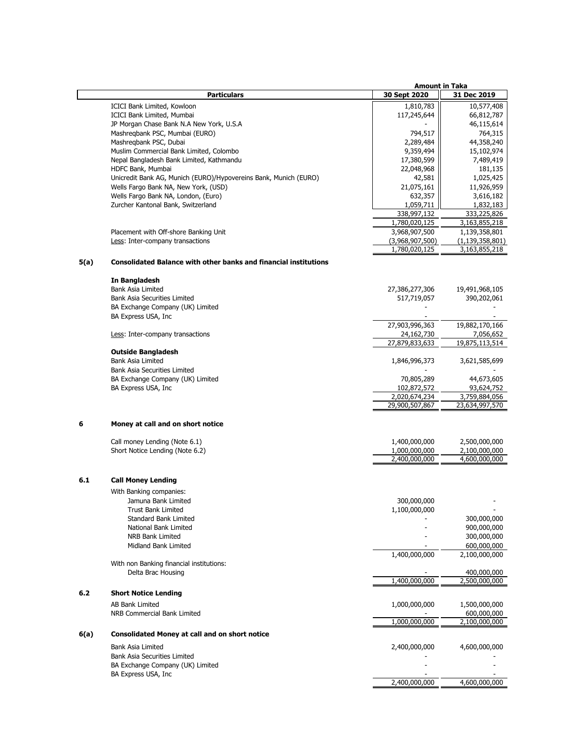|      |                                                                         | <b>Amount in Taka</b>           |                                 |
|------|-------------------------------------------------------------------------|---------------------------------|---------------------------------|
|      | <b>Particulars</b>                                                      | 30 Sept 2020                    | 31 Dec 2019                     |
|      | ICICI Bank Limited, Kowloon                                             | 1,810,783                       | 10,577,408                      |
|      | ICICI Bank Limited, Mumbai                                              | 117,245,644                     | 66,812,787                      |
|      | JP Morgan Chase Bank N.A New York, U.S.A                                |                                 | 46,115,614                      |
|      | Mashreqbank PSC, Mumbai (EURO)                                          | 794,517                         | 764,315                         |
|      | Mashregbank PSC, Dubai                                                  | 2,289,484                       | 44,358,240                      |
|      | Muslim Commercial Bank Limited, Colombo                                 | 9,359,494                       | 15,102,974                      |
|      | Nepal Bangladesh Bank Limited, Kathmandu                                | 17,380,599                      | 7,489,419                       |
|      | HDFC Bank, Mumbai                                                       | 22,048,968                      | 181,135                         |
|      | Unicredit Bank AG, Munich (EURO)/Hypovereins Bank, Munich (EURO)        | 42,581                          | 1,025,425                       |
|      | Wells Fargo Bank NA, New York, (USD)                                    | 21,075,161                      | 11,926,959                      |
|      | Wells Fargo Bank NA, London, (Euro)                                     | 632,357                         | 3,616,182                       |
|      | Zurcher Kantonal Bank, Switzerland                                      | 1,059,711                       | 1,832,183                       |
|      |                                                                         | 338,997,132                     | 333,225,826                     |
|      |                                                                         | 1,780,020,125                   | 3,163,855,218                   |
|      | Placement with Off-shore Banking Unit                                   | 3,968,907,500                   | 1,139,358,801                   |
|      | Less: Inter-company transactions                                        | (3,968,907,500)                 | (1, 139, 358, 801)              |
|      |                                                                         | 1,780,020,125                   | 3,163,855,218                   |
| 5(a) | <b>Consolidated Balance with other banks and financial institutions</b> |                                 |                                 |
|      | In Bangladesh                                                           |                                 |                                 |
|      | <b>Bank Asia Limited</b>                                                | 27,386,277,306                  | 19,491,968,105                  |
|      | Bank Asia Securities Limited                                            | 517,719,057                     | 390,202,061                     |
|      | BA Exchange Company (UK) Limited                                        |                                 |                                 |
|      | BA Express USA, Inc                                                     |                                 |                                 |
|      |                                                                         | 27,903,996,363                  | 19,882,170,166                  |
|      | Less: Inter-company transactions                                        | 24,162,730                      | 7,056,652                       |
|      |                                                                         | 27,879,833,633                  | 19,875,113,514                  |
|      | <b>Outside Bangladesh</b>                                               |                                 |                                 |
|      | <b>Bank Asia Limited</b>                                                | 1,846,996,373                   | 3,621,585,699                   |
|      | <b>Bank Asia Securities Limited</b>                                     |                                 |                                 |
|      | BA Exchange Company (UK) Limited                                        | 70,805,289                      | 44,673,605                      |
|      | BA Express USA, Inc.                                                    | 102,872,572                     | 93,624,752                      |
|      |                                                                         | 2,020,674,234<br>29,900,507,867 | 3,759,884,056<br>23,634,997,570 |
|      |                                                                         |                                 |                                 |
| 6    | Money at call and on short notice                                       |                                 |                                 |
|      |                                                                         |                                 |                                 |
|      | Call money Lending (Note 6.1)                                           | 1,400,000,000                   | 2,500,000,000                   |
|      | Short Notice Lending (Note 6.2)                                         | 1,000,000,000                   | 2,100,000,000                   |
|      |                                                                         | 2,400,000,000                   | 4,600,000,000                   |
| 6.1  | <b>Call Money Lending</b>                                               |                                 |                                 |
|      | With Banking companies:                                                 |                                 |                                 |
|      | Jamuna Bank Limited                                                     | 300,000,000                     |                                 |
|      | <b>Trust Bank Limited</b>                                               | 1,100,000,000                   |                                 |
|      | <b>Standard Bank Limited</b>                                            |                                 | 300,000,000                     |
|      | National Bank Limited                                                   |                                 | 900,000,000                     |
|      | NRB Bank Limited                                                        |                                 | 300,000,000                     |
|      | Midland Bank Limited                                                    |                                 | 600,000,000                     |
|      |                                                                         | 1,400,000,000                   | 2,100,000,000                   |
|      | With non Banking financial institutions:                                |                                 |                                 |
|      | Delta Brac Housing                                                      |                                 | 400,000,000                     |
|      |                                                                         | 1,400,000,000                   | 2,500,000,000                   |
| 6.2  | <b>Short Notice Lending</b>                                             |                                 |                                 |
|      |                                                                         |                                 |                                 |
|      | <b>AB Bank Limited</b>                                                  | 1,000,000,000                   | 1,500,000,000                   |
|      | NRB Commercial Bank Limited                                             | 1,000,000,000                   | 600,000,000<br>2,100,000,000    |
|      |                                                                         |                                 |                                 |
| 6(a) | <b>Consolidated Money at call and on short notice</b>                   |                                 |                                 |
|      | Bank Asia Limited                                                       | 2,400,000,000                   | 4,600,000,000                   |
|      | <b>Bank Asia Securities Limited</b>                                     |                                 |                                 |
|      | BA Exchange Company (UK) Limited                                        |                                 |                                 |
|      | BA Express USA, Inc                                                     |                                 |                                 |
|      |                                                                         | 2,400,000,000                   | 4,600,000,000                   |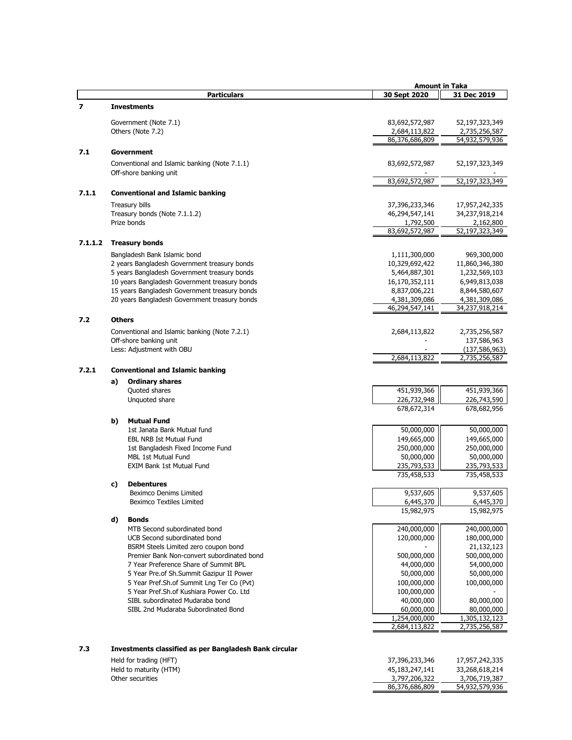|         |    |                                                        | <b>Amount in Taka</b>           |                                 |
|---------|----|--------------------------------------------------------|---------------------------------|---------------------------------|
|         |    | <b>Particulars</b>                                     | 30 Sept 2020                    | 31 Dec 2019                     |
| 7       |    | <b>Investments</b>                                     |                                 |                                 |
|         |    |                                                        |                                 |                                 |
|         |    | Government (Note 7.1)                                  | 83,692,572,987                  | 52,197,323,349                  |
|         |    | Others (Note 7.2)                                      | 2,684,113,822<br>86,376,686,809 | 2,735,256,587<br>54,932,579,936 |
| 7.1     |    |                                                        |                                 |                                 |
|         |    | Government                                             |                                 |                                 |
|         |    | Conventional and Islamic banking (Note 7.1.1)          | 83,692,572,987                  | 52,197,323,349                  |
|         |    | Off-shore banking unit                                 | 83,692,572,987                  | 52,197,323,349                  |
| 7.1.1   |    |                                                        |                                 |                                 |
|         |    | <b>Conventional and Islamic banking</b>                |                                 |                                 |
|         |    | Treasury bills                                         | 37,396,233,346                  | 17,957,242,335                  |
|         |    | Treasury bonds (Note 7.1.1.2)                          | 46,294,547,141                  | 34,237,918,214                  |
|         |    | Prize bonds                                            | 1,792,500<br>83,692,572,987     | 2,162,800<br>52,197,323,349     |
|         |    |                                                        |                                 |                                 |
| 7.1.1.2 |    | <b>Treasury bonds</b>                                  |                                 |                                 |
|         |    | Bangladesh Bank Islamic bond                           | 1,111,300,000                   | 969,300,000                     |
|         |    | 2 years Bangladesh Government treasury bonds           | 10,329,692,422                  | 11,860,346,380                  |
|         |    | 5 years Bangladesh Government treasury bonds           | 5,464,887,301                   | 1,232,569,103                   |
|         |    | 10 years Bangladesh Government treasury bonds          | 16,170,352,111                  | 6,949,813,038                   |
|         |    | 15 years Bangladesh Government treasury bonds          | 8,837,006,221                   | 8,844,580,607                   |
|         |    | 20 years Bangladesh Government treasury bonds          | 4,381,309,086                   | 4,381,309,086                   |
|         |    |                                                        | 46,294,547,141                  | 34,237,918,214                  |
| 7.2     |    | <b>Others</b>                                          |                                 |                                 |
|         |    | Conventional and Islamic banking (Note 7.2.1)          | 2,684,113,822                   | 2,735,256,587                   |
|         |    | Off-shore banking unit                                 |                                 | 137,586,963                     |
|         |    | Less: Adjustment with OBU                              |                                 | (137, 586, 963)                 |
|         |    |                                                        | 2,684,113,822                   | 2,735,256,587                   |
| 7.2.1   |    | <b>Conventional and Islamic banking</b>                |                                 |                                 |
|         | a) | <b>Ordinary shares</b>                                 |                                 |                                 |
|         |    | Quoted shares                                          | 451,939,366                     | 451,939,366                     |
|         |    | Unquoted share                                         | 226,732,948                     | 226,743,590                     |
|         |    |                                                        | 678,672,314                     | 678,682,956                     |
|         | b) | <b>Mutual Fund</b>                                     |                                 |                                 |
|         |    | 1st Janata Bank Mutual fund                            | 50,000,000                      | 50,000,000                      |
|         |    | <b>EBL NRB Ist Mutual Fund</b>                         | 149,665,000                     | 149,665,000                     |
|         |    | 1st Bangladesh Fixed Income Fund                       | 250,000,000                     | 250,000,000                     |
|         |    | MBL 1st Mutual Fund                                    | 50,000,000                      | 50,000,000                      |
|         |    | <b>EXIM Bank 1st Mutual Fund</b>                       | 235,793,533                     | 235,793,533                     |
|         | c) | <b>Debentures</b>                                      | 735,458,533                     | 735,458,533                     |
|         |    | Beximco Denims Limited                                 | 9,537,605                       | 9,537,605                       |
|         |    | Beximco Textiles Limited                               | 6,445,370                       | 6,445,370                       |
|         |    |                                                        | 15,982,975                      | 15,982,975                      |
|         | d) | <b>Bonds</b>                                           |                                 |                                 |
|         |    | MTB Second subordinated bond                           | 240,000,000                     | 240,000,000                     |
|         |    | UCB Second subordinated bond                           | 120,000,000                     | 180,000,000                     |
|         |    | BSRM Steels Limited zero coupon bond                   |                                 | 21,132,123                      |
|         |    | Premier Bank Non-convert subordinated bond             | 500,000,000                     | 500,000,000                     |
|         |    | 7 Year Preference Share of Summit BPL                  | 44,000,000                      | 54,000,000                      |
|         |    | 5 Year Pre.of Sh.Summit Gazipur II Power               | 50,000,000                      | 50,000,000                      |
|         |    | 5 Year Pref.Sh.of Summit Lng Ter Co (Pvt)              | 100,000,000                     | 100,000,000                     |
|         |    | 5 Year Pref.Sh.of Kushiara Power Co. Ltd               | 100,000,000                     |                                 |
|         |    | SIBL subordinated Mudaraba bond                        | 40,000,000                      | 80,000,000                      |
|         |    | SIBL 2nd Mudaraba Subordinated Bond                    | 60,000,000                      | 80,000,000                      |
|         |    |                                                        | 1,254,000,000                   | 1,305,132,123                   |
|         |    |                                                        | 2,684,113,822                   | 2,735,256,587                   |
|         |    |                                                        |                                 |                                 |
| 7.3     |    | Investments classified as per Bangladesh Bank circular |                                 |                                 |
|         |    |                                                        |                                 |                                 |

Held for trading (HFT) Held to maturity (HTM) Other securities

| 37,396,233,346 | 17,957,242,335 |
|----------------|----------------|
| 45,183,247,141 | 33,268,618,214 |
| 3,797,206,322  | 3,706,719,387  |
| 86,376,686,809 | 54,932,579,936 |
|                |                |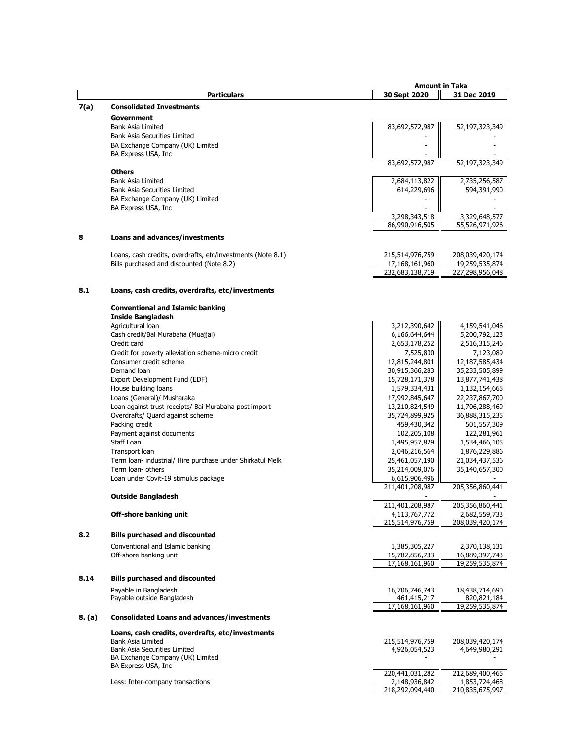|        |                                                                                                          | <b>Amount in Taka</b>             |                                   |
|--------|----------------------------------------------------------------------------------------------------------|-----------------------------------|-----------------------------------|
|        | <b>Particulars</b>                                                                                       | 30 Sept 2020                      | 31 Dec 2019                       |
| 7(a)   | <b>Consolidated Investments</b>                                                                          |                                   |                                   |
|        | Government                                                                                               |                                   |                                   |
|        | <b>Bank Asia Limited</b>                                                                                 | 83,692,572,987                    | 52,197,323,349                    |
|        | Bank Asia Securities Limited                                                                             |                                   |                                   |
|        | BA Exchange Company (UK) Limited                                                                         |                                   |                                   |
|        | BA Express USA, Inc                                                                                      |                                   |                                   |
|        |                                                                                                          | 83,692,572,987                    | 52,197,323,349                    |
|        | <b>Others</b>                                                                                            |                                   |                                   |
|        | Bank Asia Limited                                                                                        | 2,684,113,822                     | 2,735,256,587                     |
|        | <b>Bank Asia Securities Limited</b>                                                                      | 614,229,696                       | 594,391,990                       |
|        | BA Exchange Company (UK) Limited                                                                         |                                   |                                   |
|        | BA Express USA, Inc                                                                                      |                                   |                                   |
|        |                                                                                                          | 3,298,343,518<br>86,990,916,505   | 3,329,648,577                     |
|        |                                                                                                          |                                   | 55,526,971,926                    |
| 8      | Loans and advances/investments                                                                           |                                   |                                   |
|        |                                                                                                          |                                   |                                   |
|        | Loans, cash credits, overdrafts, etc/investments (Note 8.1)<br>Bills purchased and discounted (Note 8.2) | 215,514,976,759                   | 208,039,420,174                   |
|        |                                                                                                          | 17,168,161,960<br>232,683,138,719 | 19,259,535,874<br>227,298,956,048 |
|        |                                                                                                          |                                   |                                   |
| 8.1    | Loans, cash credits, overdrafts, etc/investments                                                         |                                   |                                   |
|        |                                                                                                          |                                   |                                   |
|        | <b>Conventional and Islamic banking</b><br><b>Inside Bangladesh</b>                                      |                                   |                                   |
|        | Agricultural loan                                                                                        | 3,212,390,642                     | 4,159,541,046                     |
|        | Cash credit/Bai Murabaha (Muajjal)                                                                       | 6,166,644,644                     | 5,200,792,123                     |
|        | Credit card                                                                                              | 2,653,178,252                     | 2,516,315,246                     |
|        | Credit for poverty alleviation scheme-micro credit                                                       | 7,525,830                         | 7,123,089                         |
|        | Consumer credit scheme                                                                                   | 12,815,244,801                    | 12,187,585,434                    |
|        | Demand loan                                                                                              | 30,915,366,283                    | 35,233,505,899                    |
|        | Export Development Fund (EDF)                                                                            | 15,728,171,378                    | 13,877,741,438                    |
|        | House building loans                                                                                     | 1,579,334,431                     | 1,132,154,665                     |
|        | Loans (General)/ Musharaka                                                                               | 17,992,845,647                    | 22,237,867,700                    |
|        | Loan against trust receipts/ Bai Murabaha post import                                                    | 13,210,824,549                    | 11,706,288,469                    |
|        | Overdrafts/ Quard against scheme                                                                         | 35,724,899,925                    | 36,888,315,235                    |
|        | Packing credit                                                                                           | 459,430,342                       | 501,557,309                       |
|        | Payment against documents                                                                                | 102,205,108                       | 122,281,961                       |
|        | Staff Loan                                                                                               | 1,495,957,829                     | 1,534,466,105                     |
|        | Transport loan                                                                                           | 2,046,216,564                     | 1,876,229,886                     |
|        | Term Ioan- industrial/ Hire purchase under Shirkatul Melk<br>Term loan- others                           | 25,461,057,190                    | 21,034,437,536                    |
|        | Loan under Covit-19 stimulus package                                                                     | 35,214,009,076<br>6,615,906,496   | 35,140,657,300                    |
|        |                                                                                                          | 211,401,208,987                   | 205,356,860,441                   |
|        | <b>Outside Bangladesh</b>                                                                                |                                   |                                   |
|        |                                                                                                          | 211,401,208,987                   | 205,356,860,441                   |
|        | Off-shore banking unit                                                                                   | 4,113,767,772                     | 2,682,559,733                     |
|        |                                                                                                          | 215,514,976,759                   | 208,039,420,174                   |
| 8.2    | <b>Bills purchased and discounted</b>                                                                    |                                   |                                   |
|        | Conventional and Islamic banking                                                                         | 1,385,305,227                     | 2,370,138,131                     |
|        | Off-shore banking unit                                                                                   | 15,782,856,733                    | 16,889,397,743                    |
|        |                                                                                                          | 17,168,161,960                    | 19,259,535,874                    |
| 8.14   | <b>Bills purchased and discounted</b>                                                                    |                                   |                                   |
|        | Payable in Bangladesh                                                                                    | 16,706,746,743                    | 18,438,714,690                    |
|        | Payable outside Bangladesh                                                                               | 461,415,217                       | 820,821,184                       |
|        |                                                                                                          | 17,168,161,960                    | 19,259,535,874                    |
| 8. (a) | <b>Consolidated Loans and advances/investments</b>                                                       |                                   |                                   |
|        | Loans, cash credits, overdrafts, etc/investments                                                         |                                   |                                   |
|        | Bank Asia Limited                                                                                        | 215,514,976,759                   | 208,039,420,174                   |
|        | Bank Asia Securities Limited                                                                             | 4,926,054,523                     | 4,649,980,291                     |
|        | BA Exchange Company (UK) Limited                                                                         |                                   |                                   |
|        | BA Express USA, Inc                                                                                      |                                   |                                   |
|        |                                                                                                          | 220,441,031,282                   | 212,689,400,465                   |
|        | Less: Inter-company transactions                                                                         | 2,148,936,842<br>218,292,094,440  | 1,853,724,468<br>210,835,675,997  |
|        |                                                                                                          |                                   |                                   |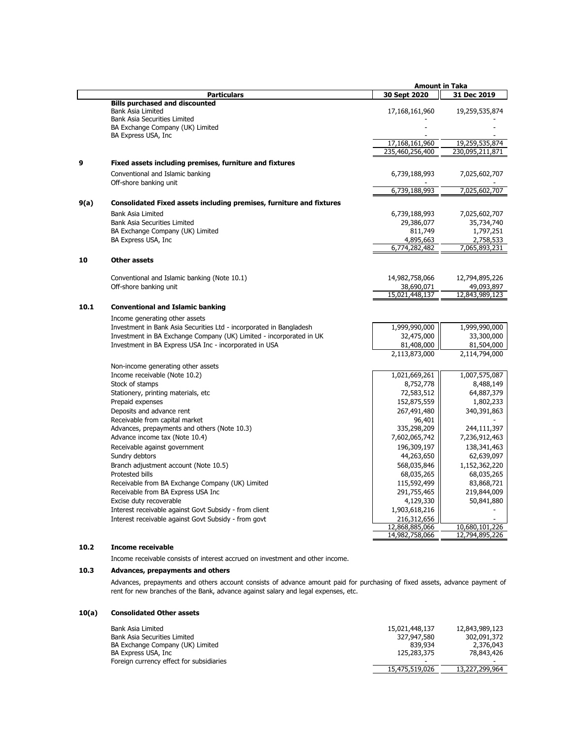|      |                                                                      | <b>Amount in Taka</b> |                 |
|------|----------------------------------------------------------------------|-----------------------|-----------------|
|      | <b>Particulars</b>                                                   | 30 Sept 2020          | 31 Dec 2019     |
|      | <b>Bills purchased and discounted</b>                                |                       |                 |
|      | <b>Bank Asia Limited</b>                                             | 17,168,161,960        | 19,259,535,874  |
|      | <b>Bank Asia Securities Limited</b>                                  |                       |                 |
|      | BA Exchange Company (UK) Limited                                     |                       |                 |
|      | BA Express USA, Inc                                                  |                       |                 |
|      |                                                                      | 17,168,161,960        | 19,259,535,874  |
|      |                                                                      | 235,460,256,400       | 230,095,211,871 |
| 9    | Fixed assets including premises, furniture and fixtures              |                       |                 |
|      | Conventional and Islamic banking                                     | 6,739,188,993         | 7,025,602,707   |
|      | Off-shore banking unit                                               |                       |                 |
|      |                                                                      | 6,739,188,993         | 7,025,602,707   |
| 9(a) | Consolidated Fixed assets including premises, furniture and fixtures |                       |                 |
|      | <b>Bank Asia Limited</b>                                             | 6,739,188,993         | 7,025,602,707   |
|      | <b>Bank Asia Securities Limited</b>                                  | 29,386,077            | 35,734,740      |
|      | BA Exchange Company (UK) Limited                                     | 811,749               | 1,797,251       |
|      | BA Express USA, Inc                                                  | 4,895,663             | 2,758,533       |
|      |                                                                      | 6,774,282,482         | 7,065,893,231   |
| 10   | <b>Other assets</b>                                                  |                       |                 |
|      |                                                                      |                       |                 |
|      | Conventional and Islamic banking (Note 10.1)                         | 14,982,758,066        | 12,794,895,226  |
|      | Off-shore banking unit                                               | 38,690,071            | 49,093,897      |
|      |                                                                      | 15,021,448,137        | 12,843,989,123  |
| 10.1 | <b>Conventional and Islamic banking</b>                              |                       |                 |
|      | Income generating other assets                                       |                       |                 |
|      | Investment in Bank Asia Securities Ltd - incorporated in Bangladesh  | 1,999,990,000         | 1,999,990,000   |
|      | Investment in BA Exchange Company (UK) Limited - incorporated in UK  | 32,475,000            | 33,300,000      |
|      | Investment in BA Express USA Inc - incorporated in USA               | 81,408,000            | 81,504,000      |
|      |                                                                      | 2,113,873,000         | 2,114,794,000   |
|      |                                                                      |                       |                 |
|      | Non-income generating other assets                                   |                       |                 |
|      | Income receivable (Note 10.2)                                        | 1,021,669,261         | 1,007,575,087   |
|      | Stock of stamps                                                      | 8,752,778             | 8,488,149       |
|      | Stationery, printing materials, etc                                  | 72,583,512            | 64,887,379      |
|      | Prepaid expenses                                                     | 152,875,559           | 1,802,233       |
|      | Deposits and advance rent                                            | 267,491,480           | 340,391,863     |
|      | Receivable from capital market                                       | 96,401                |                 |
|      | Advances, prepayments and others (Note 10.3)                         | 335,298,209           | 244,111,397     |
|      | Advance income tax (Note 10.4)                                       | 7,602,065,742         | 7,236,912,463   |
|      | Receivable against government                                        | 196,309,197           | 138,341,463     |
|      | Sundry debtors                                                       | 44,263,650            | 62,639,097      |
|      | Branch adjustment account (Note 10.5)                                | 568,035,846           | 1,152,362,220   |
|      | Protested bills                                                      | 68,035,265            | 68,035,265      |
|      | Receivable from BA Exchange Company (UK) Limited                     | 115,592,499           | 83,868,721      |
|      | Receivable from BA Express USA Inc                                   | 291,755,465           | 219,844,009     |
|      | Excise duty recoverable                                              | 4,129,330             | 50,841,880      |
|      | Interest receivable against Govt Subsidy - from client               | 1,903,618,216         |                 |
|      | Interest receivable against Govt Subsidy - from govt                 | 216,312,656           |                 |
|      |                                                                      | 12,868,885,066        | 10,680,101,226  |
|      |                                                                      | 14,982,758,066        | 12,794,895,226  |
| 10.2 | Income receivable                                                    |                       |                 |

Income receivable consists of interest accrued on investment and other income.

## **10.3 Advances, prepayments and others**

Advances, prepayments and others account consists of advance amount paid for purchasing of fixed assets, advance payment of rent for new branches of the Bank, advance against salary and legal expenses, etc.

## **10(a) Consolidated Other assets**

| Bank Asia Limited                        | 15,021,448,137           | 12,843,989,123 |
|------------------------------------------|--------------------------|----------------|
| <b>Bank Asia Securities Limited</b>      | 327,947,580              | 302,091,372    |
| BA Exchange Company (UK) Limited         | 839.934                  | 2,376,043      |
| BA Express USA, Inc                      | 125,283,375              | 78,843,426     |
| Foreign currency effect for subsidiaries | $\overline{\phantom{a}}$ | -              |
|                                          | 15,475,519,026           | 13,227,299,964 |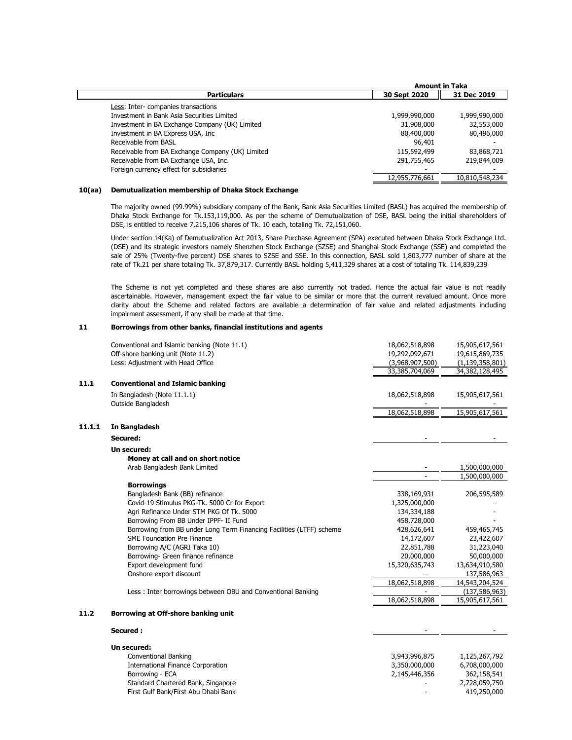|                                                  | <b>Amount in Taka</b> |                |
|--------------------------------------------------|-----------------------|----------------|
| <b>Particulars</b>                               | 30 Sept 2020          | 31 Dec 2019    |
| Less: Inter-companies transactions               |                       |                |
| Investment in Bank Asia Securities Limited       | 1,999,990,000         | 1,999,990,000  |
| Investment in BA Exchange Company (UK) Limited   | 31,908,000            | 32,553,000     |
| Investment in BA Express USA, Inc.               | 80,400,000            | 80,496,000     |
| Receivable from BASL                             | 96,401                |                |
| Receivable from BA Exchange Company (UK) Limited | 115,592,499           | 83,868,721     |
| Receivable from BA Exchange USA, Inc.            | 291,755,465           | 219,844,009    |
| Foreign currency effect for subsidiaries         |                       |                |
|                                                  | 12,955,776,661        | 10,810,548,234 |
|                                                  |                       |                |

## **10(aa) Demutualization membership of Dhaka Stock Exchange**

The majority owned (99.99%) subsidiary company of the Bank, Bank Asia Securities Limited (BASL) has acquired the membership of Dhaka Stock Exchange for Tk.153,119,000. As per the scheme of Demutualization of DSE, BASL being the initial shareholders of DSE, is entitled to receive 7,215,106 shares of Tk. 10 each, totaling Tk. 72,151,060.

Under section 14(Ka) of Demutualization Act 2013, Share Purchase Agreement (SPA) executed between Dhaka Stock Exchange Ltd. (DSE) and its strategic investors namely Shenzhen Stock Exchange (SZSE) and Shanghai Stock Exchange (SSE) and completed the sale of 25% (Twenty-five percent) DSE shares to SZSE and SSE. In this connection, BASL sold 1,803,777 number of share at the rate of Tk.21 per share totaling Tk. 37,879,317. Currently BASL holding 5,411,329 shares at a cost of totaling Tk. 114,839,239

The Scheme is not yet completed and these shares are also currently not traded. Hence the actual fair value is not readily ascertainable. However, management expect the fair value to be similar or more that the current revalued amount. Once more clarity about the Scheme and related factors are available a determination of fair value and related adjustments including impairment assessment, if any shall be made at that time.

#### **11 Borrowings from other banks, financial institutions and agents**

|        | Conventional and Islamic banking (Note 11.1)                         | 18,062,518,898  | 15,905,617,561                    |
|--------|----------------------------------------------------------------------|-----------------|-----------------------------------|
|        | Off-shore banking unit (Note 11.2)                                   | 19,292,092,671  | 19,615,869,735                    |
|        | Less: Adjustment with Head Office                                    | (3,968,907,500) | (1, 139, 358, 801)                |
|        |                                                                      | 33,385,704,069  | 34,382,128,495                    |
| 11.1   | <b>Conventional and Islamic banking</b>                              |                 |                                   |
|        | In Bangladesh (Note 11.1.1)                                          | 18,062,518,898  | 15,905,617,561                    |
|        | Outside Bangladesh                                                   | 18,062,518,898  | 15,905,617,561                    |
| 11.1.1 | In Bangladesh                                                        |                 |                                   |
|        | Secured:                                                             |                 |                                   |
|        | Un secured:                                                          |                 |                                   |
|        | Money at call and on short notice                                    |                 |                                   |
|        | Arab Bangladesh Bank Limited                                         |                 | 1,500,000,000                     |
|        |                                                                      |                 | 1,500,000,000                     |
|        | <b>Borrowings</b>                                                    |                 |                                   |
|        | Bangladesh Bank (BB) refinance                                       | 338,169,931     | 206,595,589                       |
|        | Covid-19 Stimulus PKG-Tk. 5000 Cr for Export                         | 1,325,000,000   |                                   |
|        | Agri Refinance Under STM PKG Of Tk. 5000                             | 134,334,188     |                                   |
|        | Borrowing From BB Under IPPF- II Fund                                | 458,728,000     |                                   |
|        | Borrowing from BB under Long Term Financing Facilities (LTFF) scheme | 428,626,641     | 459,465,745                       |
|        | SME Foundation Pre Finance                                           | 14,172,607      | 23,422,607                        |
|        | Borrowing A/C (AGRI Taka 10)                                         | 22,851,788      | 31,223,040                        |
|        | Borrowing- Green finance refinance                                   | 20,000,000      | 50,000,000                        |
|        | Export development fund                                              | 15,320,635,743  | 13,634,910,580                    |
|        | Onshore export discount                                              |                 | 137,586,963                       |
|        |                                                                      | 18,062,518,898  | 14,543,204,524                    |
|        | Less: Inter borrowings between OBU and Conventional Banking          | 18,062,518,898  | (137, 586, 963)<br>15,905,617,561 |
|        |                                                                      |                 |                                   |
| 11.2   | Borrowing at Off-shore banking unit                                  |                 |                                   |
|        | Secured:                                                             |                 |                                   |
|        | Un secured:                                                          |                 |                                   |
|        | <b>Conventional Banking</b>                                          | 3,943,996,875   | 1,125,267,792                     |
|        | International Finance Corporation                                    | 3,350,000,000   | 6,708,000,000                     |
|        | Borrowing - ECA                                                      | 2,145,446,356   | 362,158,541                       |

Standard Chartered Bank, Singapore and Standard Chartered Bank, Singapore - 2,728,059,750<br>First Gulf Bank/First Abu Dhabi Bank First Gulf Bank/First Abu Dhabi Bank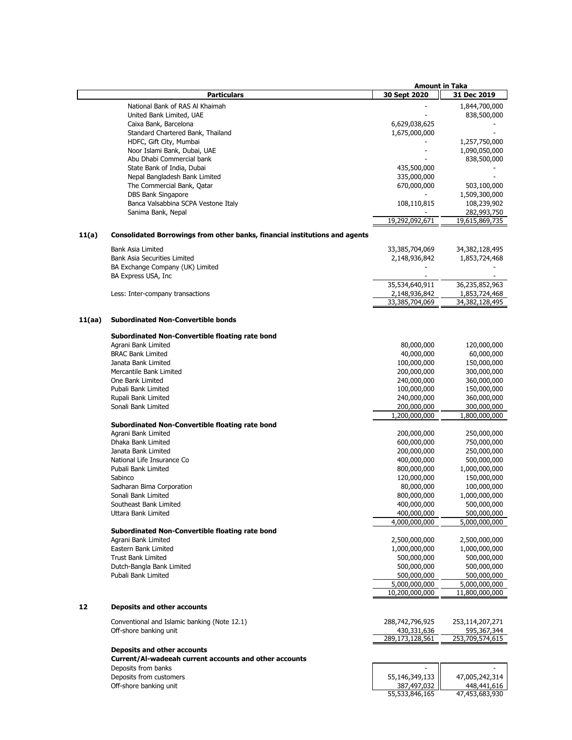|        |                                                                                              | <b>Amount in Taka</b>        |                              |
|--------|----------------------------------------------------------------------------------------------|------------------------------|------------------------------|
|        | <b>Particulars</b>                                                                           | 30 Sept 2020                 | 31 Dec 2019                  |
|        | National Bank of RAS Al Khaimah                                                              |                              | 1,844,700,000                |
|        | United Bank Limited, UAE                                                                     |                              | 838,500,000                  |
|        | Caixa Bank, Barcelona                                                                        | 6,629,038,625                |                              |
|        | Standard Chartered Bank, Thailand                                                            | 1,675,000,000                |                              |
|        | HDFC, Gift City, Mumbai                                                                      |                              | 1,257,750,000                |
|        | Noor Islami Bank, Dubai, UAE                                                                 |                              | 1,090,050,000                |
|        | Abu Dhabi Commercial bank<br>State Bank of India, Dubai                                      | 435,500,000                  | 838,500,000                  |
|        | Nepal Bangladesh Bank Limited                                                                | 335,000,000                  |                              |
|        | The Commercial Bank, Qatar                                                                   | 670,000,000                  | 503,100,000                  |
|        | DBS Bank Singapore                                                                           |                              | 1,509,300,000                |
|        | Banca Valsabbina SCPA Vestone Italy                                                          | 108,110,815                  | 108,239,902                  |
|        | Sanima Bank, Nepal                                                                           |                              | 282,993,750                  |
|        |                                                                                              | 19,292,092,671               | 19,615,869,735               |
| 11(a)  | Consolidated Borrowings from other banks, financial institutions and agents                  |                              |                              |
|        | <b>Bank Asia Limited</b>                                                                     | 33,385,704,069               | 34,382,128,495               |
|        | <b>Bank Asia Securities Limited</b>                                                          | 2,148,936,842                | 1,853,724,468                |
|        | BA Exchange Company (UK) Limited                                                             |                              |                              |
|        | BA Express USA, Inc                                                                          |                              |                              |
|        |                                                                                              | 35,534,640,911               | 36,235,852,963               |
|        | Less: Inter-company transactions                                                             | 2,148,936,842                | 1,853,724,468                |
|        |                                                                                              | 33,385,704,069               | 34,382,128,495               |
| 11(aa) | <b>Subordinated Non-Convertible bonds</b>                                                    |                              |                              |
|        | Subordinated Non-Convertible floating rate bond                                              |                              |                              |
|        | Agrani Bank Limited                                                                          | 80,000,000                   | 120,000,000                  |
|        | <b>BRAC Bank Limited</b>                                                                     | 40,000,000                   | 60,000,000                   |
|        | Janata Bank Limited                                                                          | 100,000,000                  | 150,000,000                  |
|        | Mercantile Bank Limited                                                                      | 200,000,000                  | 300,000,000                  |
|        | One Bank Limited                                                                             | 240,000,000                  | 360,000,000                  |
|        | Pubali Bank Limited<br>Rupali Bank Limited                                                   | 100,000,000<br>240,000,000   | 150,000,000<br>360,000,000   |
|        | Sonali Bank Limited                                                                          | 200,000,000                  | 300,000,000                  |
|        |                                                                                              | 1,200,000,000                | 1,800,000,000                |
|        | Subordinated Non-Convertible floating rate bond                                              |                              |                              |
|        | Agrani Bank Limited                                                                          | 200,000,000                  | 250,000,000                  |
|        | Dhaka Bank Limited                                                                           | 600,000,000                  | 750,000,000                  |
|        | Janata Bank Limited                                                                          | 200,000,000                  | 250,000,000                  |
|        | National Life Insurance Co                                                                   | 400,000,000                  | 500,000,000                  |
|        | Pubali Bank Limited                                                                          | 800,000,000                  | 1,000,000,000                |
|        | Sabinco                                                                                      | 120,000,000<br>80,000,000    | 150,000,000                  |
|        | Sadharan Bima Corporation<br>Sonali Bank Limited                                             | 800,000,000                  | 100,000,000<br>1,000,000,000 |
|        | Southeast Bank Limited                                                                       | 400,000,000                  | 500,000,000                  |
|        | Uttara Bank Limited                                                                          | 400,000,000                  | 500,000,000                  |
|        |                                                                                              | 4,000,000,000                | 5,000,000,000                |
|        | Subordinated Non-Convertible floating rate bond                                              |                              |                              |
|        | Agrani Bank Limited                                                                          | 2,500,000,000                | 2,500,000,000                |
|        | Eastern Bank Limited                                                                         | 1,000,000,000                | 1,000,000,000                |
|        | <b>Trust Bank Limited</b>                                                                    | 500,000,000                  | 500,000,000                  |
|        | Dutch-Bangla Bank Limited                                                                    | 500,000,000                  | 500,000,000                  |
|        | Pubali Bank Limited                                                                          | 500,000,000<br>5,000,000,000 | 500,000,000<br>5,000,000,000 |
|        |                                                                                              | 10,200,000,000               | 11,800,000,000               |
| 12     | <b>Deposits and other accounts</b>                                                           |                              |                              |
|        | Conventional and Islamic banking (Note 12.1)                                                 | 288,742,796,925              | 253,114,207,271              |
|        | Off-shore banking unit                                                                       | 430,331,636                  | 595,367,344                  |
|        |                                                                                              | 289,173,128,561              | 253,709,574,615              |
|        | <b>Deposits and other accounts</b><br>Current/Al-wadeeah current accounts and other accounts |                              |                              |
|        | Deposits from banks                                                                          |                              |                              |
|        | Deposits from customers                                                                      | 55,146,349,133               | 47,005,242,314               |
|        | Off-shore banking unit                                                                       | 387,497,032                  | 448,441,616                  |
|        |                                                                                              | 55,533,846,165               | 47,453,683,930               |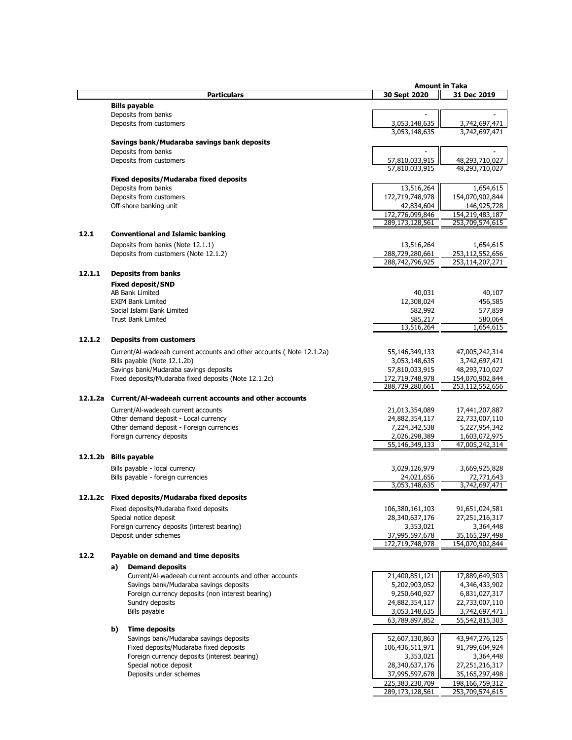|         |    |                                                                       | <b>Amount in Taka</b>              |                                    |  |
|---------|----|-----------------------------------------------------------------------|------------------------------------|------------------------------------|--|
|         |    | <b>Particulars</b>                                                    | 30 Sept 2020                       | 31 Dec 2019                        |  |
|         |    | <b>Bills payable</b>                                                  |                                    |                                    |  |
|         |    | Deposits from banks                                                   |                                    |                                    |  |
|         |    | Deposits from customers                                               | 3,053,148,635                      | 3,742,697,471                      |  |
|         |    |                                                                       | 3,053,148,635                      | 3,742,697,471                      |  |
|         |    |                                                                       |                                    |                                    |  |
|         |    | Savings bank/Mudaraba savings bank deposits<br>Deposits from banks    |                                    |                                    |  |
|         |    |                                                                       |                                    |                                    |  |
|         |    | Deposits from customers                                               | 57,810,033,915                     | 48,293,710,027<br>48,293,710,027   |  |
|         |    |                                                                       | 57,810,033,915                     |                                    |  |
|         |    | <b>Fixed deposits/Mudaraba fixed deposits</b>                         |                                    |                                    |  |
|         |    | Deposits from banks                                                   | 13,516,264                         | 1,654,615                          |  |
|         |    | Deposits from customers                                               | 172,719,748,978                    | 154,070,902,844                    |  |
|         |    | Off-shore banking unit                                                | 42,834,604                         | 146,925,728                        |  |
|         |    |                                                                       | 172,776,099,846                    | 154, 219, 483, 187                 |  |
|         |    |                                                                       | 289,173,128,561                    | 253,709,574,615                    |  |
| 12.1    |    | <b>Conventional and Islamic banking</b>                               |                                    |                                    |  |
|         |    | Deposits from banks (Note 12.1.1)                                     | 13,516,264                         | 1,654,615                          |  |
|         |    | Deposits from customers (Note 12.1.2)                                 | 288,729,280,661                    | 253,112,552,656                    |  |
|         |    |                                                                       | 288,742,796,925                    | 253, 114, 207, 271                 |  |
|         |    |                                                                       |                                    |                                    |  |
| 12.1.1  |    | <b>Deposits from banks</b>                                            |                                    |                                    |  |
|         |    | <b>Fixed deposit/SND</b>                                              |                                    |                                    |  |
|         |    | AB Bank Limited                                                       | 40,031                             | 40,107                             |  |
|         |    | <b>EXIM Bank Limited</b>                                              | 12,308,024                         | 456,585                            |  |
|         |    | Social Islami Bank Limited                                            | 582,992                            | 577,859                            |  |
|         |    | <b>Trust Bank Limited</b>                                             | 585,217                            | 580,064                            |  |
|         |    |                                                                       | 13,516,264                         | 1,654,615                          |  |
| 12.1.2  |    | <b>Deposits from customers</b>                                        |                                    |                                    |  |
|         |    |                                                                       |                                    |                                    |  |
|         |    | Current/Al-wadeeah current accounts and other accounts (Note 12.1.2a) | 55,146,349,133                     | 47,005,242,314                     |  |
|         |    | Bills payable (Note 12.1.2b)                                          | 3,053,148,635                      | 3,742,697,471                      |  |
|         |    | Savings bank/Mudaraba savings deposits                                | 57,810,033,915                     | 48,293,710,027                     |  |
|         |    | Fixed deposits/Mudaraba fixed deposits (Note 12.1.2c)                 | 172,719,748,978                    | 154,070,902,844                    |  |
|         |    |                                                                       | 288,729,280,661                    | 253,112,552,656                    |  |
| 12.1.2a |    | Current/Al-wadeeah current accounts and other accounts                |                                    |                                    |  |
|         |    | Current/Al-wadeeah current accounts                                   | 21,013,354,089                     | 17,441,207,887                     |  |
|         |    | Other demand deposit - Local currency                                 | 24,882,354,117                     | 22,733,007,110                     |  |
|         |    | Other demand deposit - Foreign currencies                             | 7,224,342,538                      | 5,227,954,342                      |  |
|         |    | Foreign currency deposits                                             | 2,026,298,389                      | 1,603,072,975                      |  |
|         |    |                                                                       | 55,146,349,133                     | 47,005,242,314                     |  |
|         |    |                                                                       |                                    |                                    |  |
| 12.1.2b |    | <b>Bills payable</b>                                                  |                                    |                                    |  |
|         |    | Bills payable - local currency                                        | 3,029,126,979                      | 3,669,925,828                      |  |
|         |    | Bills payable - foreign currencies                                    | 24,021,656                         | 72,771,643                         |  |
|         |    |                                                                       | 3,053,148,635                      | 3,742,697,471                      |  |
|         |    | 12.1.2c Fixed deposits/Mudaraba fixed deposits                        |                                    |                                    |  |
|         |    |                                                                       |                                    |                                    |  |
|         |    | Fixed deposits/Mudaraba fixed deposits                                | 106,380,161,103                    | 91,651,024,581                     |  |
|         |    | Special notice deposit                                                | 28,340,637,176                     | 27,251,216,317                     |  |
|         |    | Foreign currency deposits (interest bearing)                          | 3,353,021                          | 3,364,448                          |  |
|         |    | Deposit under schemes                                                 | 37,995,597,678                     | 35,165,297,498                     |  |
|         |    |                                                                       | 172,719,748,978                    | 154,070,902,844                    |  |
| 12.2    |    | Payable on demand and time deposits                                   |                                    |                                    |  |
|         | a) | <b>Demand deposits</b>                                                |                                    |                                    |  |
|         |    | Current/Al-wadeeah current accounts and other accounts                | 21,400,851,121                     | 17,889,649,503                     |  |
|         |    | Savings bank/Mudaraba savings deposits                                | 5,202,903,052                      | 4,346,433,902                      |  |
|         |    | Foreign currency deposits (non interest bearing)                      | 9,250,640,927                      | 6,831,027,317                      |  |
|         |    | Sundry deposits                                                       | 24,882,354,117                     | 22,733,007,110                     |  |
|         |    | Bills payable                                                         | 3,053,148,635                      | 3,742,697,471                      |  |
|         |    |                                                                       | 63,789,897,852                     | 55,542,815,303                     |  |
|         | b) | <b>Time deposits</b>                                                  |                                    |                                    |  |
|         |    | Savings bank/Mudaraba savings deposits                                | 52,607,130,863                     | 43,947,276,125                     |  |
|         |    | Fixed deposits/Mudaraba fixed deposits                                | 106,436,511,971                    | 91,799,604,924                     |  |
|         |    | Foreign currency deposits (interest bearing)                          | 3,353,021                          | 3,364,448                          |  |
|         |    |                                                                       |                                    |                                    |  |
|         |    | Special notice deposit                                                | 28,340,637,176                     | 27,251,216,317                     |  |
|         |    | Deposits under schemes                                                | 37,995,597,678                     | 35,165,297,498                     |  |
|         |    |                                                                       | 225,383,230,709<br>289,173,128,561 | 198,166,759,312<br>253,709,574,615 |  |
|         |    |                                                                       |                                    |                                    |  |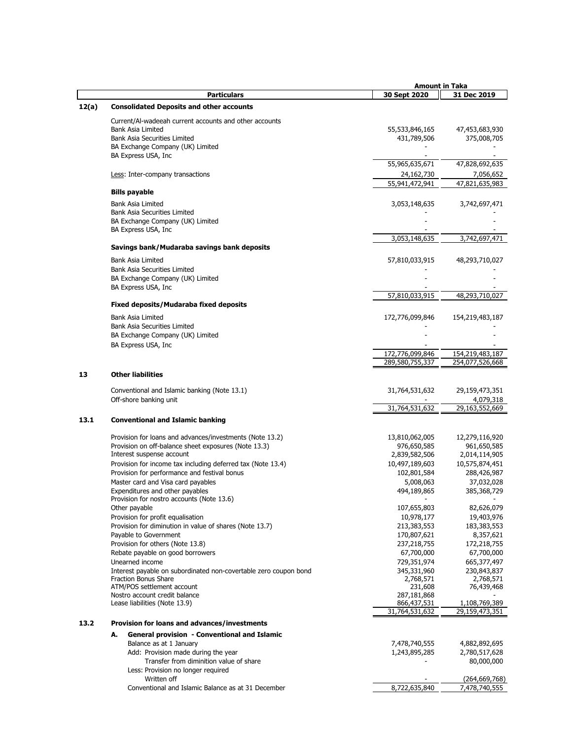|       |                                                                                                             | <b>Amount in Taka</b> |                               |
|-------|-------------------------------------------------------------------------------------------------------------|-----------------------|-------------------------------|
|       | <b>Particulars</b>                                                                                          | 30 Sept 2020          | 31 Dec 2019                   |
| 12(a) | <b>Consolidated Deposits and other accounts</b>                                                             |                       |                               |
|       | Current/Al-wadeeah current accounts and other accounts                                                      |                       |                               |
|       | <b>Bank Asia Limited</b>                                                                                    | 55,533,846,165        | 47,453,683,930                |
|       | <b>Bank Asia Securities Limited</b>                                                                         | 431,789,506           | 375,008,705                   |
|       | BA Exchange Company (UK) Limited                                                                            |                       |                               |
|       | BA Express USA, Inc.                                                                                        |                       |                               |
|       |                                                                                                             | 55,965,635,671        | 47,828,692,635                |
|       | Less: Inter-company transactions                                                                            | 24,162,730            | 7,056,652                     |
|       |                                                                                                             | 55,941,472,941        | 47,821,635,983                |
|       | <b>Bills payable</b>                                                                                        |                       |                               |
|       | Bank Asia Limited                                                                                           | 3,053,148,635         | 3,742,697,471                 |
|       | <b>Bank Asia Securities Limited</b>                                                                         |                       |                               |
|       | BA Exchange Company (UK) Limited                                                                            |                       |                               |
|       | BA Express USA, Inc.                                                                                        |                       |                               |
|       |                                                                                                             | 3,053,148,635         | 3,742,697,471                 |
|       | Savings bank/Mudaraba savings bank deposits                                                                 |                       |                               |
|       | Bank Asia Limited                                                                                           |                       |                               |
|       | <b>Bank Asia Securities Limited</b>                                                                         | 57,810,033,915        | 48,293,710,027                |
|       | BA Exchange Company (UK) Limited                                                                            |                       |                               |
|       | BA Express USA, Inc.                                                                                        |                       |                               |
|       |                                                                                                             | 57,810,033,915        | 48,293,710,027                |
|       | Fixed deposits/Mudaraba fixed deposits                                                                      |                       |                               |
|       |                                                                                                             |                       |                               |
|       | Bank Asia Limited                                                                                           | 172,776,099,846       | 154,219,483,187               |
|       | <b>Bank Asia Securities Limited</b>                                                                         |                       |                               |
|       | BA Exchange Company (UK) Limited                                                                            |                       |                               |
|       | BA Express USA, Inc.                                                                                        |                       |                               |
|       |                                                                                                             | 172,776,099,846       | 154,219,483,187               |
|       |                                                                                                             | 289,580,755,337       | 254,077,526,668               |
| 13    | <b>Other liabilities</b>                                                                                    |                       |                               |
|       |                                                                                                             |                       |                               |
|       | Conventional and Islamic banking (Note 13.1)                                                                | 31,764,531,632        | 29,159,473,351                |
|       | Off-shore banking unit                                                                                      |                       | 4,079,318                     |
|       |                                                                                                             | 31,764,531,632        | 29,163,552,669                |
| 13.1  | <b>Conventional and Islamic banking</b>                                                                     |                       |                               |
|       |                                                                                                             |                       |                               |
|       | Provision for loans and advances/investments (Note 13.2)                                                    | 13,810,062,005        | 12,279,116,920                |
|       | Provision on off-balance sheet exposures (Note 13.3)<br>Interest suspense account                           | 976,650,585           | 961,650,585                   |
|       |                                                                                                             | 2,839,582,506         | 2,014,114,905                 |
|       | Provision for income tax including deferred tax (Note 13.4)<br>Provision for performance and festival bonus | 10,497,189,603        | 10,575,874,451<br>288,426,987 |
|       | Master card and Visa card payables                                                                          | 102,801,584           |                               |
|       |                                                                                                             | 5,008,063             | 37,032,028                    |
|       | Expenditures and other payables<br>Provision for nostro accounts (Note 13.6)                                | 494,189,865           | 385,368,729                   |
|       | Other payable                                                                                               | 107,655,803           | 82,626,079                    |
|       | Provision for profit equalisation                                                                           | 10,978,177            | 19,403,976                    |
|       | Provision for diminution in value of shares (Note 13.7)                                                     | 213,383,553           | 183, 383, 553                 |
|       | Payable to Government                                                                                       | 170,807,621           | 8,357,621                     |
|       | Provision for others (Note 13.8)                                                                            | 237,218,755           | 172,218,755                   |
|       | Rebate payable on good borrowers                                                                            | 67,700,000            | 67,700,000                    |
|       | Unearned income                                                                                             | 729,351,974           | 665, 377, 497                 |
|       | Interest payable on subordinated non-covertable zero coupon bond                                            | 345,331,960           | 230,843,837                   |
|       | <b>Fraction Bonus Share</b>                                                                                 | 2,768,571             | 2,768,571                     |
|       | ATM/POS settlement account                                                                                  | 231,608               | 76,439,468                    |
|       | Nostro account credit balance                                                                               | 287,181,868           |                               |
|       | Lease liabilities (Note 13.9)                                                                               | 866, 437, 531         | 1,108,769,389                 |
|       |                                                                                                             | 31,764,531,632        | 29,159,473,351                |
| 13.2  | Provision for loans and advances/investments                                                                |                       |                               |
|       | General provision - Conventional and Islamic<br>А.                                                          |                       |                               |
|       | Balance as at 1 January                                                                                     | 7,478,740,555         | 4,882,892,695                 |
|       | Add: Provision made during the year                                                                         | 1,243,895,285         | 2,780,517,628                 |
|       | Transfer from diminition value of share                                                                     |                       | 80,000,000                    |
|       | Less: Provision no longer required                                                                          |                       |                               |
|       | Written off                                                                                                 |                       | (264, 669, 768)               |
|       | Conventional and Islamic Balance as at 31 December                                                          | 8,722,635,840         | 7,478,740,555                 |
|       |                                                                                                             |                       |                               |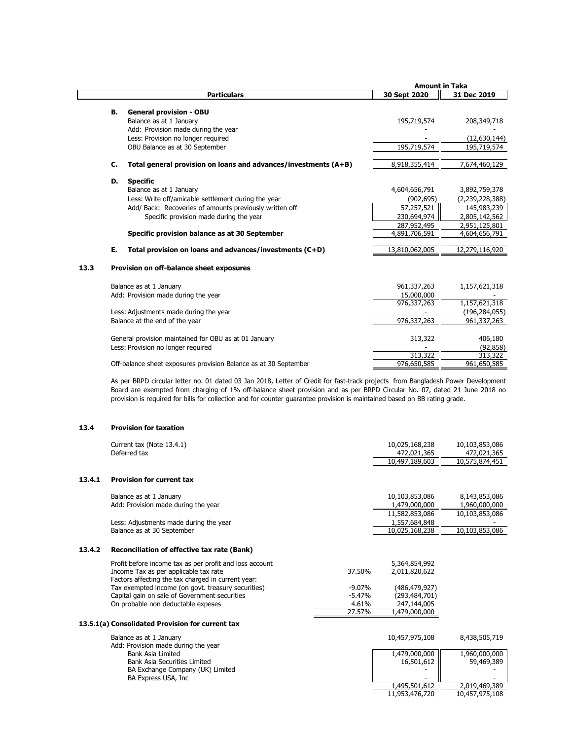|      |    |                                                                  | <b>Amount in Taka</b> |                 |
|------|----|------------------------------------------------------------------|-----------------------|-----------------|
|      |    | <b>Particulars</b>                                               | 30 Sept 2020          | 31 Dec 2019     |
|      | в. | <b>General provision - OBU</b>                                   |                       |                 |
|      |    | Balance as at 1 January                                          | 195,719,574           | 208,349,718     |
|      |    | Add: Provision made during the year                              |                       |                 |
|      |    | Less: Provision no longer required                               |                       | (12,630,144)    |
|      |    | OBU Balance as at 30 September                                   | 195,719,574           | 195,719,574     |
|      |    |                                                                  |                       |                 |
|      | C. | Total general provision on loans and advances/investments (A+B)  | 8,918,355,414         | 7,674,460,129   |
|      | D. | <b>Specific</b>                                                  |                       |                 |
|      |    | Balance as at 1 January                                          | 4,604,656,791         | 3,892,759,378   |
|      |    | Less: Write off/amicable settlement during the year              | (902, 695)            | (2,239,228,388) |
|      |    | Add/ Back: Recoveries of amounts previously written off          | 57,257,521            | 145,983,239     |
|      |    | Specific provision made during the year                          | 230,694,974           | 2,805,142,562   |
|      |    |                                                                  | 287,952,495           | 2,951,125,801   |
|      |    | Specific provision balance as at 30 September                    | 4,891,706,591         | 4,604,656,791   |
|      | Е. | Total provision on loans and advances/investments (C+D)          | 13,810,062,005        | 12,279,116,920  |
| 13.3 |    | Provision on off-balance sheet exposures                         |                       |                 |
|      |    | Balance as at 1 January                                          | 961,337,263           | 1,157,621,318   |
|      |    | Add: Provision made during the year                              | 15,000,000            |                 |
|      |    |                                                                  | 976,337,263           | 1,157,621,318   |
|      |    | Less: Adjustments made during the year                           |                       | (196, 284, 055) |
|      |    | Balance at the end of the year                                   | 976,337,263           | 961,337,263     |
|      |    |                                                                  |                       |                 |
|      |    | General provision maintained for OBU as at 01 January            | 313,322               | 406,180         |
|      |    | Less: Provision no longer required                               |                       | (92, 858)       |
|      |    |                                                                  | 313,322               | 313,322         |
|      |    | Off-balance sheet exposures provision Balance as at 30 September | 976,650,585           | 961,650,585     |

As per BRPD circular letter no. 01 dated 03 Jan 2018, Letter of Credit for fast-track projects from Bangladesh Power Development Board are exempted from charging of 1% off-balance sheet provision and as per BRPD Circular No. 07, dated 21 June 2018 no provision is required for bills for collection and for counter guarantee provision is maintained based on BB rating grade.

## **13.4 Provision for taxation**

|        | Current tax (Note 13.4.1)                                                                                |          | 10,025,168,238  | 10,103,853,086 |
|--------|----------------------------------------------------------------------------------------------------------|----------|-----------------|----------------|
|        | Deferred tax                                                                                             |          | 472,021,365     | 472,021,365    |
|        |                                                                                                          |          | 10,497,189,603  | 10,575,874,451 |
| 13.4.1 | <b>Provision for current tax</b>                                                                         |          |                 |                |
|        | Balance as at 1 January                                                                                  |          | 10,103,853,086  | 8,143,853,086  |
|        | Add: Provision made during the year                                                                      |          | 1,479,000,000   | 1,960,000,000  |
|        |                                                                                                          |          | 11,582,853,086  | 10,103,853,086 |
|        | Less: Adjustments made during the year                                                                   |          | 1,557,684,848   |                |
|        | Balance as at 30 September                                                                               |          | 10,025,168,238  | 10,103,853,086 |
| 13.4.2 | Reconciliation of effective tax rate (Bank)                                                              |          |                 |                |
|        | Profit before income tax as per profit and loss account                                                  |          | 5,364,854,992   |                |
|        | Income Tax as per applicable tax rate                                                                    | 37.50%   | 2,011,820,622   |                |
|        | Factors affecting the tax charged in current year:<br>Tax exempted income (on govt. treasury securities) | $-9.07%$ | (486, 479, 927) |                |
|        | Capital gain on sale of Government securities                                                            | $-5.47%$ | (293,484,701)   |                |
|        | On probable non deductable expeses                                                                       | 4.61%    | 247,144,005     |                |
|        |                                                                                                          | 27.57%   | 1,479,000,000   |                |
|        | 13.5.1(a) Consolidated Provision for current tax                                                         |          |                 |                |
|        | Balance as at 1 January<br>Add: Provision made during the year                                           |          | 10,457,975,108  | 8,438,505,719  |
|        | Bank Asia Limited                                                                                        |          | 1,479,000,000   | 1,960,000,000  |
|        | <b>Bank Asia Securities Limited</b>                                                                      |          | 16,501,612      | 59,469,389     |

BA Exchange Company (UK) Limited - -

2,019,469,389<br>10,457,975,108

11,953,476,720

BA Express USA, Inc and the state of the state of the state of the state of the state of the state of the state of the state of the state of the state of the state of the state of the state of the state of the state of the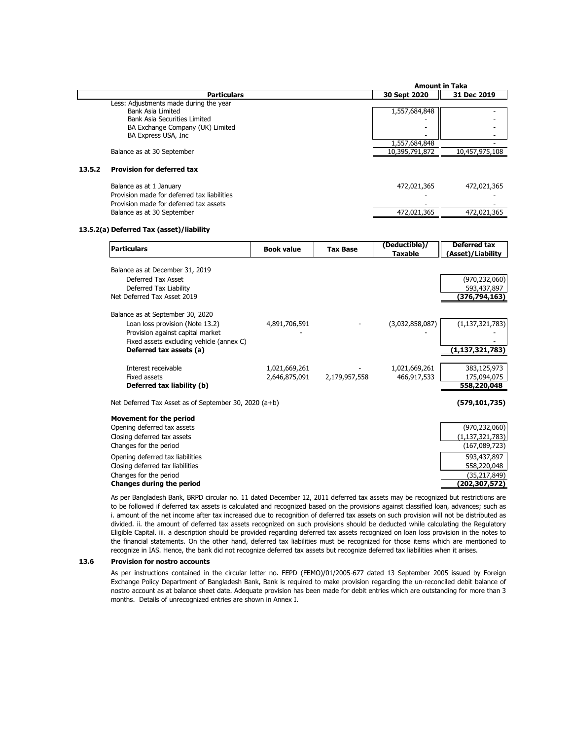|        |                                             | <b>Amount in Taka</b> |                |  |
|--------|---------------------------------------------|-----------------------|----------------|--|
|        | <b>Particulars</b>                          | 30 Sept 2020          | 31 Dec 2019    |  |
|        | Less: Adjustments made during the year      |                       |                |  |
|        | Bank Asia Limited                           | 1,557,684,848         |                |  |
|        | Bank Asia Securities Limited                |                       |                |  |
|        | BA Exchange Company (UK) Limited            |                       |                |  |
|        | BA Express USA, Inc.                        |                       |                |  |
|        |                                             | 1,557,684,848         |                |  |
|        | Balance as at 30 September                  | 10,395,791,872        | 10,457,975,108 |  |
| 13.5.2 | <b>Provision for deferred tax</b>           |                       |                |  |
|        |                                             |                       |                |  |
|        | Balance as at 1 January                     | 472,021,365           | 472,021,365    |  |
|        | Provision made for deferred tax liabilities |                       |                |  |
|        | Provision made for deferred tax assets      |                       |                |  |
|        | Balance as at 30 September                  | 472,021,365           | 472,021,365    |  |
|        |                                             |                       |                |  |

#### **13.5.2(a) Deferred Tax (asset)/liability**

| Particulars                                           | <b>Book value</b> | <b>Tax Base</b> | (Deductible)/<br><b>Taxable</b> | <b>Deferred tax</b><br>(Asset)/Liability |
|-------------------------------------------------------|-------------------|-----------------|---------------------------------|------------------------------------------|
| Balance as at December 31, 2019                       |                   |                 |                                 |                                          |
| Deferred Tax Asset                                    |                   |                 |                                 | (970, 232, 060)                          |
| Deferred Tax Liability                                |                   |                 |                                 | 593,437,897                              |
| Net Deferred Tax Asset 2019                           |                   |                 |                                 | <u>(376,794,163)</u>                     |
| Balance as at September 30, 2020                      |                   |                 |                                 |                                          |
| Loan loss provision (Note 13.2)                       | 4,891,706,591     |                 | (3,032,858,087)                 | (1, 137, 321, 783)                       |
| Provision against capital market                      |                   |                 |                                 |                                          |
| Fixed assets excluding vehicle (annex C)              |                   |                 |                                 |                                          |
| Deferred tax assets (a)                               |                   |                 |                                 | (1,137,321,783)                          |
| Interest receivable                                   | 1,021,669,261     |                 | 1,021,669,261                   | 383,125,973                              |
| Fixed assets                                          | 2,646,875,091     | 2,179,957,558   | 466,917,533                     | 175,094,075                              |
| Deferred tax liability (b)                            |                   |                 |                                 | 558,220,048                              |
| Net Deferred Tax Asset as of September 30, 2020 (a+b) |                   |                 |                                 | (579, 101, 735)                          |
| <b>Movement for the period</b>                        |                   |                 |                                 |                                          |
| Opening deferred tax assets                           |                   |                 |                                 | (970, 232, 060)                          |
| Closing deferred tax assets                           |                   |                 |                                 | (1, 137, 321, 783)                       |
| Changes for the period                                |                   |                 |                                 | (167,089,723)                            |
| Opening deferred tax liabilities                      |                   |                 |                                 | 593,437,897                              |
| Closing deferred tax liabilities                      |                   |                 |                                 | 558,220,048                              |
| Changes for the period                                |                   |                 |                                 | (35, 217, 849)                           |
| <b>Changes during the period</b>                      |                   |                 |                                 | (202,307,572)                            |

As per Bangladesh Bank, BRPD circular no. 11 dated December 12, 2011 deferred tax assets may be recognized but restrictions are to be followed if deferred tax assets is calculated and recognized based on the provisions against classified loan, advances; such as i. amount of the net income after tax increased due to recognition of deferred tax assets on such provision will not be distributed as divided. ii. the amount of deferred tax assets recognized on such provisions should be deducted while calculating the Regulatory Eligible Capital. iii. a description should be provided regarding deferred tax assets recognized on loan loss provision in the notes to the financial statements. On the other hand, deferred tax liabilities must be recognized for those items which are mentioned to recognize in IAS. Hence, the bank did not recognize deferred tax assets but recognize deferred tax liabilities when it arises.

#### **13.6 Provision for nostro accounts**

As per instructions contained in the circular letter no. FEPD (FEMO)/01/2005-677 dated 13 September 2005 issued by Foreign Exchange Policy Department of Bangladesh Bank, Bank is required to make provision regarding the un-reconciled debit balance of nostro account as at balance sheet date. Adequate provision has been made for debit entries which are outstanding for more than 3 months. Details of unrecognized entries are shown in Annex I.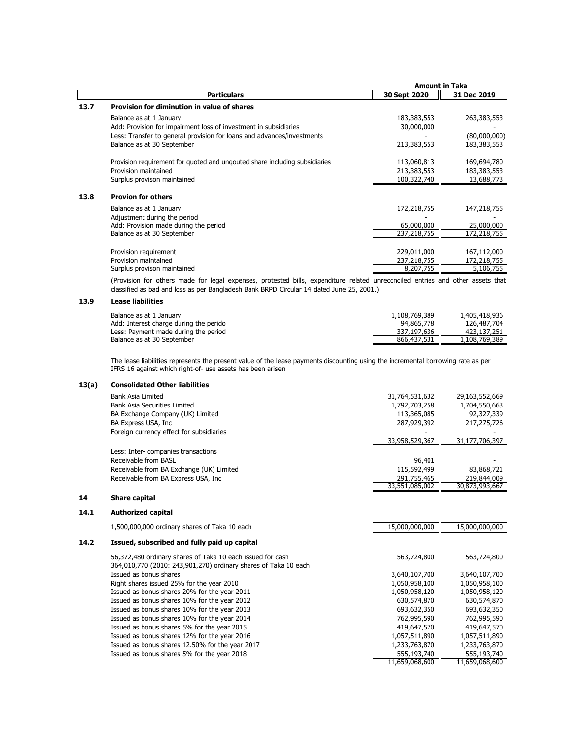|      |                                                                                                                                                                       |                                           | <b>Amount in Taka</b>                    |
|------|-----------------------------------------------------------------------------------------------------------------------------------------------------------------------|-------------------------------------------|------------------------------------------|
|      | <b>Particulars</b>                                                                                                                                                    | 30 Sept 2020                              | 31 Dec 2019                              |
| 13.7 | Provision for diminution in value of shares                                                                                                                           |                                           |                                          |
|      | Balance as at 1 January<br>Add: Provision for impairment loss of investment in subsidiaries<br>Less: Transfer to general provision for loans and advances/investments | 183, 383, 553<br>30,000,000               | 263,383,553<br>(80,000,000)              |
|      | Balance as at 30 September                                                                                                                                            | 213,383,553                               | 183,383,553                              |
|      | Provision requirement for quoted and ungouted share including subsidiaries<br>Provision maintained<br>Surplus provison maintained                                     | 113,060,813<br>213,383,553<br>100,322,740 | 169,694,780<br>183,383,553<br>13,688,773 |
| 13.8 | <b>Provion for others</b>                                                                                                                                             |                                           |                                          |
|      | Balance as at 1 January<br>Adjustment during the period                                                                                                               | 172,218,755                               | 147,218,755                              |
|      | Add: Provision made during the period                                                                                                                                 | 65,000,000                                | 25,000,000                               |
|      | Balance as at 30 September                                                                                                                                            | 237,218,755                               | 172,218,755                              |
|      | Provision requirement<br>Provision maintained<br>Surplus provison maintained                                                                                          | 229,011,000<br>237,218,755<br>8,207,755   | 167,112,000<br>172,218,755<br>5,106,755  |
|      | (Provision for others made for legal expenses, protested bills, expenditure related unreconciled entries and other assets that                                        |                                           |                                          |

(Provision for others made for legal expenses, protested bills, expenditure related unreconciled entries and other assets that classified as bad and loss as per Bangladesh Bank BRPD Circular 14 dated June 25, 2001.)

#### **13.9 Lease liabilities**

| Balance as at 1 January                | 1,108,769,389 | 1,405,418,936 |
|----------------------------------------|---------------|---------------|
| Add: Interest charge during the perido | 94,865,778    | 126,487,704   |
| Less: Payment made during the period   | 337,197,636   | 423,137,251   |
| Balance as at 30 September             | 866,437,531   | 1,108,769,389 |

The lease liabilities represents the present value of the lease payments discounting using the incremental borrowing rate as per IFRS 16 against which right-of- use assets has been arisen

## **13(a) Consolidated Other liabilities**

| Bank Asia Limited                        | 31,764,531,632 | 29,163,552,669 |
|------------------------------------------|----------------|----------------|
| <b>Bank Asia Securities Limited</b>      | 1,792,703,258  | 1,704,550,663  |
| BA Exchange Company (UK) Limited         | 113,365,085    | 92,327,339     |
| BA Express USA, Inc.                     | 287,929,392    | 217,275,726    |
| Foreign currency effect for subsidiaries |                |                |
|                                          | 33,958,529,367 | 31,177,706,397 |
| Less: Inter-companies transactions       |                |                |
| Receivable from BASL                     | 96,401         |                |
| Receivable from BA Exchange (UK) Limited | 115,592,499    | 83,868,721     |
| Receivable from BA Express USA, Inc.     | 291,755,465    | 219,844,009    |
|                                          | 33,551,085,002 | 30,873,993,667 |

## **14 Share capital**

#### **14.1 Authorized capital**

| 1,500,000,000 ordinary shares of Taka 10 each | 15,000,000,000 | 15,000,000,000 |
|-----------------------------------------------|----------------|----------------|
|-----------------------------------------------|----------------|----------------|

#### **14.2 Issued, subscribed and fully paid up capital**

| 56,372,480 ordinary shares of Taka 10 each issued for cash      | 563,724,800    | 563,724,800    |
|-----------------------------------------------------------------|----------------|----------------|
| 364,010,770 (2010: 243,901,270) ordinary shares of Taka 10 each |                |                |
| Issued as bonus shares                                          | 3,640,107,700  | 3,640,107,700  |
| Right shares issued 25% for the year 2010                       | 1,050,958,100  | 1,050,958,100  |
| Issued as bonus shares 20% for the year 2011                    | 1,050,958,120  | 1,050,958,120  |
| Issued as bonus shares 10% for the year 2012                    | 630,574,870    | 630,574,870    |
| Issued as bonus shares 10% for the year 2013                    | 693,632,350    | 693,632,350    |
| Issued as bonus shares 10% for the year 2014                    | 762,995,590    | 762,995,590    |
| Issued as bonus shares 5% for the year 2015                     | 419,647,570    | 419,647,570    |
| Issued as bonus shares 12% for the year 2016                    | 1,057,511,890  | 1,057,511,890  |
| Issued as bonus shares 12.50% for the year 2017                 | 1,233,763,870  | 1,233,763,870  |
| Issued as bonus shares 5% for the year 2018                     | 555,193,740    | 555,193,740    |
|                                                                 | 11,659,068,600 | 11,659,068,600 |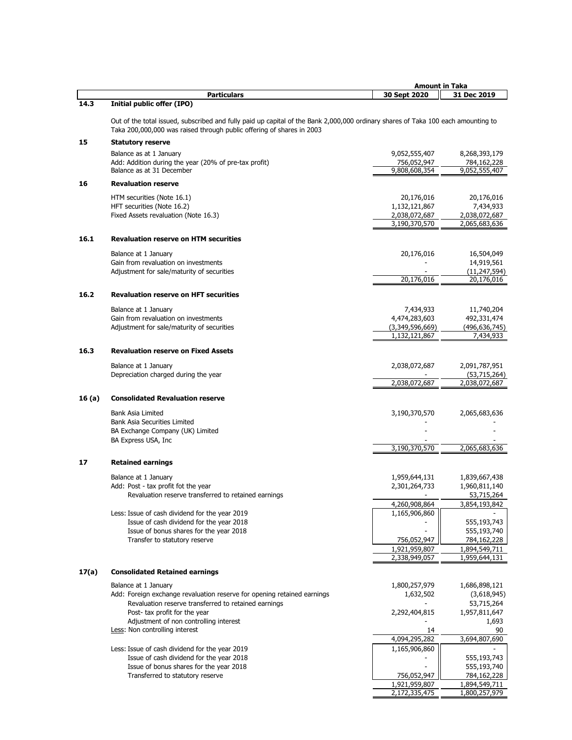|        |                                                                                                                                                                                                            | <b>Amount in Taka</b>            |                                |
|--------|------------------------------------------------------------------------------------------------------------------------------------------------------------------------------------------------------------|----------------------------------|--------------------------------|
|        | <b>Particulars</b>                                                                                                                                                                                         | 30 Sept 2020                     | 31 Dec 2019                    |
| 14.3   | <b>Initial public offer (IPO)</b>                                                                                                                                                                          |                                  |                                |
|        | Out of the total issued, subscribed and fully paid up capital of the Bank 2,000,000 ordinary shares of Taka 100 each amounting to<br>Taka 200,000,000 was raised through public offering of shares in 2003 |                                  |                                |
| 15     | <b>Statutory reserve</b>                                                                                                                                                                                   |                                  |                                |
|        | Balance as at 1 January                                                                                                                                                                                    | 9,052,555,407                    | 8,268,393,179                  |
|        | Add: Addition during the year (20% of pre-tax profit)                                                                                                                                                      | 756,052,947                      | 784,162,228                    |
|        | Balance as at 31 December                                                                                                                                                                                  | 9,808,608,354                    | 9,052,555,407                  |
| 16     | <b>Revaluation reserve</b>                                                                                                                                                                                 |                                  |                                |
|        | HTM securities (Note 16.1)                                                                                                                                                                                 | 20,176,016                       | 20,176,016                     |
|        | HFT securities (Note 16.2)                                                                                                                                                                                 | 1,132,121,867                    | 7,434,933                      |
|        | Fixed Assets revaluation (Note 16.3)                                                                                                                                                                       | 2,038,072,687<br>3,190,370,570   | 2,038,072,687<br>2,065,683,636 |
|        |                                                                                                                                                                                                            |                                  |                                |
| 16.1   | <b>Revaluation reserve on HTM securities</b>                                                                                                                                                               |                                  |                                |
|        | Balance at 1 January                                                                                                                                                                                       | 20,176,016                       | 16,504,049                     |
|        | Gain from revaluation on investments                                                                                                                                                                       |                                  | 14,919,561                     |
|        | Adjustment for sale/maturity of securities                                                                                                                                                                 | 20,176,016                       | (11, 247, 594)<br>20,176,016   |
|        |                                                                                                                                                                                                            |                                  |                                |
| 16.2   | <b>Revaluation reserve on HFT securities</b>                                                                                                                                                               |                                  |                                |
|        | Balance at 1 January                                                                                                                                                                                       | 7,434,933                        | 11,740,204                     |
|        | Gain from revaluation on investments                                                                                                                                                                       | 4,474,283,603                    | 492,331,474                    |
|        | Adjustment for sale/maturity of securities                                                                                                                                                                 | (3,349,596,669)<br>1,132,121,867 | (496,636,745)<br>7,434,933     |
|        |                                                                                                                                                                                                            |                                  |                                |
| 16.3   | <b>Revaluation reserve on Fixed Assets</b>                                                                                                                                                                 |                                  |                                |
|        | Balance at 1 January                                                                                                                                                                                       | 2,038,072,687                    | 2,091,787,951                  |
|        | Depreciation charged during the year                                                                                                                                                                       |                                  | (53,715,264)                   |
|        |                                                                                                                                                                                                            | 2,038,072,687                    | 2,038,072,687                  |
| 16 (a) | <b>Consolidated Revaluation reserve</b>                                                                                                                                                                    |                                  |                                |
|        | <b>Bank Asia Limited</b>                                                                                                                                                                                   | 3,190,370,570                    | 2,065,683,636                  |
|        | <b>Bank Asia Securities Limited</b>                                                                                                                                                                        |                                  |                                |
|        | BA Exchange Company (UK) Limited                                                                                                                                                                           |                                  |                                |
|        | BA Express USA, Inc                                                                                                                                                                                        | 3,190,370,570                    | 2,065,683,636                  |
|        |                                                                                                                                                                                                            |                                  |                                |
| 17     | <b>Retained earnings</b>                                                                                                                                                                                   |                                  |                                |
|        | Balance at 1 January                                                                                                                                                                                       | 1,959,644,131                    | 1,839,667,438                  |
|        | Add: Post - tax profit fot the year                                                                                                                                                                        | 2,301,264,733                    | 1,960,811,140                  |
|        | Revaluation reserve transferred to retained earnings                                                                                                                                                       | 4,260,908,864                    | 53,715,264<br>3,854,193,842    |
|        | Less: Issue of cash dividend for the year 2019                                                                                                                                                             | 1,165,906,860                    |                                |
|        | Issue of cash dividend for the year 2018                                                                                                                                                                   |                                  | 555,193,743                    |
|        | Issue of bonus shares for the year 2018                                                                                                                                                                    |                                  | 555,193,740                    |
|        | Transfer to statutory reserve                                                                                                                                                                              | 756,052,947<br>1,921,959,807     | 784,162,228<br>1,894,549,711   |
|        |                                                                                                                                                                                                            | 2,338,949,057                    | 1,959,644,131                  |
|        |                                                                                                                                                                                                            |                                  |                                |
| 17(a)  | <b>Consolidated Retained earnings</b>                                                                                                                                                                      |                                  |                                |
|        | Balance at 1 January                                                                                                                                                                                       | 1,800,257,979                    | 1,686,898,121                  |
|        | Add: Foreign exchange revaluation reserve for opening retained earnings<br>Revaluation reserve transferred to retained earnings                                                                            | 1,632,502                        | (3,618,945)<br>53,715,264      |
|        | Post- tax profit for the year                                                                                                                                                                              | 2,292,404,815                    | 1,957,811,647                  |
|        | Adjustment of non controlling interest                                                                                                                                                                     |                                  | 1,693                          |
|        | Less: Non controlling interest                                                                                                                                                                             | 14                               | 90                             |
|        | Less: Issue of cash dividend for the year 2019                                                                                                                                                             | 4,094,295,282<br>1,165,906,860   | 3,694,807,690                  |
|        | Issue of cash dividend for the year 2018                                                                                                                                                                   |                                  | 555,193,743                    |
|        | Issue of bonus shares for the year 2018                                                                                                                                                                    |                                  | 555,193,740                    |
|        | Transferred to statutory reserve                                                                                                                                                                           | 756,052,947                      | 784,162,228                    |
|        |                                                                                                                                                                                                            | 1,921,959,807<br>2,172,335,475   | 1,894,549,711<br>1,800,257,979 |
|        |                                                                                                                                                                                                            |                                  |                                |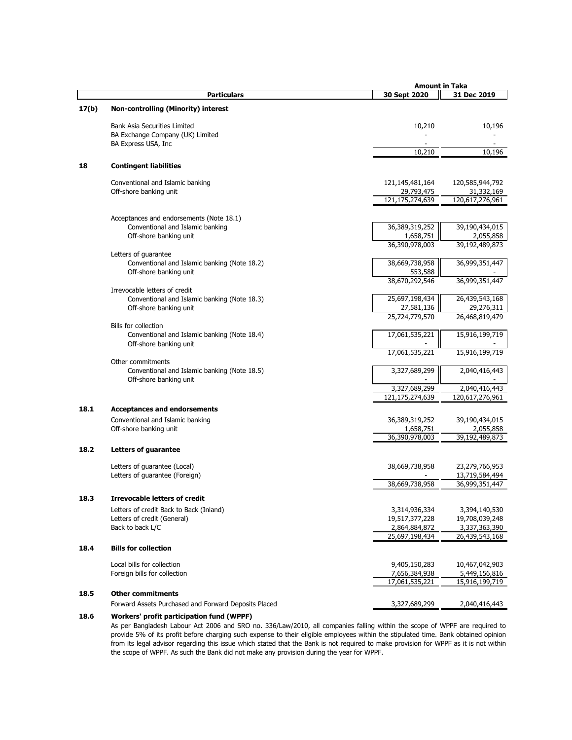|       |                                                      | <b>Amount in Taka</b>     |                 |
|-------|------------------------------------------------------|---------------------------|-----------------|
|       | <b>Particulars</b>                                   | 30 Sept 2020              | 31 Dec 2019     |
|       |                                                      |                           |                 |
| 17(b) | <b>Non-controlling (Minority) interest</b>           |                           |                 |
|       | <b>Bank Asia Securities Limited</b>                  | 10,210                    | 10,196          |
|       | BA Exchange Company (UK) Limited                     |                           |                 |
|       | BA Express USA, Inc                                  |                           |                 |
|       |                                                      | 10,210                    | 10,196          |
| 18    | <b>Contingent liabilities</b>                        |                           |                 |
|       |                                                      |                           |                 |
|       | Conventional and Islamic banking                     | 121, 145, 481, 164        | 120,585,944,792 |
|       | Off-shore banking unit                               | 29,793,475                | 31,332,169      |
|       |                                                      | 121,175,274,639           | 120,617,276,961 |
|       |                                                      |                           |                 |
|       | Acceptances and endorsements (Note 18.1)             |                           |                 |
|       | Conventional and Islamic banking                     | 36,389,319,252            | 39,190,434,015  |
|       | Off-shore banking unit                               | 1,658,751                 | 2,055,858       |
|       |                                                      | 36,390,978,003            | 39,192,489,873  |
|       | Letters of guarantee                                 |                           |                 |
|       | Conventional and Islamic banking (Note 18.2)         | 38,669,738,958            | 36,999,351,447  |
|       | Off-shore banking unit                               | 553,588<br>38,670,292,546 | 36,999,351,447  |
|       | Irrevocable letters of credit                        |                           |                 |
|       | Conventional and Islamic banking (Note 18.3)         | 25,697,198,434            | 26,439,543,168  |
|       | Off-shore banking unit                               | 27,581,136                | 29,276,311      |
|       |                                                      | 25,724,779,570            | 26,468,819,479  |
|       | Bills for collection                                 |                           |                 |
|       | Conventional and Islamic banking (Note 18.4)         | 17,061,535,221            | 15,916,199,719  |
|       | Off-shore banking unit                               |                           |                 |
|       |                                                      | 17,061,535,221            | 15,916,199,719  |
|       | Other commitments                                    |                           |                 |
|       | Conventional and Islamic banking (Note 18.5)         | 3,327,689,299             | 2,040,416,443   |
|       | Off-shore banking unit                               |                           |                 |
|       |                                                      | 3,327,689,299             | 2,040,416,443   |
|       |                                                      | 121,175,274,639           | 120,617,276,961 |
| 18.1  | <b>Acceptances and endorsements</b>                  |                           |                 |
|       | Conventional and Islamic banking                     | 36,389,319,252            | 39,190,434,015  |
|       | Off-shore banking unit                               | 1,658,751                 | 2,055,858       |
|       |                                                      | 36,390,978,003            | 39,192,489,873  |
| 18.2  | <b>Letters of quarantee</b>                          |                           |                 |
|       |                                                      |                           |                 |
|       | Letters of quarantee (Local)                         | 38,669,738,958            | 23,279,766,953  |
|       | Letters of guarantee (Foreign)                       |                           | 13,719,584,494  |
|       |                                                      | 38,669,738,958            | 36,999,351,447  |
| 18.3  | <b>Irrevocable letters of credit</b>                 |                           |                 |
|       | Letters of credit Back to Back (Inland)              | 3,314,936,334             | 3,394,140,530   |
|       | Letters of credit (General)                          | 19,517,377,228            | 19,708,039,248  |
|       | Back to back L/C                                     | 2,864,884,872             | 3,337,363,390   |
|       |                                                      | 25,697,198,434            | 26,439,543,168  |
|       |                                                      |                           |                 |
| 18.4  | <b>Bills for collection</b>                          |                           |                 |
|       | Local bills for collection                           | 9,405,150,283             | 10,467,042,903  |
|       | Foreign bills for collection                         | 7,656,384,938             | 5,449,156,816   |
|       |                                                      | 17,061,535,221            | 15,916,199,719  |
| 18.5  | <b>Other commitments</b>                             |                           |                 |
|       | Forward Assets Purchased and Forward Deposits Placed | 3,327,689,299             | 2,040,416,443   |
|       |                                                      |                           |                 |
| 18.6  | <b>Workers' profit participation fund (WPPF)</b>     |                           |                 |

As per Bangladesh Labour Act 2006 and SRO no. 336/Law/2010, all companies falling within the scope of WPPF are required to provide 5% of its profit before charging such expense to their eligible employees within the stipulated time. Bank obtained opinion from its legal advisor regarding this issue which stated that the Bank is not required to make provision for WPPF as it is not within the scope of WPPF. As such the Bank did not make any provision during the year for WPPF.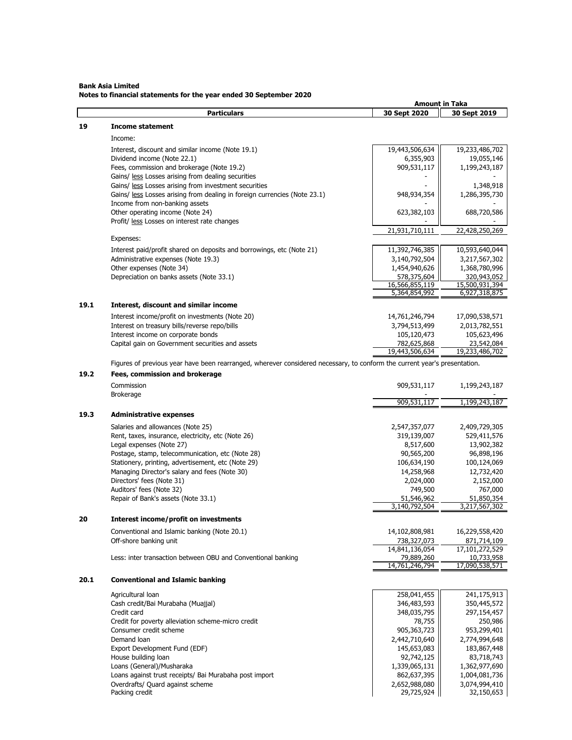#### **Bank Asia Limited Notes to financial statements for the year ended 30 September 2020**

|      |                                                                                                                           | <b>Amount in Taka</b>        |                              |
|------|---------------------------------------------------------------------------------------------------------------------------|------------------------------|------------------------------|
|      | <b>Particulars</b>                                                                                                        | 30 Sept 2020                 | 30 Sept 2019                 |
| 19   | <b>Income statement</b>                                                                                                   |                              |                              |
|      |                                                                                                                           |                              |                              |
|      | Income:                                                                                                                   |                              |                              |
|      | Interest, discount and similar income (Note 19.1)                                                                         | 19,443,506,634               | 19,233,486,702               |
|      | Dividend income (Note 22.1)                                                                                               | 6,355,903                    | 19,055,146                   |
|      | Fees, commission and brokerage (Note 19.2)                                                                                | 909,531,117                  | 1,199,243,187                |
|      | Gains/ less Losses arising from dealing securities                                                                        |                              |                              |
|      | Gains/ less Losses arising from investment securities                                                                     |                              | 1,348,918                    |
|      | Gains/ less Losses arising from dealing in foreign currencies (Note 23.1)                                                 | 948,934,354                  | 1,286,395,730                |
|      | Income from non-banking assets                                                                                            |                              |                              |
|      | Other operating income (Note 24)                                                                                          | 623,382,103                  | 688,720,586                  |
|      | Profit/ less Losses on interest rate changes                                                                              |                              |                              |
|      |                                                                                                                           | 21,931,710,111               | 22,428,250,269               |
|      | Expenses:                                                                                                                 |                              |                              |
|      | Interest paid/profit shared on deposits and borrowings, etc (Note 21)                                                     | 11,392,746,385               | 10,593,640,044               |
|      | Administrative expenses (Note 19.3)                                                                                       | 3,140,792,504                | 3,217,567,302                |
|      | Other expenses (Note 34)                                                                                                  | 1,454,940,626                | 1,368,780,996                |
|      | Depreciation on banks assets (Note 33.1)                                                                                  | 578,375,604                  | 320,943,052                  |
|      |                                                                                                                           | 16,566,855,119               | 15,500,931,394               |
|      |                                                                                                                           | 5,364,854,992                | 6,927,318,875                |
| 19.1 | Interest, discount and similar income                                                                                     |                              |                              |
|      |                                                                                                                           |                              |                              |
|      | Interest income/profit on investments (Note 20)                                                                           | 14,761,246,794               | 17,090,538,571               |
|      | Interest on treasury bills/reverse repo/bills                                                                             | 3,794,513,499                | 2,013,782,551                |
|      | Interest income on corporate bonds                                                                                        | 105,120,473                  | 105,623,496                  |
|      | Capital gain on Government securities and assets                                                                          | 782,625,868                  | 23,542,084                   |
|      |                                                                                                                           | 19,443,506,634               | 19,233,486,702               |
|      | Figures of previous year have been rearranged, wherever considered necessary, to conform the current year's presentation. |                              |                              |
| 19.2 | Fees, commission and brokerage                                                                                            |                              |                              |
|      | Commission                                                                                                                | 909,531,117                  | 1,199,243,187                |
|      | <b>Brokerage</b>                                                                                                          |                              |                              |
|      |                                                                                                                           | 909,531,117                  | 1,199,243,187                |
|      |                                                                                                                           |                              |                              |
| 19.3 | <b>Administrative expenses</b>                                                                                            |                              |                              |
|      | Salaries and allowances (Note 25)                                                                                         | 2,547,357,077                | 2,409,729,305                |
|      | Rent, taxes, insurance, electricity, etc (Note 26)                                                                        | 319,139,007                  | 529,411,576                  |
|      | Legal expenses (Note 27)                                                                                                  | 8,517,600                    | 13,902,382                   |
|      | Postage, stamp, telecommunication, etc (Note 28)                                                                          | 90,565,200                   | 96,898,196                   |
|      | Stationery, printing, advertisement, etc (Note 29)                                                                        | 106,634,190                  | 100,124,069                  |
|      | Managing Director's salary and fees (Note 30)                                                                             | 14,258,968                   | 12,732,420                   |
|      | Directors' fees (Note 31)                                                                                                 | 2,024,000                    | 2,152,000                    |
|      | Auditors' fees (Note 32)                                                                                                  | 749,500                      | 767,000                      |
|      | Repair of Bank's assets (Note 33.1)                                                                                       | 51,546,962                   | 51,850,354                   |
|      |                                                                                                                           | 3,140,792,504                | 3,217,567,302                |
| 20   | Interest income/profit on investments                                                                                     |                              |                              |
|      |                                                                                                                           |                              |                              |
|      | Conventional and Islamic banking (Note 20.1)                                                                              | 14,102,808,981               | 16,229,558,420               |
|      | Off-shore banking unit                                                                                                    | 738,327,073                  | 871,714,109                  |
|      |                                                                                                                           | 14,841,136,054               | 17,101,272,529               |
|      | Less: inter transaction between OBU and Conventional banking                                                              | 79,889,260<br>14,761,246,794 | 10,733,958<br>17,090,538,571 |
|      |                                                                                                                           |                              |                              |
| 20.1 | <b>Conventional and Islamic banking</b>                                                                                   |                              |                              |
|      |                                                                                                                           |                              |                              |
|      | Agricultural loan                                                                                                         | 258,041,455                  | 241,175,913                  |
|      | Cash credit/Bai Murabaha (Muajjal)                                                                                        | 346,483,593                  | 350,445,572                  |
|      | Credit card                                                                                                               | 348,035,795                  | 297,154,457                  |
|      | Credit for poverty alleviation scheme-micro credit                                                                        | 78,755                       | 250,986                      |
|      | Consumer credit scheme                                                                                                    | 905,363,723                  | 953,299,401                  |
|      | Demand loan                                                                                                               | 2,442,710,640                | 2,774,994,648                |
|      | Export Development Fund (EDF)                                                                                             | 145,653,083                  | 183,867,448                  |
|      | House building loan                                                                                                       | 92,742,125                   | 83,718,743                   |
|      | Loans (General)/Musharaka                                                                                                 | 1,339,065,131                | 1,362,977,690                |
|      | Loans against trust receipts/ Bai Murabaha post import                                                                    | 862,637,395                  | 1,004,081,736                |
|      | Overdrafts/ Quard against scheme                                                                                          | 2,652,988,080                | 3,074,994,410                |
|      | Packing credit                                                                                                            | 29,725,924                   | 32,150,653                   |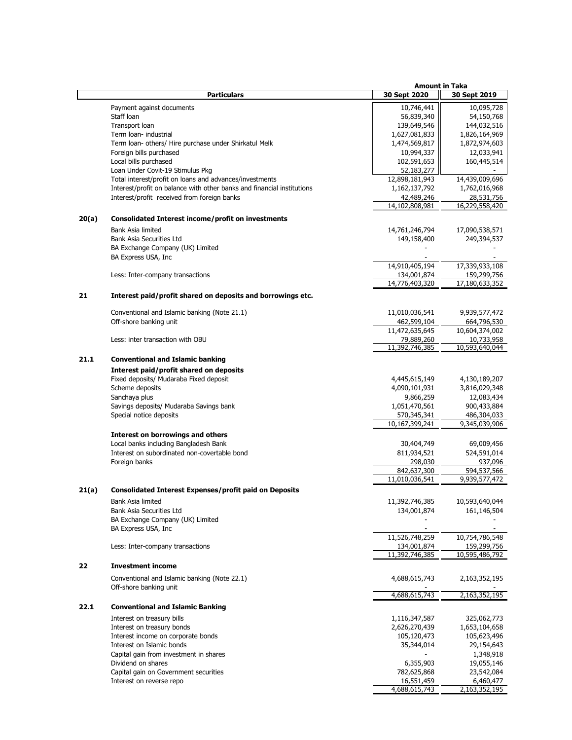|       |                                                                        |                | <b>Amount in Taka</b> |
|-------|------------------------------------------------------------------------|----------------|-----------------------|
|       | <b>Particulars</b>                                                     | 30 Sept 2020   | 30 Sept 2019          |
|       |                                                                        |                |                       |
|       | Payment against documents                                              | 10,746,441     | 10,095,728            |
|       | Staff Ioan                                                             | 56,839,340     | 54,150,768            |
|       | Transport loan                                                         | 139,649,546    | 144,032,516           |
|       | Term loan- industrial                                                  | 1,627,081,833  | 1,826,164,969         |
|       | Term loan- others/ Hire purchase under Shirkatul Melk                  | 1,474,569,817  | 1,872,974,603         |
|       | Foreign bills purchased                                                | 10,994,337     | 12,033,941            |
|       | Local bills purchased                                                  | 102,591,653    | 160,445,514           |
|       | Loan Under Covit-19 Stimulus Pkg                                       | 52,183,277     |                       |
|       | Total interest/profit on loans and advances/investments                | 12,898,181,943 | 14,439,009,696        |
|       | Interest/profit on balance with other banks and financial institutions |                |                       |
|       |                                                                        | 1,162,137,792  | 1,762,016,968         |
|       | Interest/profit received from foreign banks                            | 42,489,246     | 28,531,756            |
|       |                                                                        | 14,102,808,981 | 16,229,558,420        |
| 20(a) | <b>Consolidated Interest income/profit on investments</b>              |                |                       |
|       |                                                                        |                |                       |
|       | Bank Asia limited                                                      | 14,761,246,794 | 17,090,538,571        |
|       | Bank Asia Securities Ltd                                               | 149,158,400    | 249,394,537           |
|       | BA Exchange Company (UK) Limited                                       |                |                       |
|       | BA Express USA, Inc                                                    |                |                       |
|       |                                                                        | 14,910,405,194 | 17,339,933,108        |
|       | Less: Inter-company transactions                                       | 134,001,874    | 159,299,756           |
|       |                                                                        | 14,776,403,320 | 17,180,633,352        |
|       |                                                                        |                |                       |
| 21    | Interest paid/profit shared on deposits and borrowings etc.            |                |                       |
|       | Conventional and Islamic banking (Note 21.1)                           | 11,010,036,541 | 9,939,577,472         |
|       | Off-shore banking unit                                                 | 462,599,104    | 664,796,530           |
|       |                                                                        |                |                       |
|       |                                                                        | 11,472,635,645 | 10,604,374,002        |
|       | Less: inter transaction with OBU                                       | 79,889,260     | 10,733,958            |
|       |                                                                        | 11,392,746,385 | 10,593,640,044        |
| 21.1  | <b>Conventional and Islamic banking</b>                                |                |                       |
|       | Interest paid/profit shared on deposits                                |                |                       |
|       | Fixed deposits/ Mudaraba Fixed deposit                                 | 4,445,615,149  | 4,130,189,207         |
|       | Scheme deposits                                                        |                |                       |
|       |                                                                        | 4,090,101,931  | 3,816,029,348         |
|       | Sanchaya plus                                                          | 9,866,259      | 12,083,434            |
|       | Savings deposits/ Mudaraba Savings bank                                | 1,051,470,561  | 900,433,884           |
|       | Special notice deposits                                                | 570,345,341    | 486,304,033           |
|       |                                                                        | 10,167,399,241 | 9,345,039,906         |
|       | <b>Interest on borrowings and others</b>                               |                |                       |
|       | Local banks including Bangladesh Bank                                  | 30,404,749     | 69,009,456            |
|       | Interest on subordinated non-covertable bond                           | 811,934,521    | 524,591,014           |
|       | Foreign banks                                                          | 298,030        | 937,096               |
|       |                                                                        |                |                       |
|       |                                                                        | 842,637,300    | 594,537,566           |
|       |                                                                        | 11,010,036,541 | 9,939,577,472         |
| 21(a) | <b>Consolidated Interest Expenses/profit paid on Deposits</b>          |                |                       |
|       | Bank Asia limited                                                      | 11,392,746,385 | 10,593,640,044        |
|       | Bank Asia Securities Ltd                                               | 134,001,874    | 161,146,504           |
|       | BA Exchange Company (UK) Limited                                       |                |                       |
|       | BA Express USA, Inc                                                    |                |                       |
|       |                                                                        |                |                       |
|       |                                                                        | 11,526,748,259 | 10,754,786,548        |
|       | Less: Inter-company transactions                                       | 134,001,874    | 159,299,756           |
|       |                                                                        | 11,392,746,385 | 10,595,486,792        |
| 22    | <b>Investment income</b>                                               |                |                       |
|       |                                                                        |                |                       |
|       | Conventional and Islamic banking (Note 22.1)                           | 4,688,615,743  | 2,163,352,195         |
|       | Off-shore banking unit                                                 |                |                       |
|       |                                                                        | 4,688,615,743  | 2,163,352,195         |
| 22.1  | <b>Conventional and Islamic Banking</b>                                |                |                       |
|       | Interest on treasury bills                                             | 1,116,347,587  | 325,062,773           |
|       | Interest on treasury bonds                                             |                | 1,653,104,658         |
|       |                                                                        | 2,626,270,439  |                       |
|       | Interest income on corporate bonds                                     | 105,120,473    | 105,623,496           |
|       | Interest on Islamic bonds                                              | 35,344,014     | 29,154,643            |
|       | Capital gain from investment in shares                                 |                | 1,348,918             |
|       | Dividend on shares                                                     | 6,355,903      | 19,055,146            |
|       | Capital gain on Government securities                                  | 782,625,868    | 23,542,084            |
|       | Interest on reverse repo                                               | 16,551,459     | 6,460,477             |
|       |                                                                        | 4,688,615,743  | 2,163,352,195         |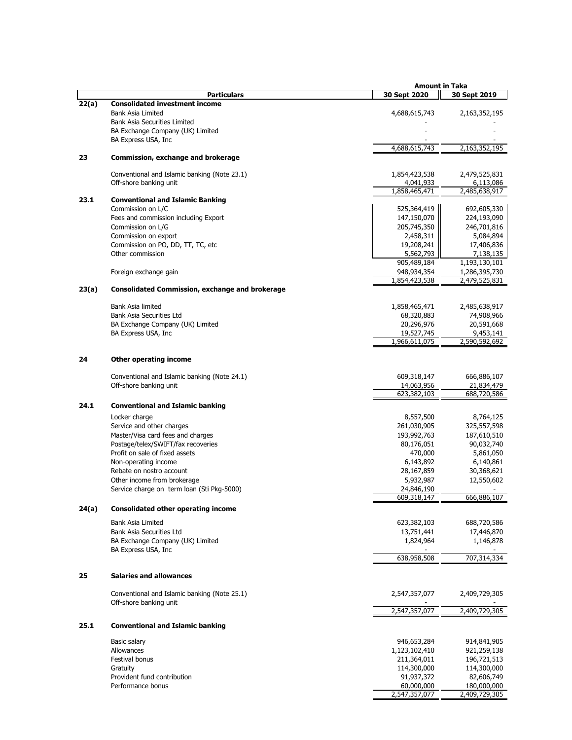|       |                                                                      | <b>Amount in Taka</b>      |                            |
|-------|----------------------------------------------------------------------|----------------------------|----------------------------|
|       | <b>Particulars</b>                                                   | 30 Sept 2020               | 30 Sept 2019               |
| 22(a) | <b>Consolidated investment income</b><br><b>Bank Asia Limited</b>    | 4,688,615,743              | 2,163,352,195              |
|       | <b>Bank Asia Securities Limited</b>                                  |                            |                            |
|       | BA Exchange Company (UK) Limited                                     |                            |                            |
|       | BA Express USA, Inc.                                                 |                            |                            |
| 23    | Commission, exchange and brokerage                                   | 4,688,615,743              | 2,163,352,195              |
|       |                                                                      |                            |                            |
|       | Conventional and Islamic banking (Note 23.1)                         | 1,854,423,538              | 2,479,525,831              |
|       | Off-shore banking unit                                               | 4,041,933<br>1,858,465,471 | 6,113,086<br>2,485,638,917 |
| 23.1  | <b>Conventional and Islamic Banking</b>                              |                            |                            |
|       | Commission on L/C                                                    | 525,364,419                | 692,605,330                |
|       | Fees and commission including Export                                 | 147,150,070                | 224,193,090                |
|       | Commission on L/G                                                    | 205,745,350                | 246,701,816                |
|       | Commission on export<br>Commission on PO, DD, TT, TC, etc            | 2,458,311<br>19,208,241    | 5,084,894<br>17,406,836    |
|       | Other commission                                                     | 5,562,793                  | 7,138,135                  |
|       |                                                                      | 905,489,184                | 1,193,130,101              |
|       | Foreign exchange gain                                                | 948,934,354                | 1,286,395,730              |
| 23(a) | <b>Consolidated Commission, exchange and brokerage</b>               | 1,854,423,538              | 2,479,525,831              |
|       |                                                                      |                            |                            |
|       | Bank Asia limited                                                    | 1,858,465,471              | 2,485,638,917              |
|       | <b>Bank Asia Securities Ltd</b><br>BA Exchange Company (UK) Limited  | 68,320,883<br>20,296,976   | 74,908,966<br>20,591,668   |
|       | BA Express USA, Inc.                                                 | 19,527,745                 | 9,453,141                  |
|       |                                                                      | 1,966,611,075              | 2,590,592,692              |
| 24    | <b>Other operating income</b>                                        |                            |                            |
|       | Conventional and Islamic banking (Note 24.1)                         | 609,318,147                | 666,886,107                |
|       | Off-shore banking unit                                               | 14,063,956                 | 21,834,479                 |
|       |                                                                      | 623,382,103                | 688,720,586                |
| 24.1  | <b>Conventional and Islamic banking</b>                              |                            |                            |
|       | Locker charge                                                        | 8,557,500                  | 8,764,125                  |
|       | Service and other charges                                            | 261,030,905                | 325,557,598                |
|       | Master/Visa card fees and charges                                    | 193,992,763                | 187,610,510                |
|       | Postage/telex/SWIFT/fax recoveries<br>Profit on sale of fixed assets | 80,176,051<br>470,000      | 90,032,740<br>5,861,050    |
|       | Non-operating income                                                 | 6,143,892                  | 6,140,861                  |
|       | Rebate on nostro account                                             | 28,167,859                 | 30,368,621                 |
|       | Other income from brokerage                                          | 5,932,987                  | 12,550,602                 |
|       | Service charge on term loan (Sti Pkg-5000)                           | 24,846,190                 |                            |
|       |                                                                      | 609,318,147                | 666,886,107                |
| 24(a) | <b>Consolidated other operating income</b>                           |                            |                            |
|       | <b>Bank Asia Limited</b>                                             | 623,382,103                | 688,720,586                |
|       | Bank Asia Securities Ltd<br>BA Exchange Company (UK) Limited         | 13,751,441<br>1,824,964    | 17,446,870<br>1,146,878    |
|       | BA Express USA, Inc.                                                 |                            |                            |
|       |                                                                      | 638,958,508                | 707,314,334                |
| 25    | <b>Salaries and allowances</b>                                       |                            |                            |
|       | Conventional and Islamic banking (Note 25.1)                         | 2,547,357,077              | 2,409,729,305              |
|       | Off-shore banking unit                                               |                            |                            |
|       |                                                                      | 2,547,357,077              | 2,409,729,305              |
| 25.1  | <b>Conventional and Islamic banking</b>                              |                            |                            |
|       | Basic salary                                                         | 946,653,284                | 914,841,905                |
|       | Allowances                                                           | 1,123,102,410              | 921,259,138                |
|       | Festival bonus<br>Gratuity                                           | 211,364,011<br>114,300,000 | 196,721,513<br>114,300,000 |
|       | Provident fund contribution                                          | 91,937,372                 | 82,606,749                 |
|       | Performance bonus                                                    | 60,000,000                 | 180,000,000                |
|       |                                                                      | 2,547,357,077              | 2,409,729,305              |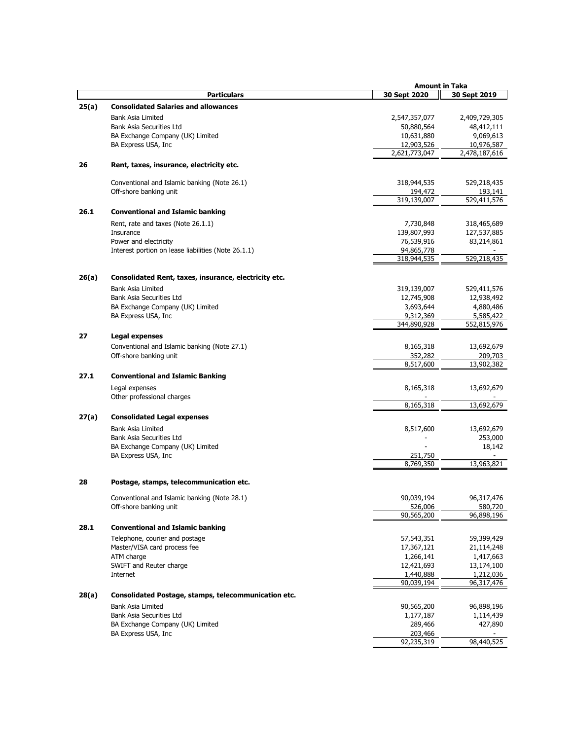|       |                                                         | <b>Amount in Taka</b> |                          |
|-------|---------------------------------------------------------|-----------------------|--------------------------|
|       | <b>Particulars</b>                                      | 30 Sept 2020          | 30 Sept 2019             |
| 25(a) | <b>Consolidated Salaries and allowances</b>             |                       |                          |
|       | Bank Asia Limited                                       | 2,547,357,077         | 2,409,729,305            |
|       | Bank Asia Securities Ltd                                | 50,880,564            | 48,412,111               |
|       | BA Exchange Company (UK) Limited                        | 10,631,880            | 9,069,613                |
|       | BA Express USA, Inc                                     | 12,903,526            | 10,976,587               |
|       |                                                         | 2,621,773,047         | 2,478,187,616            |
| 26    | Rent, taxes, insurance, electricity etc.                |                       |                          |
|       | Conventional and Islamic banking (Note 26.1)            | 318,944,535           | 529,218,435              |
|       | Off-shore banking unit                                  | 194,472               | 193,141                  |
|       |                                                         | 319,139,007           | $\overline{529,411,576}$ |
| 26.1  | <b>Conventional and Islamic banking</b>                 |                       |                          |
|       | Rent, rate and taxes (Note 26.1.1)                      | 7,730,848             | 318,465,689              |
|       | Insurance                                               | 139,807,993           | 127,537,885              |
|       | Power and electricity                                   | 76,539,916            | 83,214,861               |
|       | Interest portion on lease liabilities (Note 26.1.1)     | 94,865,778            |                          |
|       |                                                         | 318,944,535           | 529,218,435              |
| 26(a) | Consolidated Rent, taxes, insurance, electricity etc.   |                       |                          |
|       | <b>Bank Asia Limited</b>                                | 319,139,007           | 529,411,576              |
|       | Bank Asia Securities Ltd                                | 12,745,908            | 12,938,492               |
|       | BA Exchange Company (UK) Limited                        | 3,693,644             | 4,880,486                |
|       | BA Express USA, Inc.                                    | 9,312,369             | 5,585,422                |
|       |                                                         | 344,890,928           | 552,815,976              |
| 27    | Legal expenses                                          |                       |                          |
|       | Conventional and Islamic banking (Note 27.1)            | 8,165,318             | 13,692,679               |
|       | Off-shore banking unit                                  | 352,282               | 209,703                  |
|       |                                                         | 8,517,600             | 13,902,382               |
| 27.1  | <b>Conventional and Islamic Banking</b>                 |                       |                          |
|       | Legal expenses                                          | 8,165,318             | 13,692,679               |
|       | Other professional charges                              |                       |                          |
|       |                                                         | 8,165,318             | 13,692,679               |
| 27(a) | <b>Consolidated Legal expenses</b>                      |                       |                          |
|       | Bank Asia Limited                                       | 8,517,600             | 13,692,679               |
|       | Bank Asia Securities Ltd                                |                       | 253,000                  |
|       | BA Exchange Company (UK) Limited                        |                       | 18,142                   |
|       | BA Express USA, Inc                                     | 251,750               |                          |
|       |                                                         | 8,769,350             | 13,963,821               |
| 28    | Postage, stamps, telecommunication etc.                 |                       |                          |
|       | Conventional and Islamic banking (Note 28.1)            | 90,039,194            | 96,317,476               |
|       | Off-shore banking unit                                  | 526,006               | 580,720                  |
|       |                                                         | 90,565,200            | 96,898,196               |
| 28.1  | <b>Conventional and Islamic banking</b>                 |                       |                          |
|       | Telephone, courier and postage                          | 57,543,351            | 59,399,429               |
|       | Master/VISA card process fee                            | 17,367,121            | 21,114,248               |
|       | ATM charge                                              | 1,266,141             | 1,417,663                |
|       | SWIFT and Reuter charge                                 | 12,421,693            | 13,174,100               |
|       | Internet                                                | 1,440,888             | 1,212,036                |
|       |                                                         | 90,039,194            | 96,317,476               |
| 28(a) | Consolidated Postage, stamps, telecommunication etc.    |                       |                          |
|       | Bank Asia Limited                                       | 90,565,200            | 96,898,196               |
|       | Bank Asia Securities Ltd                                | 1,177,187             | 1,114,439                |
|       | BA Exchange Company (UK) Limited<br>BA Express USA, Inc | 289,466<br>203,466    | 427,890                  |
|       |                                                         | 92,235,319            | 98,440,525               |
|       |                                                         |                       |                          |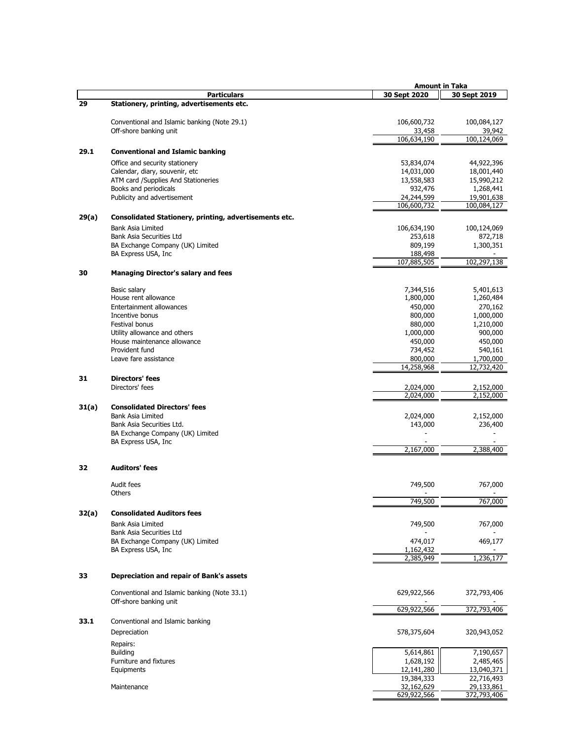|       |                                                        |                         | <b>Amount in Taka</b>   |
|-------|--------------------------------------------------------|-------------------------|-------------------------|
|       | <b>Particulars</b>                                     | 30 Sept 2020            | 30 Sept 2019            |
| 29    | Stationery, printing, advertisements etc.              |                         |                         |
|       |                                                        |                         |                         |
|       | Conventional and Islamic banking (Note 29.1)           | 106,600,732             | 100,084,127             |
|       | Off-shore banking unit                                 | 33,458                  | 39,942                  |
|       |                                                        | 106,634,190             | 100,124,069             |
| 29.1  | <b>Conventional and Islamic banking</b>                |                         |                         |
|       | Office and security stationery                         | 53,834,074              | 44,922,396              |
|       | Calendar, diary, souvenir, etc                         | 14,031,000              | 18,001,440              |
|       | ATM card /Supplies And Stationeries                    | 13,558,583              | 15,990,212              |
|       | Books and periodicals                                  | 932,476                 | 1,268,441               |
|       | Publicity and advertisement                            | 24,244,599              | 19,901,638              |
|       |                                                        | 106,600,732             | 100,084,127             |
| 29(a) | Consolidated Stationery, printing, advertisements etc. |                         |                         |
|       | <b>Bank Asia Limited</b>                               | 106,634,190             | 100,124,069             |
|       | Bank Asia Securities Ltd                               | 253,618                 | 872,718                 |
|       | BA Exchange Company (UK) Limited                       | 809,199                 | 1,300,351               |
|       | BA Express USA, Inc.                                   | 188,498                 |                         |
|       |                                                        | 107,885,505             | 102,297,138             |
| 30    | <b>Managing Director's salary and fees</b>             |                         |                         |
|       |                                                        |                         |                         |
|       | Basic salary                                           | 7,344,516               | 5,401,613               |
|       | House rent allowance                                   | 1,800,000               | 1,260,484               |
|       | Entertainment allowances                               | 450,000                 | 270,162                 |
|       | Incentive bonus                                        | 800,000                 | 1,000,000               |
|       | Festival bonus                                         | 880,000                 | 1,210,000               |
|       | Utility allowance and others                           | 1,000,000               | 900,000                 |
|       | House maintenance allowance                            | 450,000                 | 450,000                 |
|       | Provident fund                                         | 734,452                 | 540,161                 |
|       | Leave fare assistance                                  | 800,000                 | 1,700,000               |
|       |                                                        | 14,258,968              | 12,732,420              |
| 31    | <b>Directors' fees</b>                                 |                         |                         |
|       | Directors' fees                                        | 2,024,000               | 2,152,000               |
|       |                                                        | 2,024,000               | 2,152,000               |
| 31(a) | <b>Consolidated Directors' fees</b>                    |                         |                         |
|       | <b>Bank Asia Limited</b>                               | 2,024,000               | 2,152,000               |
|       | Bank Asia Securities Ltd.                              | 143,000                 | 236,400                 |
|       | BA Exchange Company (UK) Limited                       |                         |                         |
|       | BA Express USA, Inc.                                   |                         |                         |
|       |                                                        | 2,167,000               | 2,388,400               |
| 32    | <b>Auditors' fees</b>                                  |                         |                         |
|       |                                                        |                         |                         |
|       | Audit fees                                             | 749,500                 | 767,000                 |
|       | Others                                                 |                         |                         |
|       |                                                        | 749.500                 | 767.000                 |
| 32(a) | <b>Consolidated Auditors fees</b>                      |                         |                         |
|       |                                                        |                         |                         |
|       | <b>Bank Asia Limited</b><br>Bank Asia Securities Ltd   | 749,500                 | 767,000                 |
|       | BA Exchange Company (UK) Limited                       | 474,017                 | 469,177                 |
|       | BA Express USA, Inc.                                   | 1,162,432               |                         |
|       |                                                        | 2,385,949               | 1,236,177               |
|       |                                                        |                         |                         |
| 33    | Depreciation and repair of Bank's assets               |                         |                         |
|       |                                                        |                         |                         |
|       | Conventional and Islamic banking (Note 33.1)           | 629,922,566             | 372,793,406             |
|       | Off-shore banking unit                                 |                         |                         |
|       |                                                        | 629,922,566             | 372,793,406             |
| 33.1  | Conventional and Islamic banking                       |                         |                         |
|       | Depreciation                                           | 578,375,604             | 320,943,052             |
|       |                                                        |                         |                         |
|       | Repairs:                                               |                         |                         |
|       | <b>Building</b>                                        | 5,614,861               | 7,190,657               |
|       | Furniture and fixtures<br>Equipments                   | 1,628,192<br>12,141,280 | 2,485,465<br>13,040,371 |
|       |                                                        | 19,384,333              | 22,716,493              |
|       | Maintenance                                            | 32,162,629              | 29,133,861              |
|       |                                                        | 629,922,566             | 372,793,406             |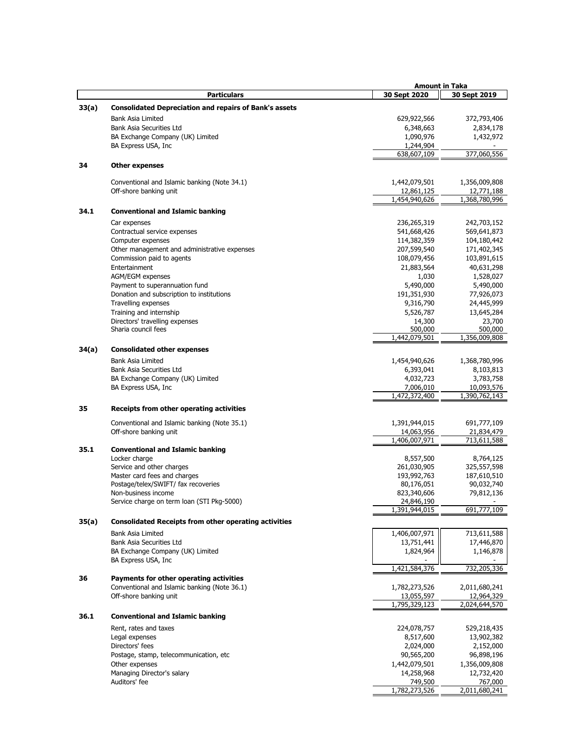|       |                                                               |               | <b>Amount in Taka</b> |
|-------|---------------------------------------------------------------|---------------|-----------------------|
|       | <b>Particulars</b>                                            | 30 Sept 2020  | 30 Sept 2019          |
| 33(a) | <b>Consolidated Depreciation and repairs of Bank's assets</b> |               |                       |
|       |                                                               |               |                       |
|       | <b>Bank Asia Limited</b>                                      | 629,922,566   | 372,793,406           |
|       | Bank Asia Securities Ltd                                      | 6,348,663     | 2,834,178             |
|       | BA Exchange Company (UK) Limited                              | 1,090,976     | 1,432,972             |
|       | BA Express USA, Inc.                                          | 1,244,904     |                       |
|       |                                                               | 638,607,109   | 377,060,556           |
| 34    | <b>Other expenses</b>                                         |               |                       |
|       |                                                               |               |                       |
|       | Conventional and Islamic banking (Note 34.1)                  | 1,442,079,501 | 1,356,009,808         |
|       | Off-shore banking unit                                        | 12,861,125    | 12,771,188            |
|       |                                                               | 1,454,940,626 | 1,368,780,996         |
| 34.1  | <b>Conventional and Islamic banking</b>                       |               |                       |
|       |                                                               |               |                       |
|       | Car expenses                                                  | 236,265,319   | 242,703,152           |
|       | Contractual service expenses                                  | 541,668,426   | 569,641,873           |
|       | Computer expenses                                             | 114,382,359   | 104,180,442           |
|       | Other management and administrative expenses                  | 207,599,540   | 171,402,345           |
|       | Commission paid to agents                                     | 108,079,456   | 103,891,615           |
|       | Entertainment                                                 | 21,883,564    | 40,631,298            |
|       | AGM/EGM expenses                                              | 1,030         | 1,528,027             |
|       | Payment to superannuation fund                                | 5,490,000     | 5,490,000             |
|       |                                                               | 191,351,930   |                       |
|       | Donation and subscription to institutions                     |               | 77,926,073            |
|       | Travelling expenses                                           | 9,316,790     | 24,445,999            |
|       | Training and internship                                       | 5,526,787     | 13,645,284            |
|       | Directors' travelling expenses                                | 14,300        | 23,700                |
|       | Sharia council fees                                           | 500,000       | 500,000               |
|       |                                                               | 1,442,079,501 | 1,356,009,808         |
| 34(a) | <b>Consolidated other expenses</b>                            |               |                       |
|       | <b>Bank Asia Limited</b>                                      | 1,454,940,626 | 1,368,780,996         |
|       | Bank Asia Securities Ltd                                      | 6,393,041     | 8,103,813             |
|       |                                                               |               |                       |
|       | BA Exchange Company (UK) Limited                              | 4,032,723     | 3,783,758             |
|       | BA Express USA, Inc.                                          | 7,006,010     | 10,093,576            |
|       |                                                               | 1,472,372,400 | 1,390,762,143         |
| 35    | Receipts from other operating activities                      |               |                       |
|       |                                                               |               |                       |
|       | Conventional and Islamic banking (Note 35.1)                  | 1,391,944,015 | 691,777,109           |
|       | Off-shore banking unit                                        | 14,063,956    | 21,834,479            |
|       |                                                               | 1,406,007,971 | 713,611,588           |
| 35.1  | <b>Conventional and Islamic banking</b>                       |               |                       |
|       | Locker charge                                                 | 8,557,500     | 8,764,125             |
|       | Service and other charges                                     | 261,030,905   | 325,557,598           |
|       | Master card fees and charges                                  | 193,992,763   | 187,610,510           |
|       | Postage/telex/SWIFT/ fax recoveries                           | 80,176,051    | 90,032,740            |
|       | Non-business income                                           | 823,340,606   | 79,812,136            |
|       | Service charge on term loan (STI Pkg-5000)                    | 24,846,190    |                       |
|       |                                                               | 1,391,944,015 | 691,777,109           |
| 35(a) | <b>Consolidated Receipts from other operating activities</b>  |               |                       |
|       | <b>Bank Asia Limited</b>                                      | 1,406,007,971 | 713,611,588           |
|       | Bank Asia Securities Ltd                                      | 13,751,441    | 17,446,870            |
|       |                                                               |               |                       |
|       | BA Exchange Company (UK) Limited                              | 1,824,964     | 1,146,878             |
|       | BA Express USA, Inc.                                          | 1,421,584,376 | 732,205,336           |
|       |                                                               |               |                       |
| 36    | Payments for other operating activities                       |               |                       |
|       | Conventional and Islamic banking (Note 36.1)                  | 1,782,273,526 | 2,011,680,241         |
|       | Off-shore banking unit                                        | 13,055,597    | 12,964,329            |
|       |                                                               | 1,795,329,123 | 2,024,644,570         |
| 36.1  | <b>Conventional and Islamic banking</b>                       |               |                       |
|       | Rent, rates and taxes                                         | 224,078,757   | 529,218,435           |
|       | Legal expenses                                                | 8,517,600     | 13,902,382            |
|       | Directors' fees                                               | 2,024,000     | 2,152,000             |
|       |                                                               |               |                       |
|       | Postage, stamp, telecommunication, etc.                       | 90,565,200    | 96,898,196            |
|       | Other expenses                                                | 1,442,079,501 | 1,356,009,808         |
|       | Managing Director's salary                                    | 14,258,968    | 12,732,420            |
|       | Auditors' fee                                                 | 749,500       | 767,000               |
|       |                                                               | 1,782,273,526 | 2,011,680,241         |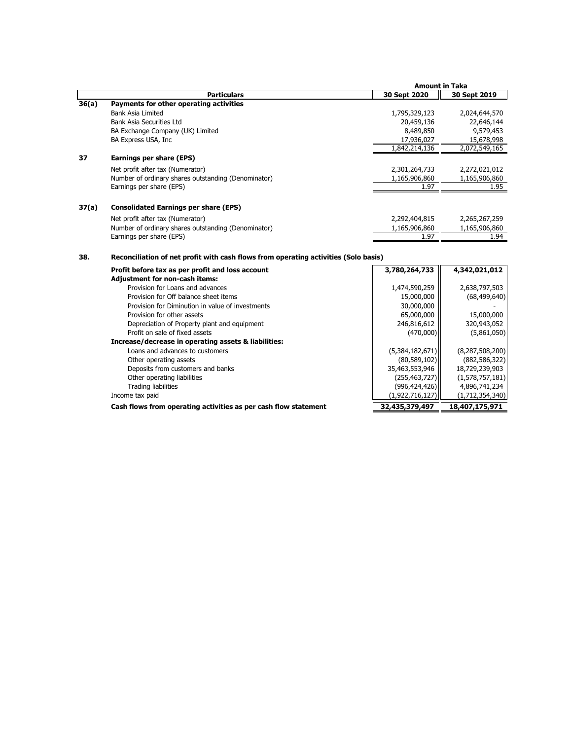|       |                                                                                     | <b>Amount in Taka</b> |                    |
|-------|-------------------------------------------------------------------------------------|-----------------------|--------------------|
|       | <b>Particulars</b>                                                                  | 30 Sept 2020          | 30 Sept 2019       |
| 36(a) | Payments for other operating activities                                             |                       |                    |
|       | <b>Bank Asia Limited</b>                                                            | 1,795,329,123         | 2,024,644,570      |
|       | <b>Bank Asia Securities Ltd</b>                                                     | 20,459,136            | 22,646,144         |
|       | BA Exchange Company (UK) Limited                                                    | 8,489,850             | 9,579,453          |
|       | BA Express USA, Inc                                                                 | 17,936,027            | 15,678,998         |
|       |                                                                                     | 1,842,214,136         | 2,072,549,165      |
| 37    | Earnings per share (EPS)                                                            |                       |                    |
|       | Net profit after tax (Numerator)                                                    | 2,301,264,733         | 2,272,021,012      |
|       | Number of ordinary shares outstanding (Denominator)                                 | 1,165,906,860         | 1,165,906,860      |
|       | Earnings per share (EPS)                                                            | 1.97                  | 1.95               |
|       |                                                                                     |                       |                    |
| 37(a) | <b>Consolidated Earnings per share (EPS)</b>                                        |                       |                    |
|       | Net profit after tax (Numerator)                                                    | 2,292,404,815         | 2,265,267,259      |
|       | Number of ordinary shares outstanding (Denominator)                                 | 1,165,906,860         | 1,165,906,860      |
|       | Earnings per share (EPS)                                                            | 1.97                  | 1.94               |
| 38.   | Reconciliation of net profit with cash flows from operating activities (Solo basis) |                       |                    |
|       | Profit before tax as per profit and loss account                                    | 3,780,264,733         | 4,342,021,012      |
|       | <b>Adjustment for non-cash items:</b>                                               |                       |                    |
|       | Provision for Loans and advances                                                    | 1,474,590,259         | 2,638,797,503      |
|       | Provision for Off balance sheet items                                               | 15,000,000            | (68, 499, 640)     |
|       | Provision for Diminution in value of investments                                    | 30,000,000            |                    |
|       | Provision for other assets                                                          | 65,000,000            | 15,000,000         |
|       | Depreciation of Property plant and equipment                                        | 246,816,612           | 320,943,052        |
|       | Profit on sale of fixed assets                                                      | (470,000)             | (5,861,050)        |
|       | Increase/decrease in operating assets & liabilities:                                |                       |                    |
|       | Loans and advances to customers                                                     | (5,384,182,671)       | (8, 287, 508, 200) |
|       | Other operating assets                                                              | (80, 589, 102)        | (882, 586, 322)    |
|       | Deposits from customers and banks                                                   | 35,463,553,946        | 18,729,239,903     |
|       | Other operating liabilities                                                         | (255, 463, 727)       | (1,578,757,181)    |
|       | <b>Trading liabilities</b>                                                          | (996, 424, 426)       | 4,896,741,234      |

Income tax paid (1,922,716,127) (1,712,354,340)

Cash flows from operating activities as per cash flow statement  $\overline{32,435,379,497}$  18,407,175,971